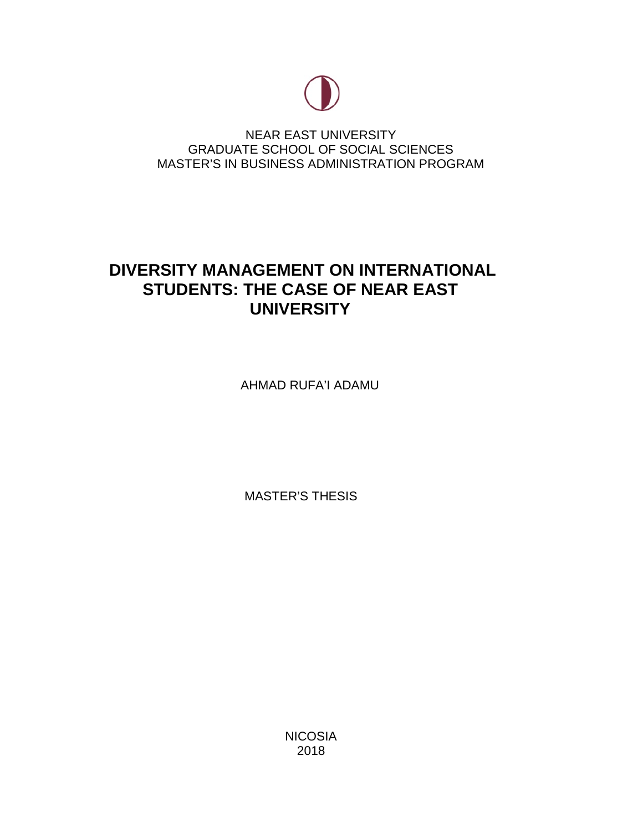

NEAR EAST UNIVERSITY GRADUATE SCHOOL OF SOCIAL SCIENCES MASTER'S IN BUSINESS ADMINISTRATION PROGRAM

# **DIVERSITY MANAGEMENT ON INTERNATIONAL STUDENTS: THE CASE OF NEAR EAST UNIVERSITY**

AHMAD RUFA'I ADAMU

MASTER'S THESIS

NICOSIA 2018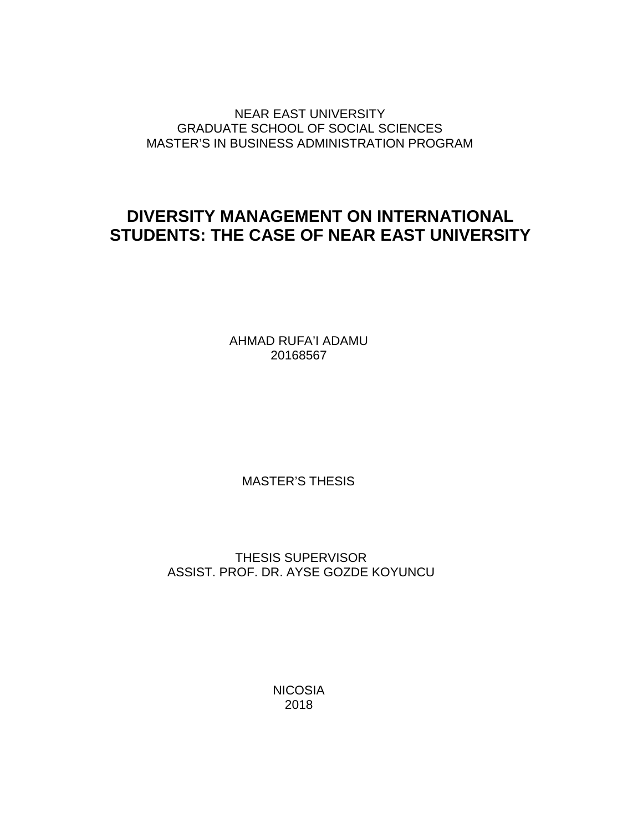NEAR EAST UNIVERSITY GRADUATE SCHOOL OF SOCIAL SCIENCES MASTER'S IN BUSINESS ADMINISTRATION PROGRAM

# **DIVERSITY MANAGEMENT ON INTERNATIONAL STUDENTS: THE CASE OF NEAR EAST UNIVERSITY**

AHMAD RUFA'I ADAMU 20168567

MASTER'S THESIS

THESIS SUPERVISOR ASSIST. PROF. DR. AYSE GOZDE KOYUNCU

> **NICOSIA** 2018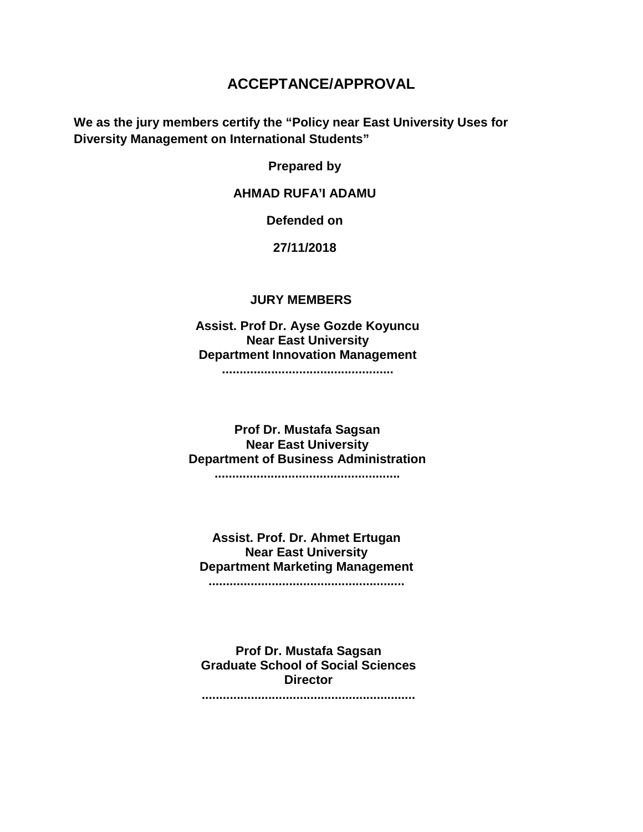# **ACCEPTANCE/APPROVAL**

**We as the jury members certify the "Policy near East University Uses for Diversity Management on International Students"**

**Prepared by**

## **AHMAD RUFA'I ADAMU**

**Defended on**

#### **27/11/2018**

#### **JURY MEMBERS**

**Assist. Prof Dr. Ayse Gozde Koyuncu Near East University Department Innovation Management .................................................**

**Prof Dr. Mustafa Sagsan Near East University Department of Business Administration .....................................................**

**Assist. Prof. Dr. Ahmet Ertugan Near East University Department Marketing Management ........................................................**

**Prof Dr. Mustafa Sagsan Graduate School of Social Sciences Director**

**.............................................................**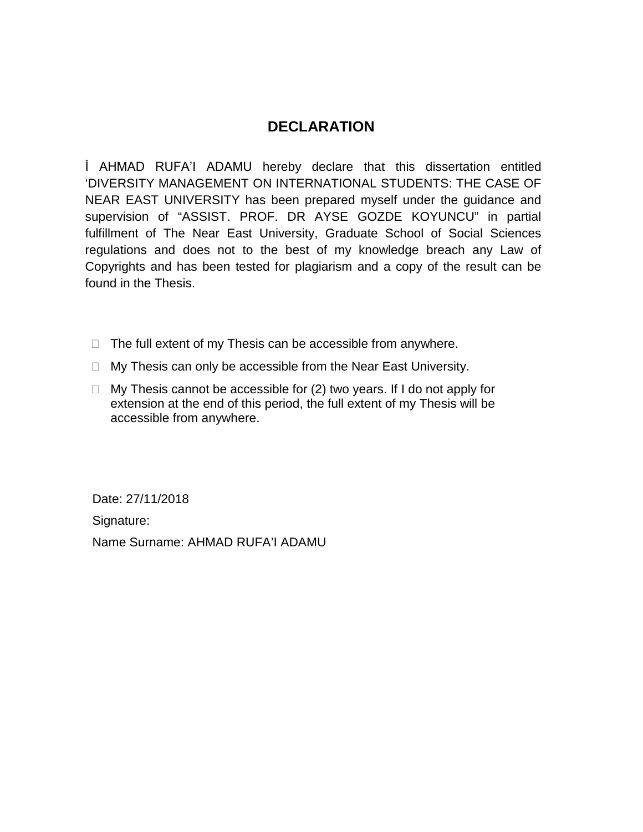# **DECLARATION**

İ AHMAD RUFA'I ADAMU hereby declare that this dissertation entitled 'DIVERSITY MANAGEMENT ON INTERNATIONAL STUDENTS: THE CASE OF NEAR EAST UNIVERSITY has been prepared myself under the guidance and supervision of "ASSIST. PROF. DR AYSE GOZDE KOYUNCU" in partial fulfillment of The Near East University, Graduate School of Social Sciences regulations and does not to the best of my knowledge breach any Law of Copyrights and has been tested for plagiarism and a copy of the result can be found in the Thesis.

- $\Box$  The full extent of my Thesis can be accessible from anywhere.
- $\Box$  My Thesis can only be accessible from the Near East University.
- $\Box$  My Thesis cannot be accessible for (2) two years. If I do not apply for extension at the end of this period, the full extent of my Thesis will be accessible from anywhere.

Date: 27/11/2018

Signature:

Name Surname: AHMAD RUFA'I ADAMU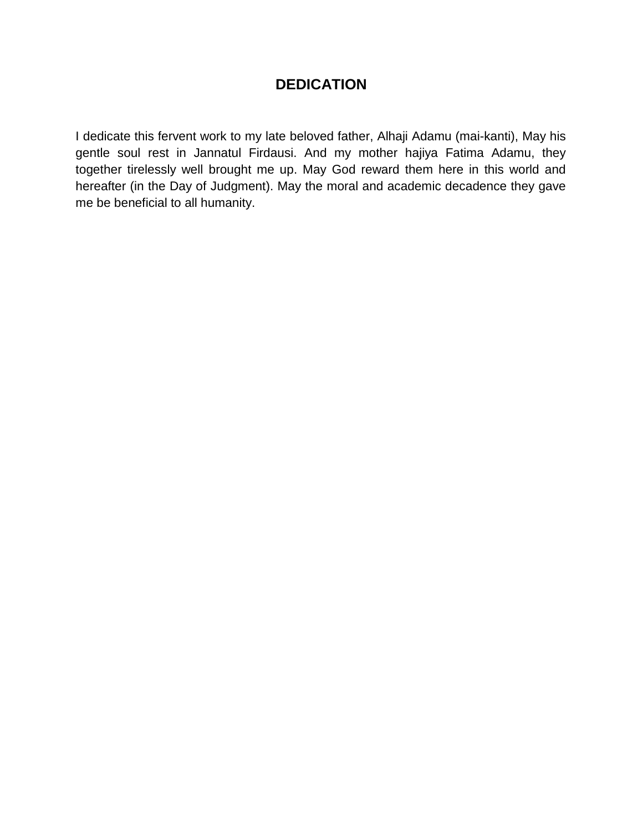# **DEDICATION**

I dedicate this fervent work to my late beloved father, Alhaji Adamu (mai-kanti), May his gentle soul rest in Jannatul Firdausi. And my mother hajiya Fatima Adamu, they together tirelessly well brought me up. May God reward them here in this world and hereafter (in the Day of Judgment). May the moral and academic decadence they gave me be beneficial to all humanity.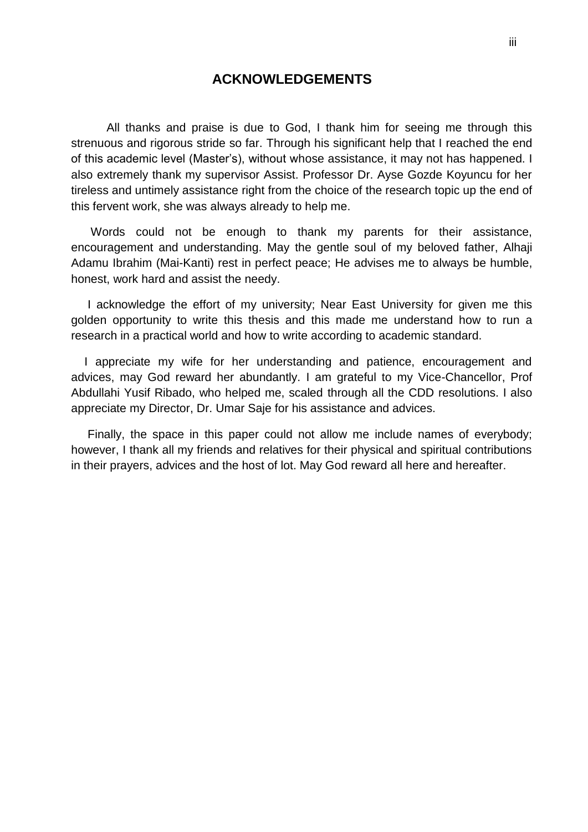## **ACKNOWLEDGEMENTS**

<span id="page-5-0"></span>All thanks and praise is due to God, I thank him for seeing me through this strenuous and rigorous stride so far. Through his significant help that I reached the end of this academic level (Master"s), without whose assistance, it may not has happened. I also extremely thank my supervisor Assist. Professor Dr. Ayse Gozde Koyuncu for her tireless and untimely assistance right from the choice of the research topic up the end of this fervent work, she was always already to help me.

 Words could not be enough to thank my parents for their assistance, encouragement and understanding. May the gentle soul of my beloved father, Alhaji Adamu Ibrahim (Mai-Kanti) rest in perfect peace; He advises me to always be humble, honest, work hard and assist the needy.

 I acknowledge the effort of my university; Near East University for given me this golden opportunity to write this thesis and this made me understand how to run a research in a practical world and how to write according to academic standard.

 I appreciate my wife for her understanding and patience, encouragement and advices, may God reward her abundantly. I am grateful to my Vice-Chancellor, Prof Abdullahi Yusif Ribado, who helped me, scaled through all the CDD resolutions. I also appreciate my Director, Dr. Umar Saje for his assistance and advices.

 Finally, the space in this paper could not allow me include names of everybody; however, I thank all my friends and relatives for their physical and spiritual contributions in their prayers, advices and the host of lot. May God reward all here and hereafter.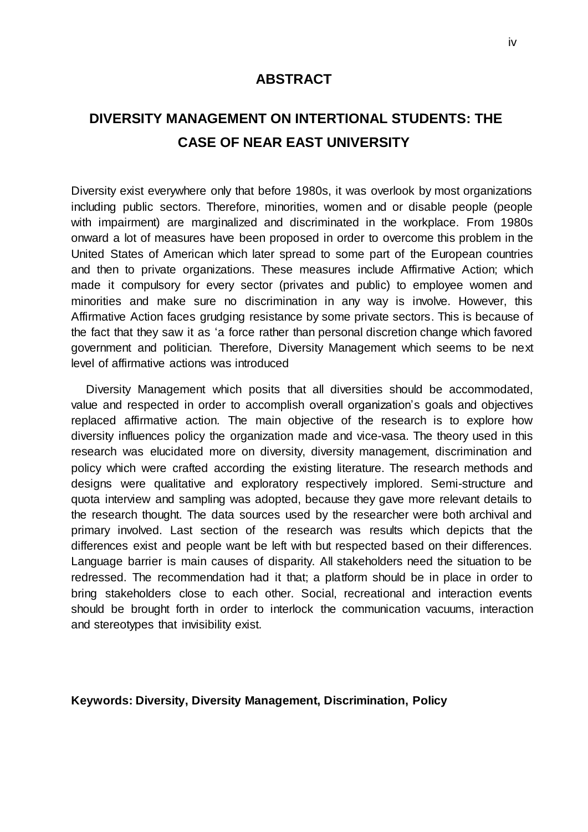### **ABSTRACT**

# <span id="page-6-0"></span>**DIVERSITY MANAGEMENT ON INTERTIONAL STUDENTS: THE CASE OF NEAR EAST UNIVERSITY**

Diversity exist everywhere only that before 1980s, it was overlook by most organizations including public sectors. Therefore, minorities, women and or disable people (people with impairment) are marginalized and discriminated in the workplace. From 1980s onward a lot of measures have been proposed in order to overcome this problem in the United States of American which later spread to some part of the European countries and then to private organizations. These measures include Affirmative Action; which made it compulsory for every sector (privates and public) to employee women and minorities and make sure no discrimination in any way is involve. However, this Affirmative Action faces grudging resistance by some private sectors. This is because of the fact that they saw it as "a force rather than personal discretion change which favored government and politician. Therefore, Diversity Management which seems to be next level of affirmative actions was introduced

 Diversity Management which posits that all diversities should be accommodated, value and respected in order to accomplish overall organization"s goals and objectives replaced affirmative action. The main objective of the research is to explore how diversity influences policy the organization made and vice-vasa. The theory used in this research was elucidated more on diversity, diversity management, discrimination and policy which were crafted according the existing literature. The research methods and designs were qualitative and exploratory respectively implored. Semi-structure and quota interview and sampling was adopted, because they gave more relevant details to the research thought. The data sources used by the researcher were both archival and primary involved. Last section of the research was results which depicts that the differences exist and people want be left with but respected based on their differences. Language barrier is main causes of disparity. All stakeholders need the situation to be redressed. The recommendation had it that; a platform should be in place in order to bring stakeholders close to each other. Social, recreational and interaction events should be brought forth in order to interlock the communication vacuums, interaction and stereotypes that invisibility exist.

#### **K eywords: Diversity, Diversity Management, Discrimination, Policy**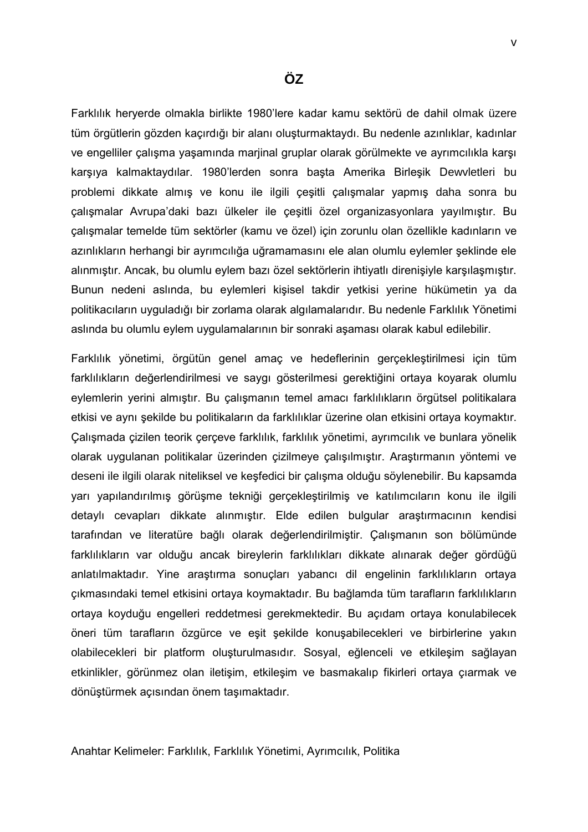<span id="page-7-0"></span>Farklılık heryerde olmakla birlikte 1980"lere kadar kamu sektörü de dahil olmak üzere tüm örgütlerin gözden kaçırdığı bir alanı oluşturmaktaydı. Bu nedenle azınlıklar, kadınlar ve engelliler çalışma yaşamında marjinal gruplar olarak görülmekte ve ayrımcılıkla karşı karşıya kalmaktaydılar. 1980"lerden sonra başta Amerika Birleşik Dewvletleri bu problemi dikkate almış ve konu ile ilgili çeşitli çalışmalar yapmış daha sonra bu çalışmalar Avrupa"daki bazı ülkeler ile çeşitli özel organizasyonlara yayılmıştır. Bu çalışmalar temelde tüm sektörler (kamu ve özel) için zorunlu olan özellikle kadınların ve azınlıkların herhangi bir ayrımcılığa uğramamasını ele alan olumlu eylemler şeklinde ele alınmıştır. Ancak, bu olumlu eylem bazı özel sektörlerin ihtiyatlı direnişiyle karşılaşmıştır. Bunun nedeni aslında, bu eylemleri kişisel takdir yetkisi yerine hükümetin ya da politikacıların uyguladığı bir zorlama olarak algılamalarıdır. Bu nedenle Farklılık Yönetimi aslında bu olumlu eylem uygulamalarının bir sonraki aşaması olarak kabul edilebilir.

Farklılık yönetimi, örgütün genel amaç ve hedeflerinin gerçekleştirilmesi için tüm farklılıkların değerlendirilmesi ve saygı gösterilmesi gerektiğini ortaya koyarak olumlu eylemlerin yerini almıştır. Bu çalışmanın temel amacı farklılıkların örgütsel politikalara etkisi ve aynı şekilde bu politikaların da farklılıklar üzerine olan etkisini ortaya koymaktır. Çalışmada çizilen teorik çerçeve farklılık, farklılık yönetimi, ayrımcılık ve bunlara yönelik olarak uygulanan politikalar üzerinden çizilmeye çalışılmıştır. Araştırmanın yöntemi ve deseni ile ilgili olarak niteliksel ve keşfedici bir çalışma olduğu söylenebilir. Bu kapsamda yarı yapılandırılmış görüşme tekniği gerçekleştirilmiş ve katılımcıların konu ile ilgili detaylı cevapları dikkate alınmıştır. Elde edilen bulgular araştırmacının kendisi tarafından ve literatüre bağlı olarak değerlendirilmiştir. Çalışmanın son bölümünde farklılıkların var olduğu ancak bireylerin farklılıkları dikkate alınarak değer gördüğü anlatılmaktadır. Yine araştırma sonuçları yabancı dil engelinin farklılıkların ortaya çıkmasındaki temel etkisini ortaya koymaktadır. Bu bağlamda tüm tarafların farklılıkların ortaya koyduğu engelleri reddetmesi gerekmektedir. Bu açıdam ortaya konulabilecek öneri tüm tarafların özgürce ve eşit şekilde konuşabilecekleri ve birbirlerine yakın olabilecekleri bir platform oluşturulmasıdır. Sosyal, eğlenceli ve etkileşim sağlayan etkinlikler, görünmez olan iletişim, etkileşim ve basmakalıp fikirleri ortaya çıarmak ve dönüştürmek açısından önem taşımaktadır.

Anahtar Kelimeler: Farklılık, Farklılık Yönetimi, Ayrımcılık, Politika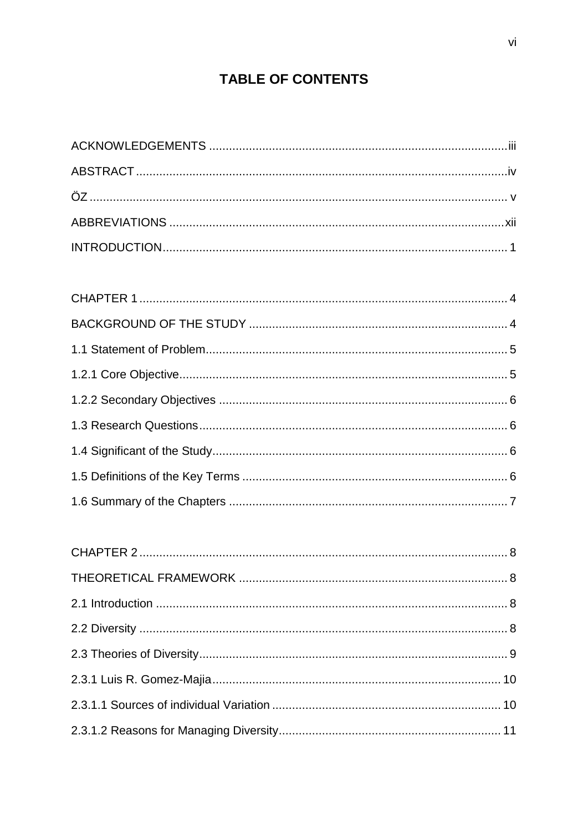# **TABLE OF CONTENTS**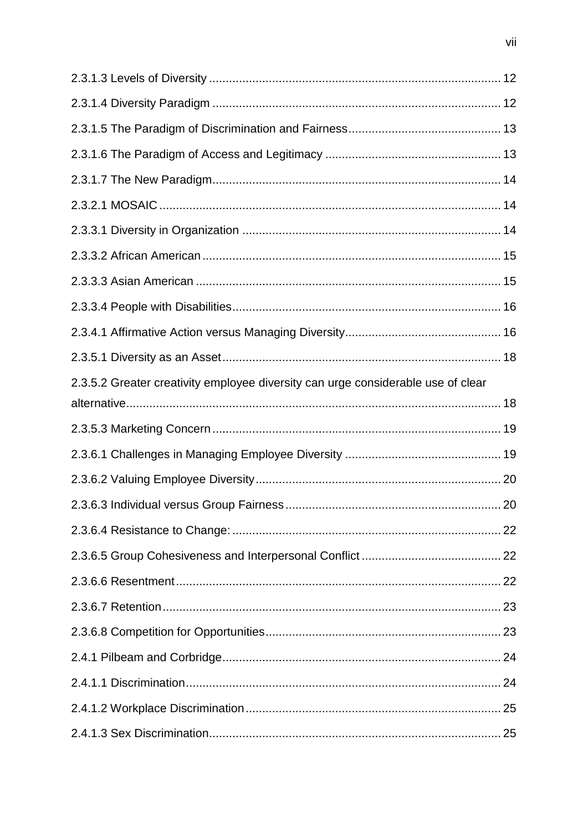| 2.3.5.2 Greater creativity employee diversity can urge considerable use of clear |  |
|----------------------------------------------------------------------------------|--|
|                                                                                  |  |
|                                                                                  |  |
|                                                                                  |  |
|                                                                                  |  |
|                                                                                  |  |
|                                                                                  |  |
|                                                                                  |  |
|                                                                                  |  |
|                                                                                  |  |
|                                                                                  |  |
|                                                                                  |  |
|                                                                                  |  |
|                                                                                  |  |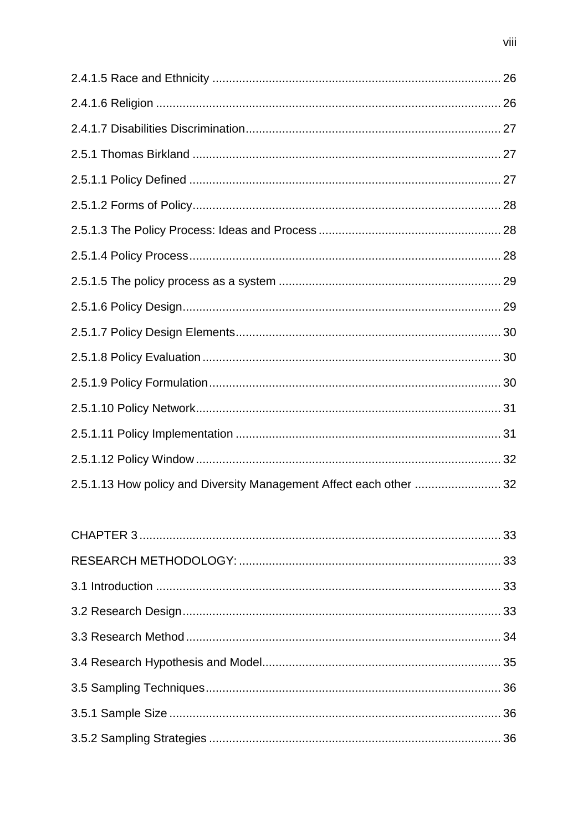| 2.5.1.13 How policy and Diversity Management Affect each other  32 |  |
|--------------------------------------------------------------------|--|
|                                                                    |  |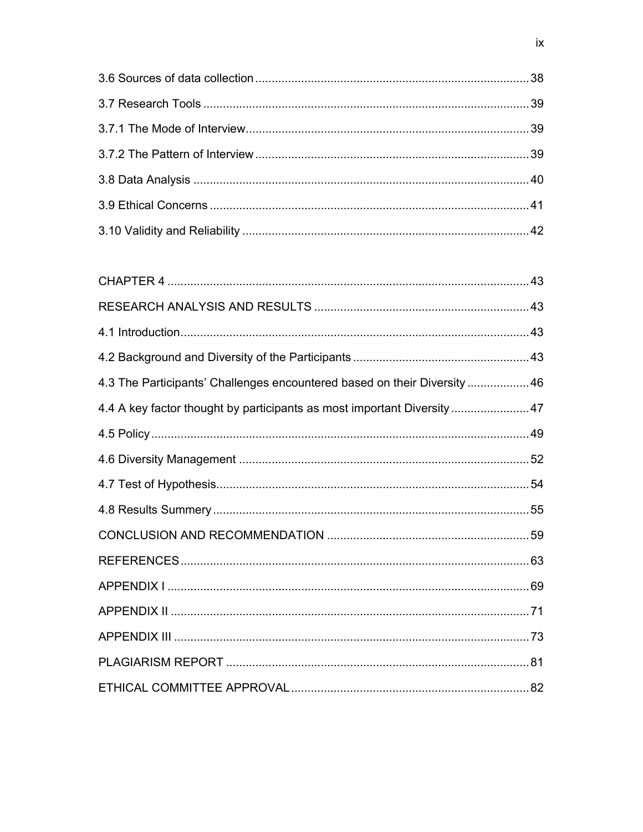| 4.3 The Participants' Challenges encountered based on their Diversity  46 |  |
|---------------------------------------------------------------------------|--|
| 4.4 A key factor thought by participants as most important Diversity 47   |  |
|                                                                           |  |
|                                                                           |  |
|                                                                           |  |
|                                                                           |  |
|                                                                           |  |
|                                                                           |  |
|                                                                           |  |
|                                                                           |  |
|                                                                           |  |
|                                                                           |  |
|                                                                           |  |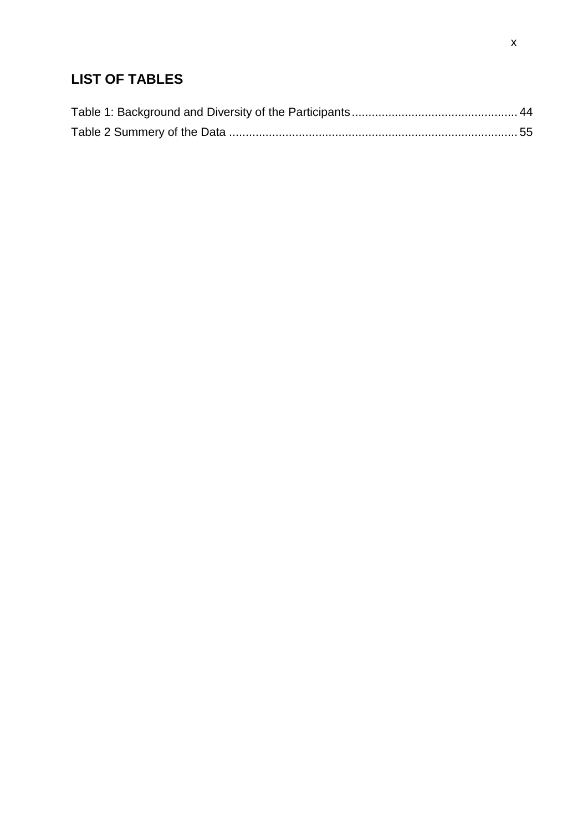# **LIST OF TABLES**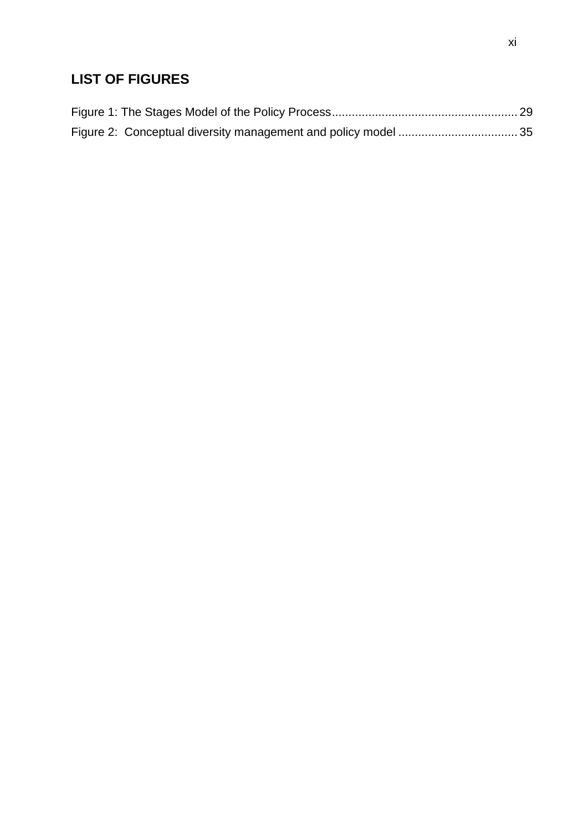# **LIST OF FIGURES**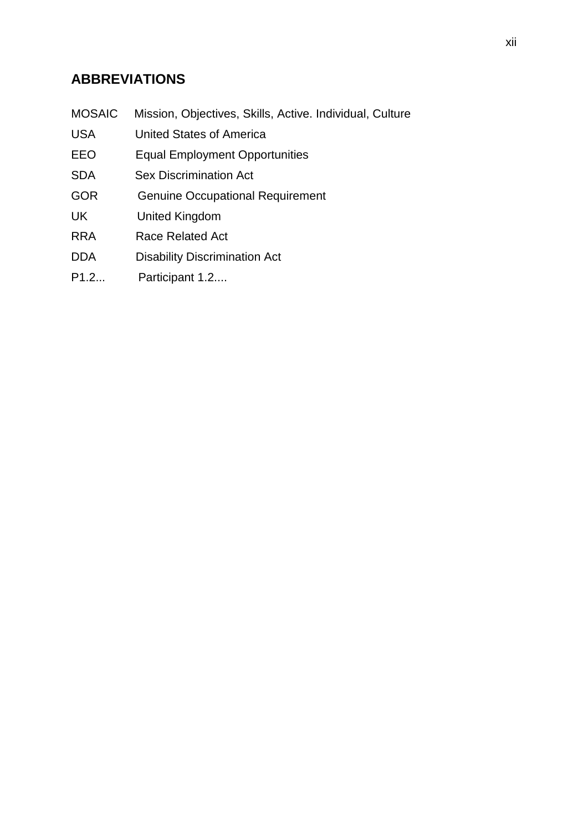# <span id="page-14-0"></span>**ABBREVIATIONS**

|  |  | MOSAIC Mission, Objectives, Skills, Active. Individual, Culture |  |  |  |  |
|--|--|-----------------------------------------------------------------|--|--|--|--|
|--|--|-----------------------------------------------------------------|--|--|--|--|

- USA United States of America
- EEO Equal Employment Opportunities
- SDA Sex Discrimination Act
- GOR Genuine Occupational Requirement
- UK United Kingdom
- RRA Race Related Act
- DDA Disability Discrimination Act
- P1.2... Participant 1.2....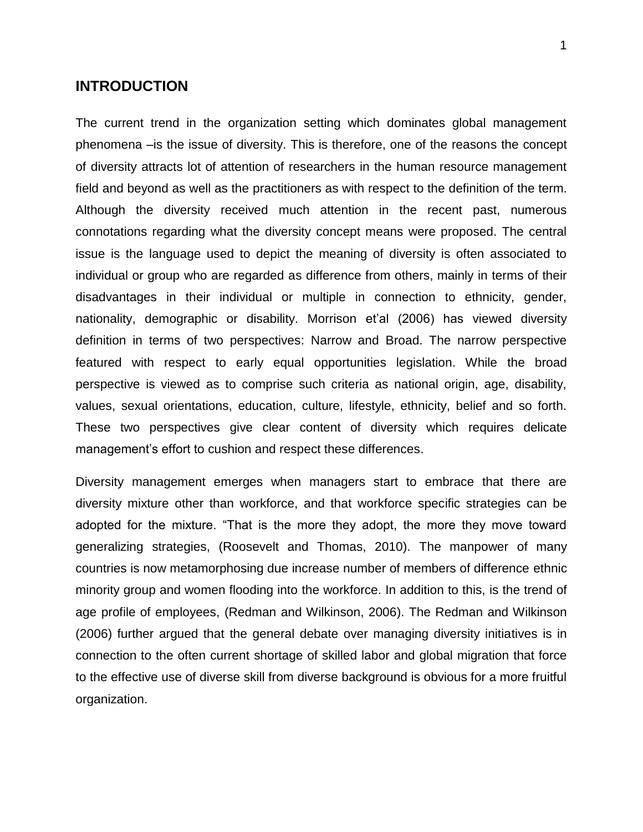# **INTRODUCTION**

<span id="page-15-0"></span>The current trend in the organization setting which dominates global management phenomena –is the issue of diversity. This is therefore, one of the reasons the concept of diversity attracts lot of attention of researchers in the human resource management field and beyond as well as the practitioners as with respect to the definition of the term. Although the diversity received much attention in the recent past, numerous connotations regarding what the diversity concept means were proposed. The central issue is the language used to depict the meaning of diversity is often associated to individual or group who are regarded as difference from others, mainly in terms of their disadvantages in their individual or multiple in connection to ethnicity, gender, nationality, demographic or disability. Morrison et'al (2006) has viewed diversity definition in terms of two perspectives: Narrow and Broad. The narrow perspective featured with respect to early equal opportunities legislation. While the broad perspective is viewed as to comprise such criteria as national origin, age, disability, values, sexual orientations, education, culture, lifestyle, ethnicity, belief and so forth. These two perspectives give clear content of diversity which requires delicate management's effort to cushion and respect these differences.

Diversity management emerges when managers start to embrace that there are diversity mixture other than workforce, and that workforce specific strategies can be adopted for the mixture. "That is the more they adopt, the more they move toward generalizing strategies, (Roosevelt and Thomas, 2010). The manpower of many countries is now metamorphosing due increase number of members of difference ethnic minority group and women flooding into the workforce. In addition to this, is the trend of age profile of employees, (Redman and Wilkinson, 2006). The Redman and Wilkinson (2006) further argued that the general debate over managing diversity initiatives is in connection to the often current shortage of skilled labor and global migration that force to the effective use of diverse skill from diverse background is obvious for a more fruitful organization.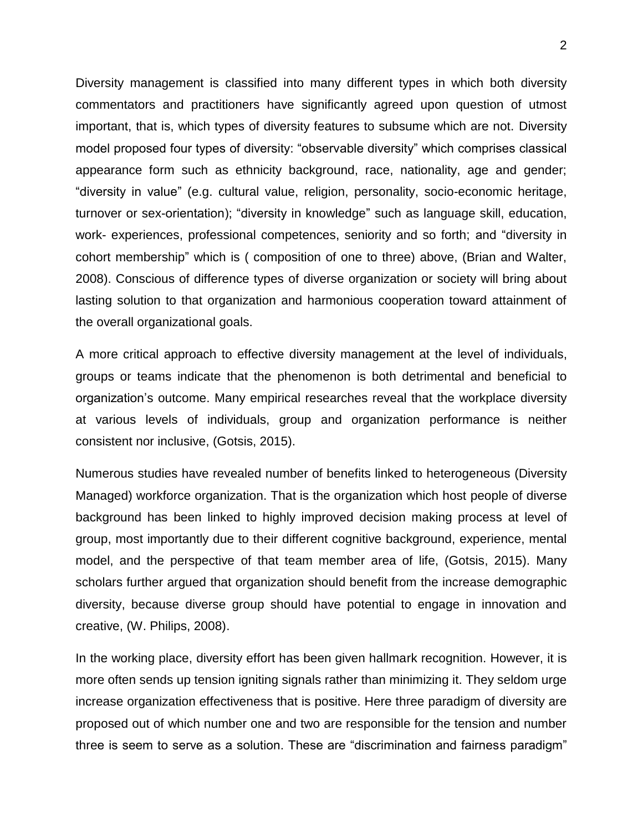Diversity management is classified into many different types in which both diversity commentators and practitioners have significantly agreed upon question of utmost important, that is, which types of diversity features to subsume which are not. Diversity model proposed four types of diversity: "observable diversity" which comprises classical appearance form such as ethnicity background, race, nationality, age and gender; "diversity in value" (e.g. cultural value, religion, personality, socio-economic heritage, turnover or sex-orientation); "diversity in knowledge" such as language skill, education, work- experiences, professional competences, seniority and so forth; and "diversity in cohort membership" which is ( composition of one to three) above, (Brian and Walter, 2008). Conscious of difference types of diverse organization or society will bring about lasting solution to that organization and harmonious cooperation toward attainment of the overall organizational goals.

A more critical approach to effective diversity management at the level of individuals, groups or teams indicate that the phenomenon is both detrimental and beneficial to organization"s outcome. Many empirical researches reveal that the workplace diversity at various levels of individuals, group and organization performance is neither consistent nor inclusive, (Gotsis, 2015).

Numerous studies have revealed number of benefits linked to heterogeneous (Diversity Managed) workforce organization. That is the organization which host people of diverse background has been linked to highly improved decision making process at level of group, most importantly due to their different cognitive background, experience, mental model, and the perspective of that team member area of life, (Gotsis, 2015). Many scholars further argued that organization should benefit from the increase demographic diversity, because diverse group should have potential to engage in innovation and creative, (W. Philips, 2008).

In the working place, diversity effort has been given hallmark recognition. However, it is more often sends up tension igniting signals rather than minimizing it. They seldom urge increase organization effectiveness that is positive. Here three paradigm of diversity are proposed out of which number one and two are responsible for the tension and number three is seem to serve as a solution. These are "discrimination and fairness paradigm"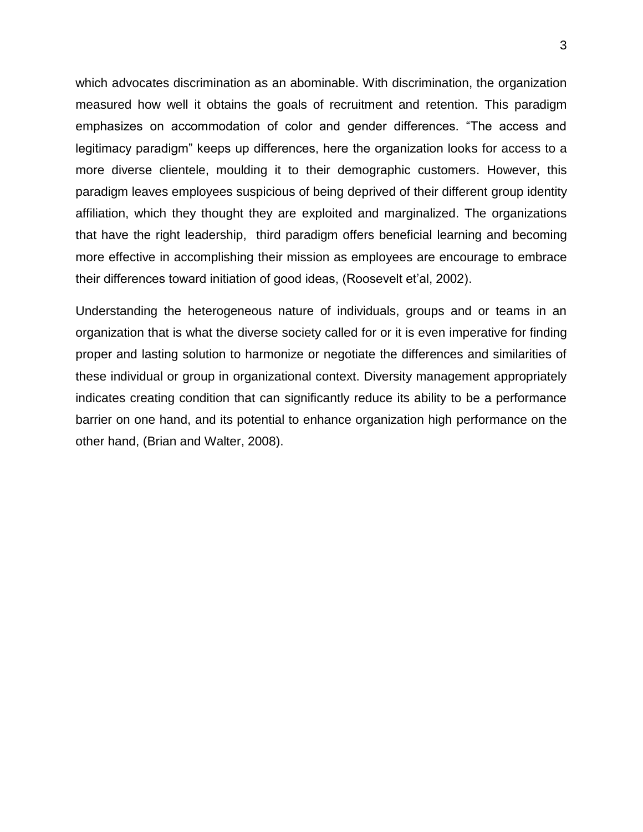which advocates discrimination as an abominable. With discrimination, the organization measured how well it obtains the goals of recruitment and retention. This paradigm emphasizes on accommodation of color and gender differences. "The access and legitimacy paradigm" keeps up differences, here the organization looks for access to a more diverse clientele, moulding it to their demographic customers. However, this paradigm leaves employees suspicious of being deprived of their different group identity affiliation, which they thought they are exploited and marginalized. The organizations that have the right leadership, third paradigm offers beneficial learning and becoming more effective in accomplishing their mission as employees are encourage to embrace their differences toward initiation of good ideas, (Roosevelt et"al, 2002).

Understanding the heterogeneous nature of individuals, groups and or teams in an organization that is what the diverse society called for or it is even imperative for finding proper and lasting solution to harmonize or negotiate the differences and similarities of these individual or group in organizational context. Diversity management appropriately indicates creating condition that can significantly reduce its ability to be a performance barrier on one hand, and its potential to enhance organization high performance on the other hand, (Brian and Walter, 2008).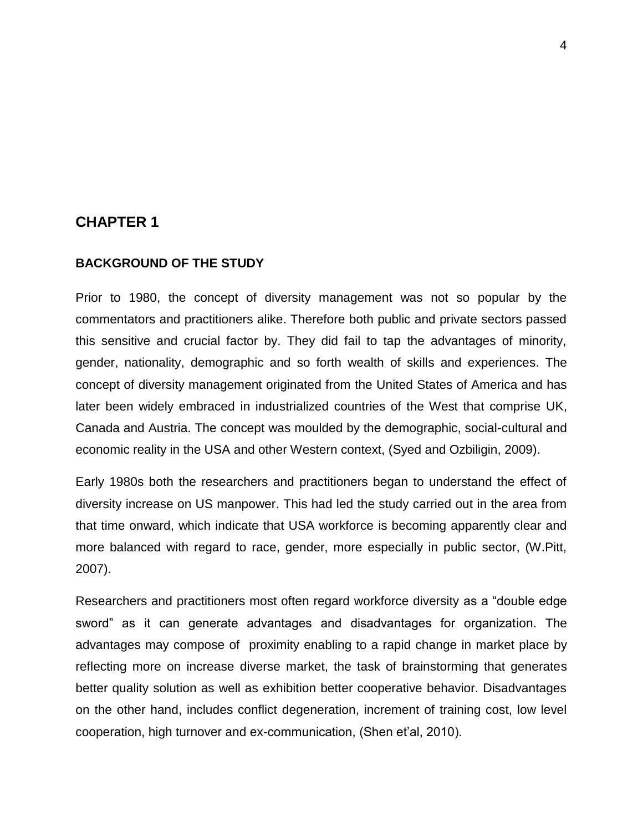# **CHAPTER 1**

#### <span id="page-18-0"></span>**BACKGROUND OF THE STUDY**

<span id="page-18-1"></span>Prior to 1980, the concept of diversity management was not so popular by the commentators and practitioners alike. Therefore both public and private sectors passed this sensitive and crucial factor by. They did fail to tap the advantages of minority, gender, nationality, demographic and so forth wealth of skills and experiences. The concept of diversity management originated from the United States of America and has later been widely embraced in industrialized countries of the West that comprise UK, Canada and Austria. The concept was moulded by the demographic, social-cultural and economic reality in the USA and other Western context, (Syed and Ozbiligin, 2009).

Early 1980s both the researchers and practitioners began to understand the effect of diversity increase on US manpower. This had led the study carried out in the area from that time onward, which indicate that USA workforce is becoming apparently clear and more balanced with regard to race, gender, more especially in public sector, (W.Pitt, 2007).

Researchers and practitioners most often regard workforce diversity as a "double edge sword" as it can generate advantages and disadvantages for organization. The advantages may compose of proximity enabling to a rapid change in market place by reflecting more on increase diverse market, the task of brainstorming that generates better quality solution as well as exhibition better cooperative behavior. Disadvantages on the other hand, includes conflict degeneration, increment of training cost, low level cooperation, high turnover and ex-communication, (Shen et'al, 2010).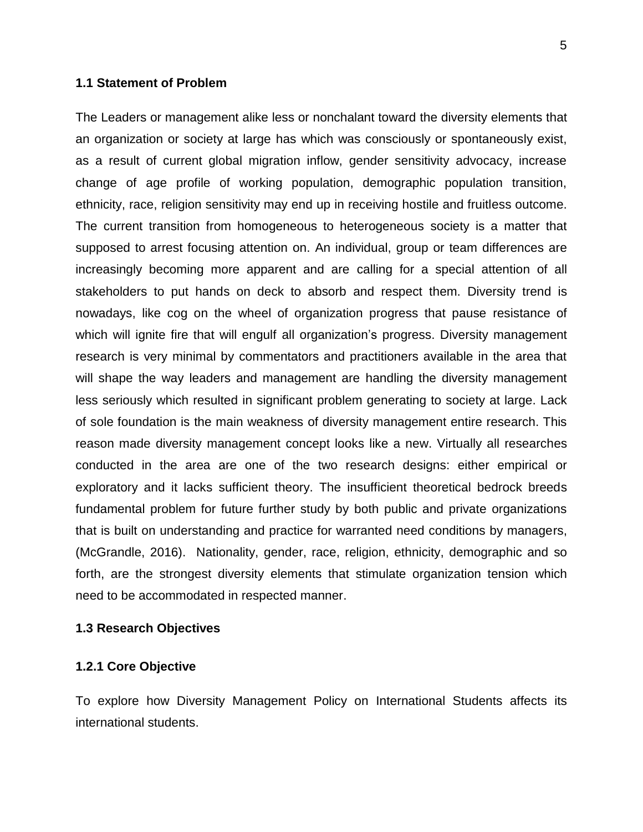#### **1.1 Statement of Problem**

<span id="page-19-0"></span>The Leaders or management alike less or nonchalant toward the diversity elements that an organization or society at large has which was consciously or spontaneously exist, as a result of current global migration inflow, gender sensitivity advocacy, increase change of age profile of working population, demographic population transition, ethnicity, race, religion sensitivity may end up in receiving hostile and fruitless outcome. The current transition from homogeneous to heterogeneous society is a matter that supposed to arrest focusing attention on. An individual, group or team differences are increasingly becoming more apparent and are calling for a special attention of all stakeholders to put hands on deck to absorb and respect them. Diversity trend is nowadays, like cog on the wheel of organization progress that pause resistance of which will ignite fire that will engulf all organization's progress. Diversity management research is very minimal by commentators and practitioners available in the area that will shape the way leaders and management are handling the diversity management less seriously which resulted in significant problem generating to society at large. Lack of sole foundation is the main weakness of diversity management entire research. This reason made diversity management concept looks like a new. Virtually all researches conducted in the area are one of the two research designs: either empirical or exploratory and it lacks sufficient theory. The insufficient theoretical bedrock breeds fundamental problem for future further study by both public and private organizations that is built on understanding and practice for warranted need conditions by managers, (McGrandle, 2016). Nationality, gender, race, religion, ethnicity, demographic and so forth, are the strongest diversity elements that stimulate organization tension which need to be accommodated in respected manner.

#### **1.3 Research Objectives**

#### **1.2.1 Core Objective**

<span id="page-19-1"></span>To explore how Diversity Management Policy on International Students affects its international students.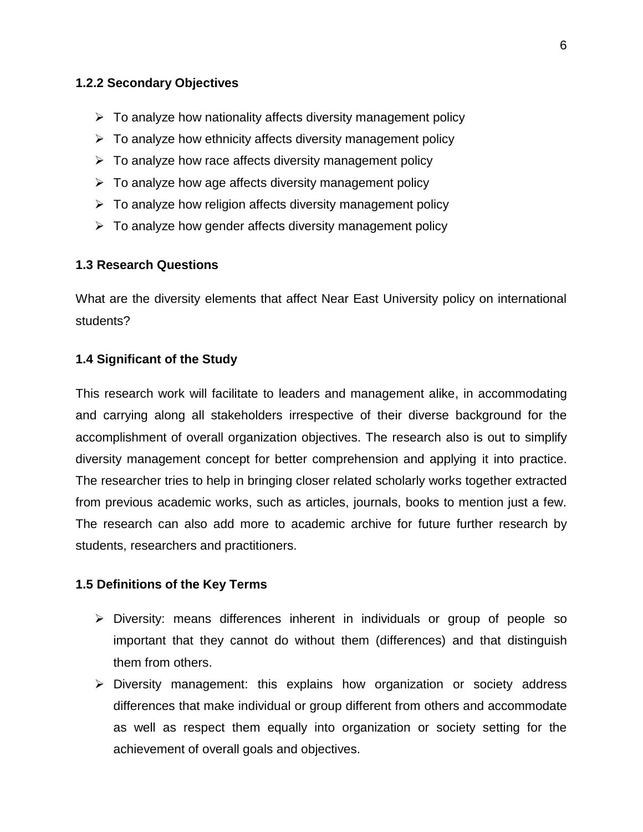#### **1.2.2 Secondary Objectives**

- $\triangleright$  To analyze how nationality affects diversity management policy
- <span id="page-20-0"></span> $\triangleright$  To analyze how ethnicity affects diversity management policy
- $\triangleright$  To analyze how race affects diversity management policy
- $\triangleright$  To analyze how age affects diversity management policy
- $\triangleright$  To analyze how religion affects diversity management policy
- $\triangleright$  To analyze how gender affects diversity management policy

#### **1.3 Research Questions**

<span id="page-20-1"></span>What are the diversity elements that affect Near East University policy on international students?

#### **1.4 Significant of the Study**

<span id="page-20-2"></span>This research work will facilitate to leaders and management alike, in accommodating and carrying along all stakeholders irrespective of their diverse background for the accomplishment of overall organization objectives. The research also is out to simplify diversity management concept for better comprehension and applying it into practice. The researcher tries to help in bringing closer related scholarly works together extracted from previous academic works, such as articles, journals, books to mention just a few. The research can also add more to academic archive for future further research by students, researchers and practitioners.

#### **1.5 Definitions of the Key Terms**

- <span id="page-20-3"></span> $\triangleright$  Diversity: means differences inherent in individuals or group of people so important that they cannot do without them (differences) and that distinguish them from others.
- $\triangleright$  Diversity management: this explains how organization or society address differences that make individual or group different from others and accommodate as well as respect them equally into organization or society setting for the achievement of overall goals and objectives.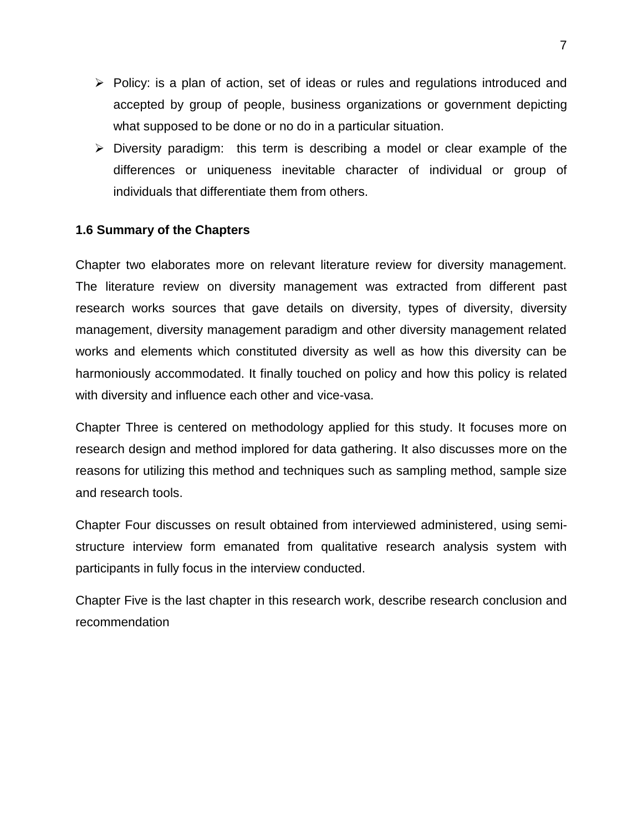- $\triangleright$  Policy: is a plan of action, set of ideas or rules and regulations introduced and accepted by group of people, business organizations or government depicting what supposed to be done or no do in a particular situation.
- $\triangleright$  Diversity paradigm: this term is describing a model or clear example of the differences or uniqueness inevitable character of individual or group of individuals that differentiate them from others.

# **1.6 Summary of the Chapters**

<span id="page-21-0"></span>Chapter two elaborates more on relevant literature review for diversity management. The literature review on diversity management was extracted from different past research works sources that gave details on diversity, types of diversity, diversity management, diversity management paradigm and other diversity management related works and elements which constituted diversity as well as how this diversity can be harmoniously accommodated. It finally touched on policy and how this policy is related with diversity and influence each other and vice-vasa.

Chapter Three is centered on methodology applied for this study. It focuses more on research design and method implored for data gathering. It also discusses more on the reasons for utilizing this method and techniques such as sampling method, sample size and research tools.

Chapter Four discusses on result obtained from interviewed administered, using semistructure interview form emanated from qualitative research analysis system with participants in fully focus in the interview conducted.

Chapter Five is the last chapter in this research work, describe research conclusion and recommendation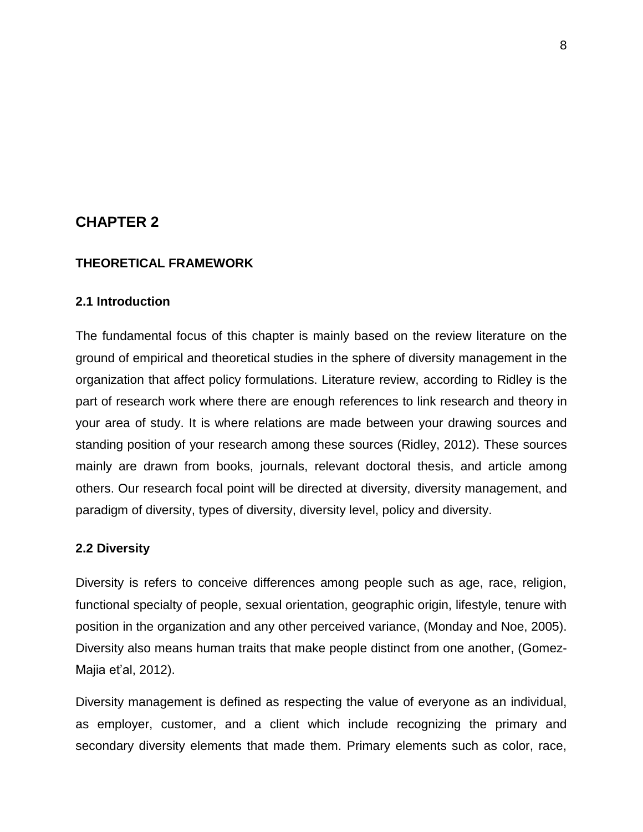# **CHAPTER 2**

#### <span id="page-22-0"></span>**THEORETICAL FRAMEWORK**

#### <span id="page-22-1"></span>**2.1 Introduction**

<span id="page-22-2"></span>The fundamental focus of this chapter is mainly based on the review literature on the ground of empirical and theoretical studies in the sphere of diversity management in the organization that affect policy formulations. Literature review, according to Ridley is the part of research work where there are enough references to link research and theory in your area of study. It is where relations are made between your drawing sources and standing position of your research among these sources (Ridley, 2012). These sources mainly are drawn from books, journals, relevant doctoral thesis, and article among others. Our research focal point will be directed at diversity, diversity management, and paradigm of diversity, types of diversity, diversity level, policy and diversity.

#### **2.2 Diversity**

<span id="page-22-3"></span>Diversity is refers to conceive differences among people such as age, race, religion, functional specialty of people, sexual orientation, geographic origin, lifestyle, tenure with position in the organization and any other perceived variance, (Monday and Noe, 2005). Diversity also means human traits that make people distinct from one another, (Gomez-Majia et"al, 2012).

Diversity management is defined as respecting the value of everyone as an individual, as employer, customer, and a client which include recognizing the primary and secondary diversity elements that made them. Primary elements such as color, race,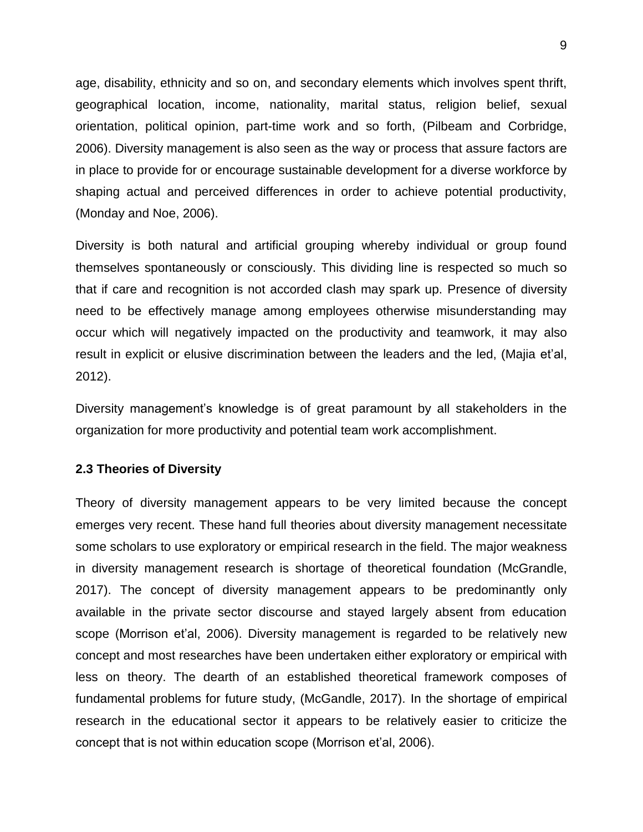age, disability, ethnicity and so on, and secondary elements which involves spent thrift, geographical location, income, nationality, marital status, religion belief, sexual orientation, political opinion, part-time work and so forth, (Pilbeam and Corbridge, 2006). Diversity management is also seen as the way or process that assure factors are in place to provide for or encourage sustainable development for a diverse workforce by shaping actual and perceived differences in order to achieve potential productivity, (Monday and Noe, 2006).

Diversity is both natural and artificial grouping whereby individual or group found themselves spontaneously or consciously. This dividing line is respected so much so that if care and recognition is not accorded clash may spark up. Presence of diversity need to be effectively manage among employees otherwise misunderstanding may occur which will negatively impacted on the productivity and teamwork, it may also result in explicit or elusive discrimination between the leaders and the led, (Majia et"al, 2012).

Diversity management's knowledge is of great paramount by all stakeholders in the organization for more productivity and potential team work accomplishment.

#### **2.3 Theories of Diversity**

<span id="page-23-0"></span>Theory of diversity management appears to be very limited because the concept emerges very recent. These hand full theories about diversity management necessitate some scholars to use exploratory or empirical research in the field. The major weakness in diversity management research is shortage of theoretical foundation (McGrandle, 2017). The concept of diversity management appears to be predominantly only available in the private sector discourse and stayed largely absent from education scope (Morrison et'al, 2006). Diversity management is regarded to be relatively new concept and most researches have been undertaken either exploratory or empirical with less on theory. The dearth of an established theoretical framework composes of fundamental problems for future study, (McGandle, 2017). In the shortage of empirical research in the educational sector it appears to be relatively easier to criticize the concept that is not within education scope (Morrison et"al, 2006).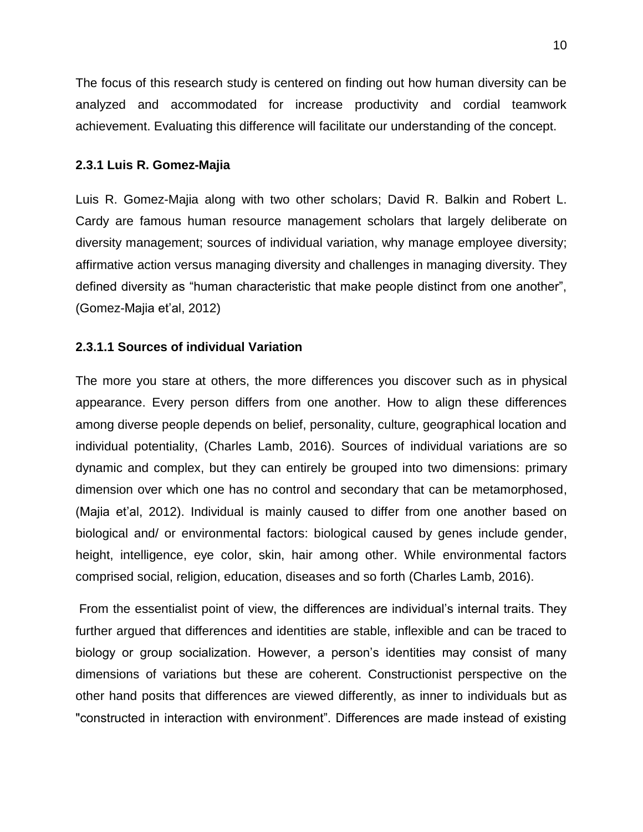The focus of this research study is centered on finding out how human diversity can be analyzed and accommodated for increase productivity and cordial teamwork achievement. Evaluating this difference will facilitate our understanding of the concept.

## **2.3.1 Luis R. Gomez-Majia**

<span id="page-24-0"></span>Luis R. Gomez-Majia along with two other scholars; David R. Balkin and Robert L. Cardy are famous human resource management scholars that largely deliberate on diversity management; sources of individual variation, why manage employee diversity; affirmative action versus managing diversity and challenges in managing diversity. They defined diversity as "human characteristic that make people distinct from one another", (Gomez-Majia et"al, 2012)

# **2.3.1.1 Sources of individual Variation**

<span id="page-24-1"></span>The more you stare at others, the more differences you discover such as in physical appearance. Every person differs from one another. How to align these differences among diverse people depends on belief, personality, culture, geographical location and individual potentiality, (Charles Lamb, 2016). Sources of individual variations are so dynamic and complex, but they can entirely be grouped into two dimensions: primary dimension over which one has no control and secondary that can be metamorphosed, (Majia et"al, 2012). Individual is mainly caused to differ from one another based on biological and/ or environmental factors: biological caused by genes include gender, height, intelligence, eye color, skin, hair among other. While environmental factors comprised social, religion, education, diseases and so forth (Charles Lamb, 2016).

From the essentialist point of view, the differences are individual"s internal traits. They further argued that differences and identities are stable, inflexible and can be traced to biology or group socialization. However, a person's identities may consist of many dimensions of variations but these are coherent. Constructionist perspective on the other hand posits that differences are viewed differently, as inner to individuals but as "constructed in interaction with environment". Differences are made instead of existing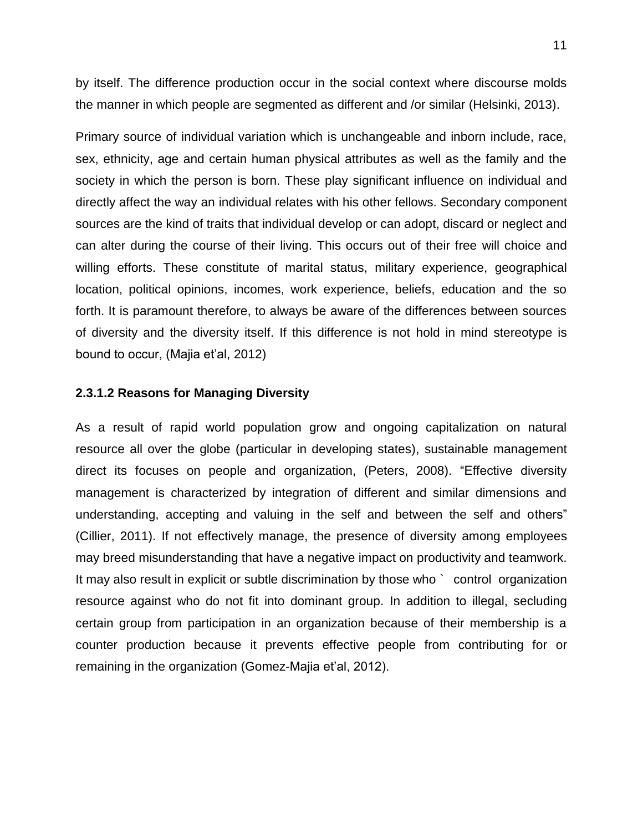by itself. The difference production occur in the social context where discourse molds the manner in which people are segmented as different and /or similar (Helsinki, 2013).

Primary source of individual variation which is unchangeable and inborn include, race, sex, ethnicity, age and certain human physical attributes as well as the family and the society in which the person is born. These play significant influence on individual and directly affect the way an individual relates with his other fellows. Secondary component sources are the kind of traits that individual develop or can adopt, discard or neglect and can alter during the course of their living. This occurs out of their free will choice and willing efforts. These constitute of marital status, military experience, geographical location, political opinions, incomes, work experience, beliefs, education and the so forth. It is paramount therefore, to always be aware of the differences between sources of diversity and the diversity itself. If this difference is not hold in mind stereotype is bound to occur, (Majia et'al, 2012)

#### **2.3.1.2 Reasons for Managing Diversity**

<span id="page-25-0"></span>As a result of rapid world population grow and ongoing capitalization on natural resource all over the globe (particular in developing states), sustainable management direct its focuses on people and organization, (Peters, 2008). "Effective diversity management is characterized by integration of different and similar dimensions and understanding, accepting and valuing in the self and between the self and others" (Cillier, 2011). If not effectively manage, the presence of diversity among employees may breed misunderstanding that have a negative impact on productivity and teamwork. It may also result in explicit or subtle discrimination by those who ` control organization resource against who do not fit into dominant group. In addition to illegal, secluding certain group from participation in an organization because of their membership is a counter production because it prevents effective people from contributing for or remaining in the organization (Gomez-Majia et'al, 2012).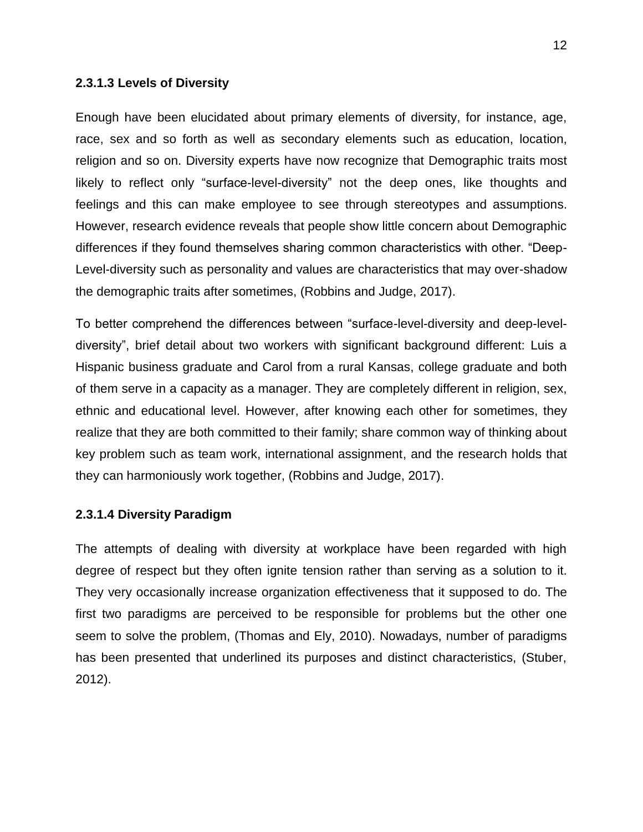#### **2.3.1.3 Levels of Diversity**

<span id="page-26-0"></span>Enough have been elucidated about primary elements of diversity, for instance, age, race, sex and so forth as well as secondary elements such as education, location, religion and so on. Diversity experts have now recognize that Demographic traits most likely to reflect only "surface-level-diversity" not the deep ones, like thoughts and feelings and this can make employee to see through stereotypes and assumptions. However, research evidence reveals that people show little concern about Demographic differences if they found themselves sharing common characteristics with other. "Deep-Level-diversity such as personality and values are characteristics that may over-shadow the demographic traits after sometimes, (Robbins and Judge, 2017).

To better comprehend the differences between "surface-level-diversity and deep-leveldiversity", brief detail about two workers with significant background different: Luis a Hispanic business graduate and Carol from a rural Kansas, college graduate and both of them serve in a capacity as a manager. They are completely different in religion, sex, ethnic and educational level. However, after knowing each other for sometimes, they realize that they are both committed to their family; share common way of thinking about key problem such as team work, international assignment, and the research holds that they can harmoniously work together, (Robbins and Judge, 2017).

#### **2.3.1.4 Diversity Paradigm**

<span id="page-26-1"></span>The attempts of dealing with diversity at workplace have been regarded with high degree of respect but they often ignite tension rather than serving as a solution to it. They very occasionally increase organization effectiveness that it supposed to do. The first two paradigms are perceived to be responsible for problems but the other one seem to solve the problem, (Thomas and Ely, 2010). Nowadays, number of paradigms has been presented that underlined its purposes and distinct characteristics, (Stuber, 2012).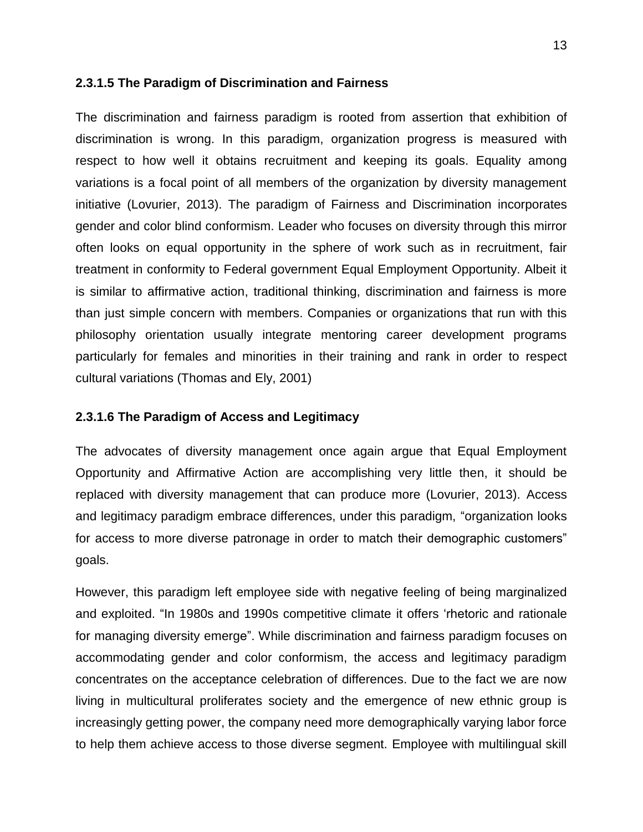#### **2.3.1.5 The Paradigm of Discrimination and Fairness**

<span id="page-27-0"></span>The discrimination and fairness paradigm is rooted from assertion that exhibition of discrimination is wrong. In this paradigm, organization progress is measured with respect to how well it obtains recruitment and keeping its goals. Equality among variations is a focal point of all members of the organization by diversity management initiative (Lovurier, 2013). The paradigm of Fairness and Discrimination incorporates gender and color blind conformism. Leader who focuses on diversity through this mirror often looks on equal opportunity in the sphere of work such as in recruitment, fair treatment in conformity to Federal government Equal Employment Opportunity. Albeit it is similar to affirmative action, traditional thinking, discrimination and fairness is more than just simple concern with members. Companies or organizations that run with this philosophy orientation usually integrate mentoring career development programs particularly for females and minorities in their training and rank in order to respect cultural variations (Thomas and Ely, 2001)

#### **2.3.1.6 The Paradigm of Access and Legitimacy**

<span id="page-27-1"></span>The advocates of diversity management once again argue that Equal Employment Opportunity and Affirmative Action are accomplishing very little then, it should be replaced with diversity management that can produce more (Lovurier, 2013). Access and legitimacy paradigm embrace differences, under this paradigm, "organization looks for access to more diverse patronage in order to match their demographic customers" goals.

However, this paradigm left employee side with negative feeling of being marginalized and exploited. "In 1980s and 1990s competitive climate it offers "rhetoric and rationale for managing diversity emerge". While discrimination and fairness paradigm focuses on accommodating gender and color conformism, the access and legitimacy paradigm concentrates on the acceptance celebration of differences. Due to the fact we are now living in multicultural proliferates society and the emergence of new ethnic group is increasingly getting power, the company need more demographically varying labor force to help them achieve access to those diverse segment. Employee with multilingual skill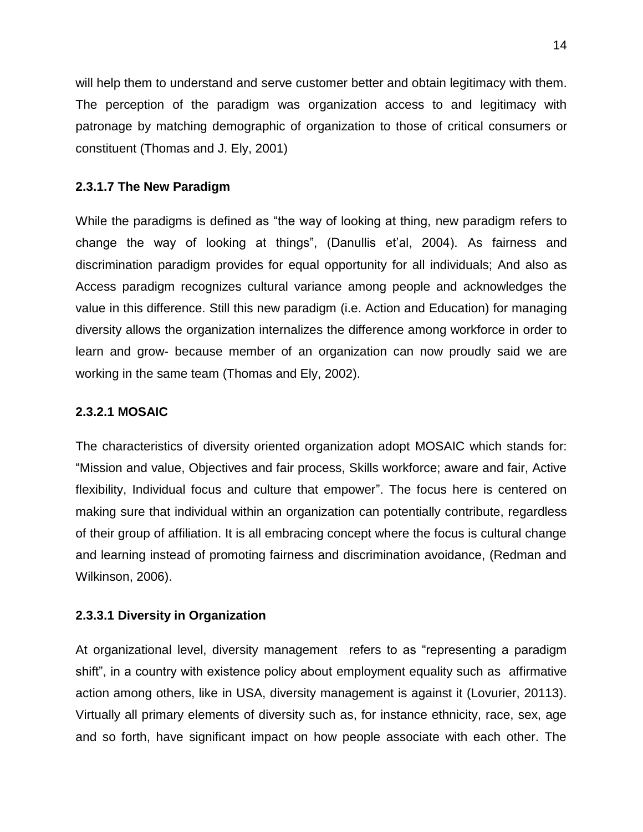will help them to understand and serve customer better and obtain legitimacy with them. The perception of the paradigm was organization access to and legitimacy with patronage by matching demographic of organization to those of critical consumers or constituent (Thomas and J. Ely, 2001)

# **2.3.1.7 The New Paradigm**

<span id="page-28-0"></span>While the paradigms is defined as "the way of looking at thing, new paradigm refers to change the way of looking at things", (Danullis et"al, 2004). As fairness and discrimination paradigm provides for equal opportunity for all individuals; And also as Access paradigm recognizes cultural variance among people and acknowledges the value in this difference. Still this new paradigm (i.e. Action and Education) for managing diversity allows the organization internalizes the difference among workforce in order to learn and grow- because member of an organization can now proudly said we are working in the same team (Thomas and Ely, 2002).

## **2.3.2.1 MOSAIC**

<span id="page-28-1"></span>The characteristics of diversity oriented organization adopt MOSAIC which stands for: "Mission and value, Objectives and fair process, Skills workforce; aware and fair, Active flexibility, Individual focus and culture that empower". The focus here is centered on making sure that individual within an organization can potentially contribute, regardless of their group of affiliation. It is all embracing concept where the focus is cultural change and learning instead of promoting fairness and discrimination avoidance, (Redman and Wilkinson, 2006).

### **2.3.3.1 Diversity in Organization**

<span id="page-28-2"></span>At organizational level, diversity management refers to as "representing a paradigm shift", in a country with existence policy about employment equality such as affirmative action among others, like in USA, diversity management is against it (Lovurier, 20113). Virtually all primary elements of diversity such as, for instance ethnicity, race, sex, age and so forth, have significant impact on how people associate with each other. The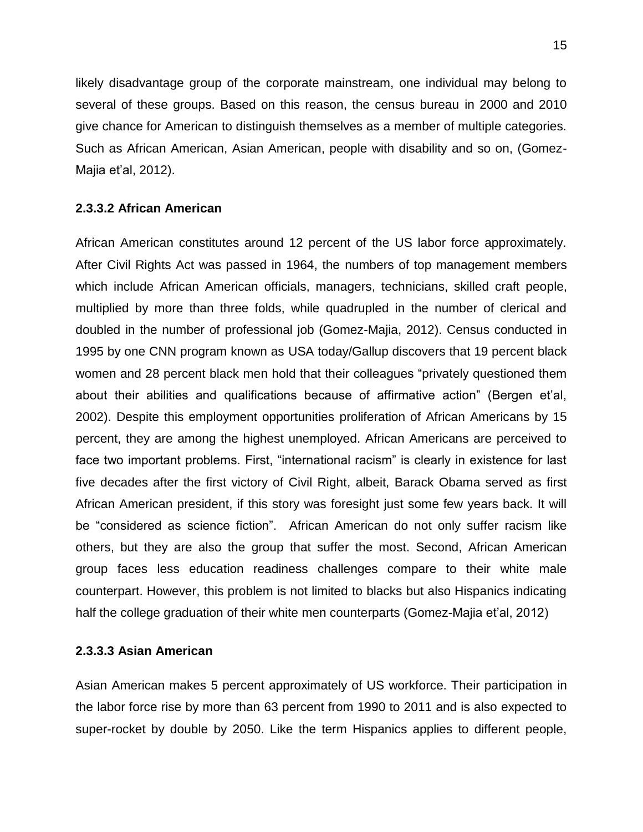likely disadvantage group of the corporate mainstream, one individual may belong to several of these groups. Based on this reason, the census bureau in 2000 and 2010 give chance for American to distinguish themselves as a member of multiple categories. Such as African American, Asian American, people with disability and so on, (Gomez-Majia et"al, 2012).

## **2.3.3.2 African American**

<span id="page-29-0"></span>African American constitutes around 12 percent of the US labor force approximately. After Civil Rights Act was passed in 1964, the numbers of top management members which include African American officials, managers, technicians, skilled craft people, multiplied by more than three folds, while quadrupled in the number of clerical and doubled in the number of professional job (Gomez-Majia, 2012). Census conducted in 1995 by one CNN program known as USA today/Gallup discovers that 19 percent black women and 28 percent black men hold that their colleagues "privately questioned them about their abilities and qualifications because of affirmative action" (Bergen et'al, 2002). Despite this employment opportunities proliferation of African Americans by 15 percent, they are among the highest unemployed. African Americans are perceived to face two important problems. First, "international racism" is clearly in existence for last five decades after the first victory of Civil Right, albeit, Barack Obama served as first African American president, if this story was foresight just some few years back. It will be "considered as science fiction". African American do not only suffer racism like others, but they are also the group that suffer the most. Second, African American group faces less education readiness challenges compare to their white male counterpart. However, this problem is not limited to blacks but also Hispanics indicating half the college graduation of their white men counterparts (Gomez-Majia et"al, 2012)

### **2.3.3.3 Asian American**

<span id="page-29-1"></span>Asian American makes 5 percent approximately of US workforce. Their participation in the labor force rise by more than 63 percent from 1990 to 2011 and is also expected to super-rocket by double by 2050. Like the term Hispanics applies to different people,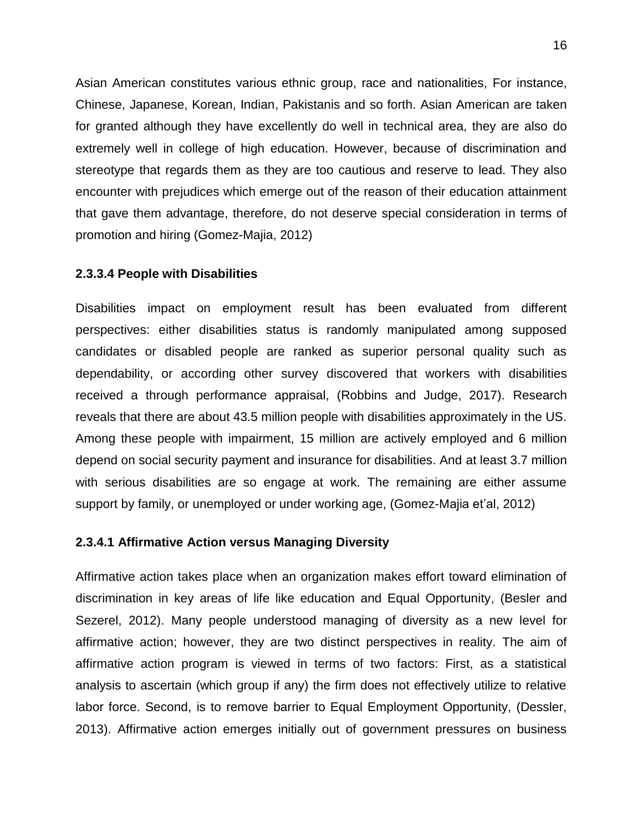Asian American constitutes various ethnic group, race and nationalities, For instance, Chinese, Japanese, Korean, Indian, Pakistanis and so forth. Asian American are taken for granted although they have excellently do well in technical area, they are also do extremely well in college of high education. However, because of discrimination and stereotype that regards them as they are too cautious and reserve to lead. They also encounter with prejudices which emerge out of the reason of their education attainment that gave them advantage, therefore, do not deserve special consideration in terms of promotion and hiring (Gomez-Majia, 2012)

#### **2.3.3.4 People with Disabilities**

<span id="page-30-0"></span>Disabilities impact on employment result has been evaluated from different perspectives: either disabilities status is randomly manipulated among supposed candidates or disabled people are ranked as superior personal quality such as dependability, or according other survey discovered that workers with disabilities received a through performance appraisal, (Robbins and Judge, 2017). Research reveals that there are about 43.5 million people with disabilities approximately in the US. Among these people with impairment, 15 million are actively employed and 6 million depend on social security payment and insurance for disabilities. And at least 3.7 million with serious disabilities are so engage at work. The remaining are either assume support by family, or unemployed or under working age, (Gomez-Majia et'al, 2012)

#### **2.3.4.1 Affirmative Action versus Managing Diversity**

<span id="page-30-1"></span>Affirmative action takes place when an organization makes effort toward elimination of discrimination in key areas of life like education and Equal Opportunity, (Besler and Sezerel, 2012). Many people understood managing of diversity as a new level for affirmative action; however, they are two distinct perspectives in reality. The aim of affirmative action program is viewed in terms of two factors: First, as a statistical analysis to ascertain (which group if any) the firm does not effectively utilize to relative labor force. Second, is to remove barrier to Equal Employment Opportunity, (Dessler, 2013). Affirmative action emerges initially out of government pressures on business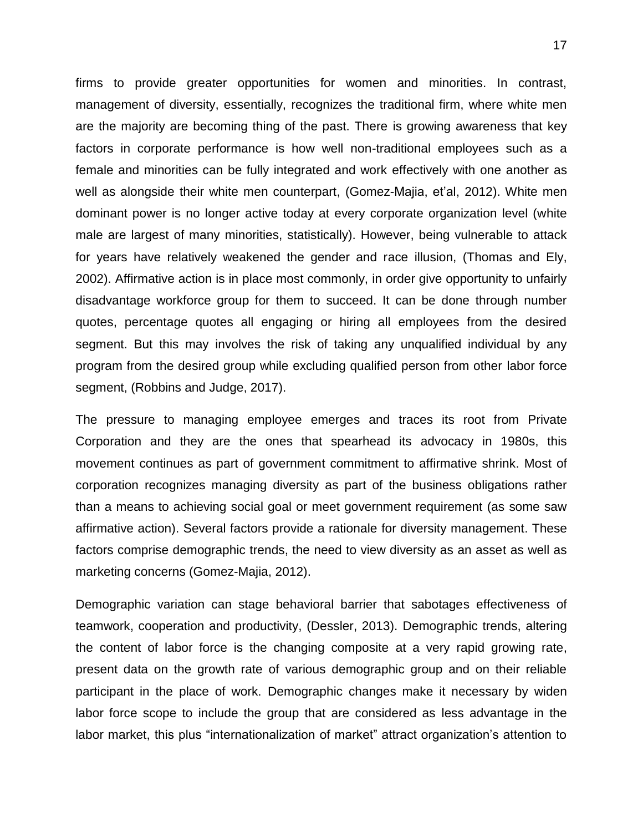firms to provide greater opportunities for women and minorities. In contrast, management of diversity, essentially, recognizes the traditional firm, where white men are the majority are becoming thing of the past. There is growing awareness that key factors in corporate performance is how well non-traditional employees such as a female and minorities can be fully integrated and work effectively with one another as well as alongside their white men counterpart, (Gomez-Majia, et"al, 2012). White men dominant power is no longer active today at every corporate organization level (white male are largest of many minorities, statistically). However, being vulnerable to attack for years have relatively weakened the gender and race illusion, (Thomas and Ely, 2002). Affirmative action is in place most commonly, in order give opportunity to unfairly disadvantage workforce group for them to succeed. It can be done through number quotes, percentage quotes all engaging or hiring all employees from the desired segment. But this may involves the risk of taking any unqualified individual by any program from the desired group while excluding qualified person from other labor force segment, (Robbins and Judge, 2017).

The pressure to managing employee emerges and traces its root from Private Corporation and they are the ones that spearhead its advocacy in 1980s, this movement continues as part of government commitment to affirmative shrink. Most of corporation recognizes managing diversity as part of the business obligations rather than a means to achieving social goal or meet government requirement (as some saw affirmative action). Several factors provide a rationale for diversity management. These factors comprise demographic trends, the need to view diversity as an asset as well as marketing concerns (Gomez-Majia, 2012).

Demographic variation can stage behavioral barrier that sabotages effectiveness of teamwork, cooperation and productivity, (Dessler, 2013). Demographic trends, altering the content of labor force is the changing composite at a very rapid growing rate, present data on the growth rate of various demographic group and on their reliable participant in the place of work. Demographic changes make it necessary by widen labor force scope to include the group that are considered as less advantage in the labor market, this plus "internationalization of market" attract organization"s attention to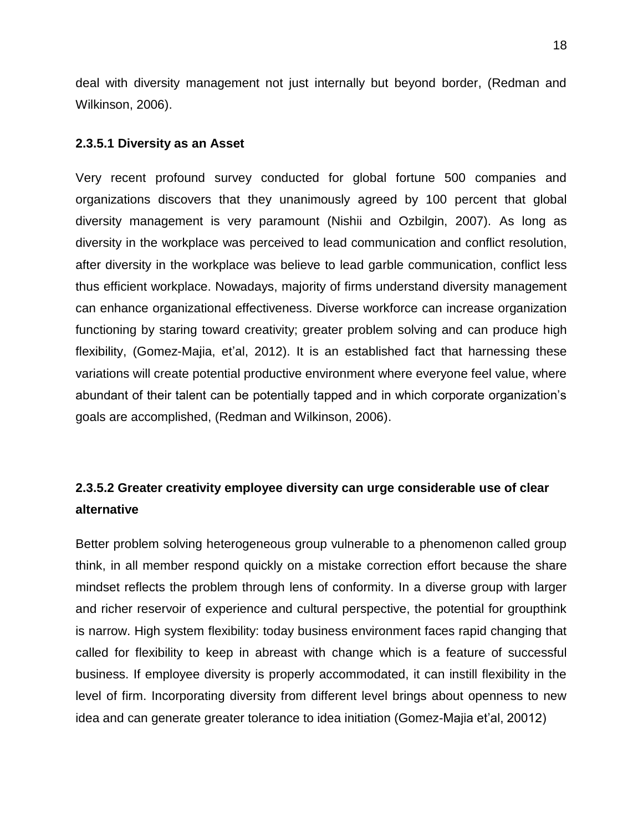deal with diversity management not just internally but beyond border, (Redman and Wilkinson, 2006).

#### **2.3.5.1 Diversity as an Asset**

<span id="page-32-0"></span>Very recent profound survey conducted for global fortune 500 companies and organizations discovers that they unanimously agreed by 100 percent that global diversity management is very paramount (Nishii and Ozbilgin, 2007). As long as diversity in the workplace was perceived to lead communication and conflict resolution, after diversity in the workplace was believe to lead garble communication, conflict less thus efficient workplace. Nowadays, majority of firms understand diversity management can enhance organizational effectiveness. Diverse workforce can increase organization functioning by staring toward creativity; greater problem solving and can produce high flexibility, (Gomez-Majia, et'al, 2012). It is an established fact that harnessing these variations will create potential productive environment where everyone feel value, where abundant of their talent can be potentially tapped and in which corporate organization"s goals are accomplished, (Redman and Wilkinson, 2006).

# **2.3.5.2 Greater creativity employee diversity can urge considerable use of clear alternative**

<span id="page-32-1"></span>Better problem solving heterogeneous group vulnerable to a phenomenon called group think, in all member respond quickly on a mistake correction effort because the share mindset reflects the problem through lens of conformity. In a diverse group with larger and richer reservoir of experience and cultural perspective, the potential for groupthink is narrow. High system flexibility: today business environment faces rapid changing that called for flexibility to keep in abreast with change which is a feature of successful business. If employee diversity is properly accommodated, it can instill flexibility in the level of firm. Incorporating diversity from different level brings about openness to new idea and can generate greater tolerance to idea initiation (Gomez-Majia et"al, 20012)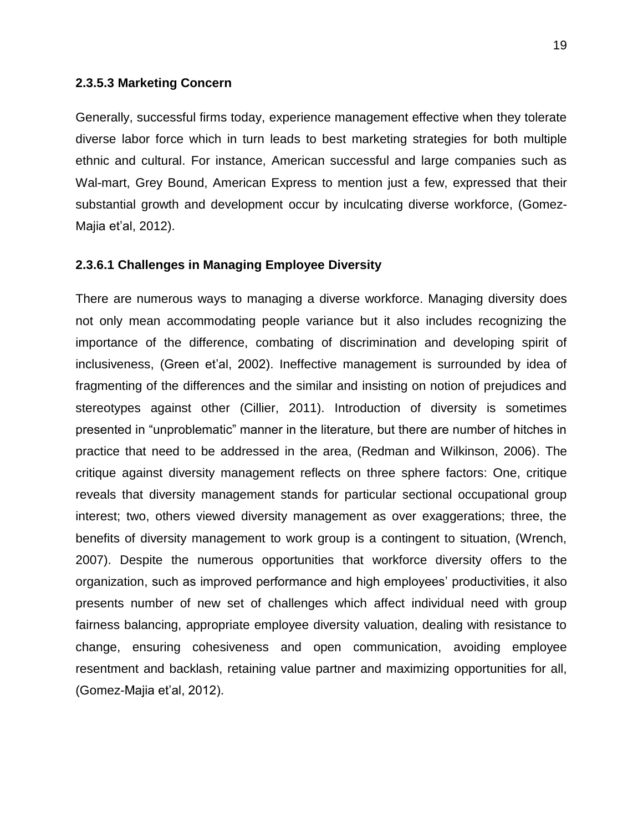#### **2.3.5.3 Marketing Concern**

<span id="page-33-0"></span>Generally, successful firms today, experience management effective when they tolerate diverse labor force which in turn leads to best marketing strategies for both multiple ethnic and cultural. For instance, American successful and large companies such as Wal-mart, Grey Bound, American Express to mention just a few, expressed that their substantial growth and development occur by inculcating diverse workforce, (Gomez-Majia et"al, 2012).

#### **2.3.6.1 Challenges in Managing Employee Diversity**

<span id="page-33-1"></span>There are numerous ways to managing a diverse workforce. Managing diversity does not only mean accommodating people variance but it also includes recognizing the importance of the difference, combating of discrimination and developing spirit of inclusiveness, (Green et'al, 2002). Ineffective management is surrounded by idea of fragmenting of the differences and the similar and insisting on notion of prejudices and stereotypes against other (Cillier, 2011). Introduction of diversity is sometimes presented in "unproblematic" manner in the literature, but there are number of hitches in practice that need to be addressed in the area, (Redman and Wilkinson, 2006). The critique against diversity management reflects on three sphere factors: One, critique reveals that diversity management stands for particular sectional occupational group interest; two, others viewed diversity management as over exaggerations; three, the benefits of diversity management to work group is a contingent to situation, (Wrench, 2007). Despite the numerous opportunities that workforce diversity offers to the organization, such as improved performance and high employees" productivities, it also presents number of new set of challenges which affect individual need with group fairness balancing, appropriate employee diversity valuation, dealing with resistance to change, ensuring cohesiveness and open communication, avoiding employee resentment and backlash, retaining value partner and maximizing opportunities for all, (Gomez-Majia et"al, 2012).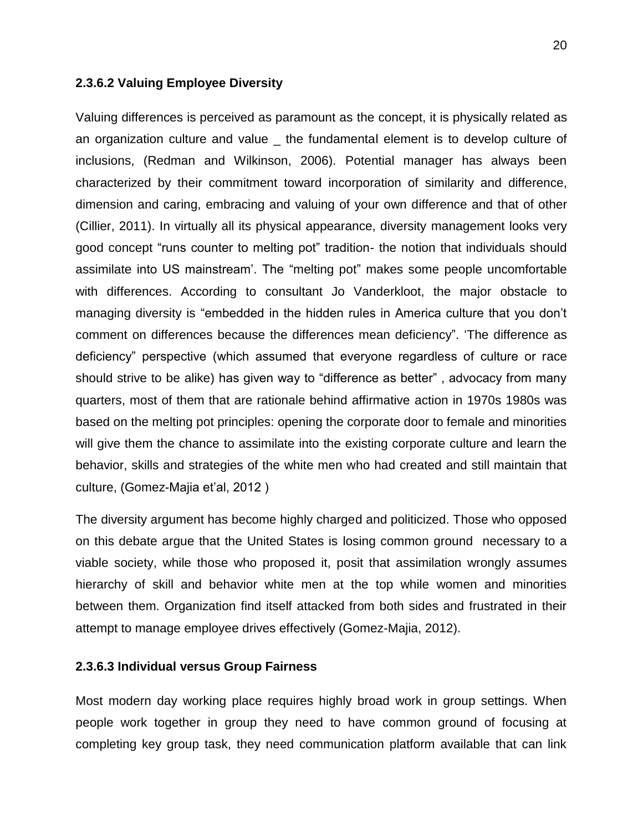#### **2.3.6.2 Valuing Employee Diversity**

<span id="page-34-0"></span>Valuing differences is perceived as paramount as the concept, it is physically related as an organization culture and value the fundamental element is to develop culture of inclusions, (Redman and Wilkinson, 2006). Potential manager has always been characterized by their commitment toward incorporation of similarity and difference, dimension and caring, embracing and valuing of your own difference and that of other (Cillier, 2011). In virtually all its physical appearance, diversity management looks very good concept "runs counter to melting pot" tradition- the notion that individuals should assimilate into US mainstream". The "melting pot" makes some people uncomfortable with differences. According to consultant Jo Vanderkloot, the major obstacle to managing diversity is "embedded in the hidden rules in America culture that you don"t comment on differences because the differences mean deficiency". "The difference as deficiency" perspective (which assumed that everyone regardless of culture or race should strive to be alike) has given way to "difference as better" , advocacy from many quarters, most of them that are rationale behind affirmative action in 1970s 1980s was based on the melting pot principles: opening the corporate door to female and minorities will give them the chance to assimilate into the existing corporate culture and learn the behavior, skills and strategies of the white men who had created and still maintain that culture, (Gomez-Majia et'al, 2012)

The diversity argument has become highly charged and politicized. Those who opposed on this debate argue that the United States is losing common ground necessary to a viable society, while those who proposed it, posit that assimilation wrongly assumes hierarchy of skill and behavior white men at the top while women and minorities between them. Organization find itself attacked from both sides and frustrated in their attempt to manage employee drives effectively (Gomez-Majia, 2012).

#### **2.3.6.3 Individual versus Group Fairness**

<span id="page-34-1"></span>Most modern day working place requires highly broad work in group settings. When people work together in group they need to have common ground of focusing at completing key group task, they need communication platform available that can link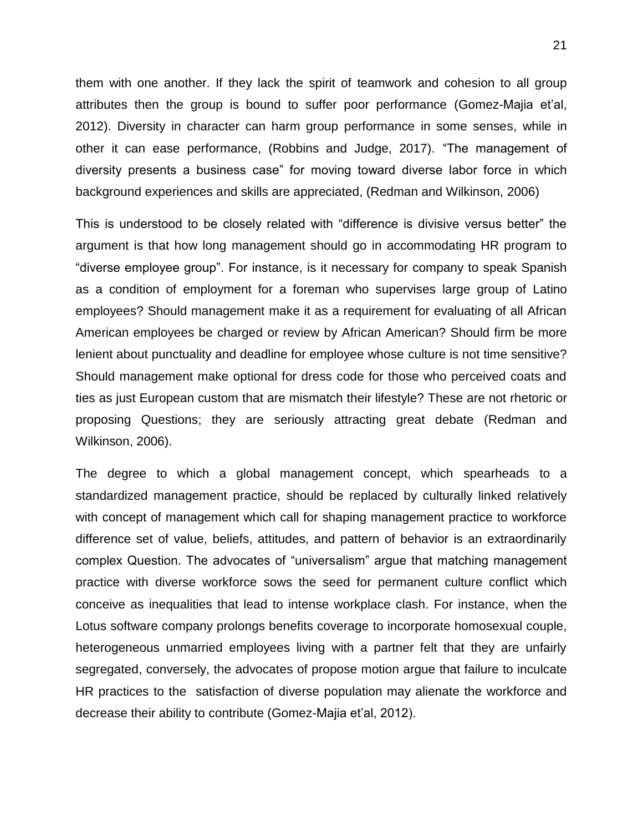them with one another. If they lack the spirit of teamwork and cohesion to all group attributes then the group is bound to suffer poor performance (Gomez-Majia et"al, 2012). Diversity in character can harm group performance in some senses, while in other it can ease performance, (Robbins and Judge, 2017). "The management of diversity presents a business case" for moving toward diverse labor force in which background experiences and skills are appreciated, (Redman and Wilkinson, 2006)

This is understood to be closely related with "difference is divisive versus better" the argument is that how long management should go in accommodating HR program to "diverse employee group". For instance, is it necessary for company to speak Spanish as a condition of employment for a foreman who supervises large group of Latino employees? Should management make it as a requirement for evaluating of all African American employees be charged or review by African American? Should firm be more lenient about punctuality and deadline for employee whose culture is not time sensitive? Should management make optional for dress code for those who perceived coats and ties as just European custom that are mismatch their lifestyle? These are not rhetoric or proposing Questions; they are seriously attracting great debate (Redman and Wilkinson, 2006).

The degree to which a global management concept, which spearheads to a standardized management practice, should be replaced by culturally linked relatively with concept of management which call for shaping management practice to workforce difference set of value, beliefs, attitudes, and pattern of behavior is an extraordinarily complex Question. The advocates of "universalism" argue that matching management practice with diverse workforce sows the seed for permanent culture conflict which conceive as inequalities that lead to intense workplace clash. For instance, when the Lotus software company prolongs benefits coverage to incorporate homosexual couple, heterogeneous unmarried employees living with a partner felt that they are unfairly segregated, conversely, the advocates of propose motion argue that failure to inculcate HR practices to the satisfaction of diverse population may alienate the workforce and decrease their ability to contribute (Gomez-Majia et'al, 2012).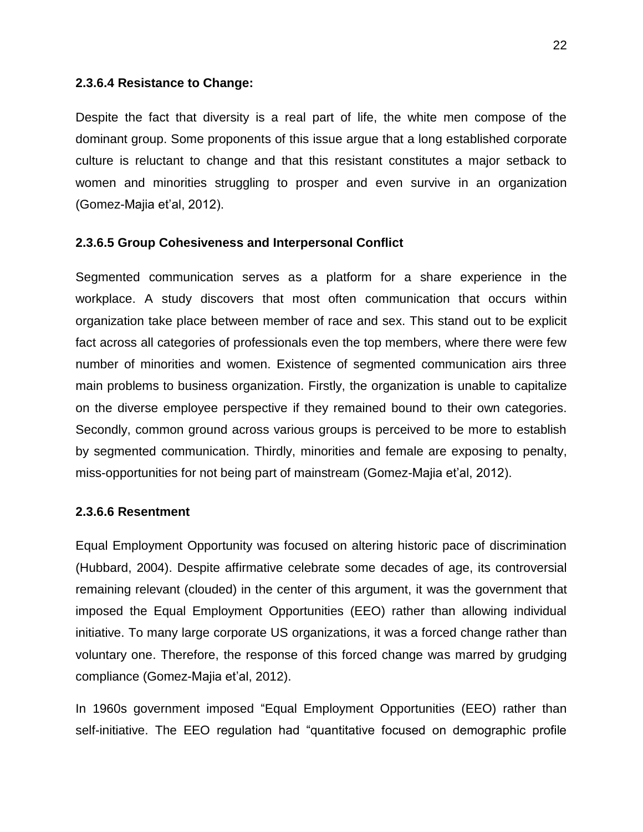#### **2.3.6.4 Resistance to Change:**

Despite the fact that diversity is a real part of life, the white men compose of the dominant group. Some proponents of this issue argue that a long established corporate culture is reluctant to change and that this resistant constitutes a major setback to women and minorities struggling to prosper and even survive in an organization (Gomez-Majia et"al, 2012).

#### **2.3.6.5 Group Cohesiveness and Interpersonal Conflict**

Segmented communication serves as a platform for a share experience in the workplace. A study discovers that most often communication that occurs within organization take place between member of race and sex. This stand out to be explicit fact across all categories of professionals even the top members, where there were few number of minorities and women. Existence of segmented communication airs three main problems to business organization. Firstly, the organization is unable to capitalize on the diverse employee perspective if they remained bound to their own categories. Secondly, common ground across various groups is perceived to be more to establish by segmented communication. Thirdly, minorities and female are exposing to penalty, miss-opportunities for not being part of mainstream (Gomez-Majia et'al, 2012).

#### **2.3.6.6 Resentment**

Equal Employment Opportunity was focused on altering historic pace of discrimination (Hubbard, 2004). Despite affirmative celebrate some decades of age, its controversial remaining relevant (clouded) in the center of this argument, it was the government that imposed the Equal Employment Opportunities (EEO) rather than allowing individual initiative. To many large corporate US organizations, it was a forced change rather than voluntary one. Therefore, the response of this forced change was marred by grudging compliance (Gomez-Majia et"al, 2012).

In 1960s government imposed "Equal Employment Opportunities (EEO) rather than self-initiative. The EEO regulation had "quantitative focused on demographic profile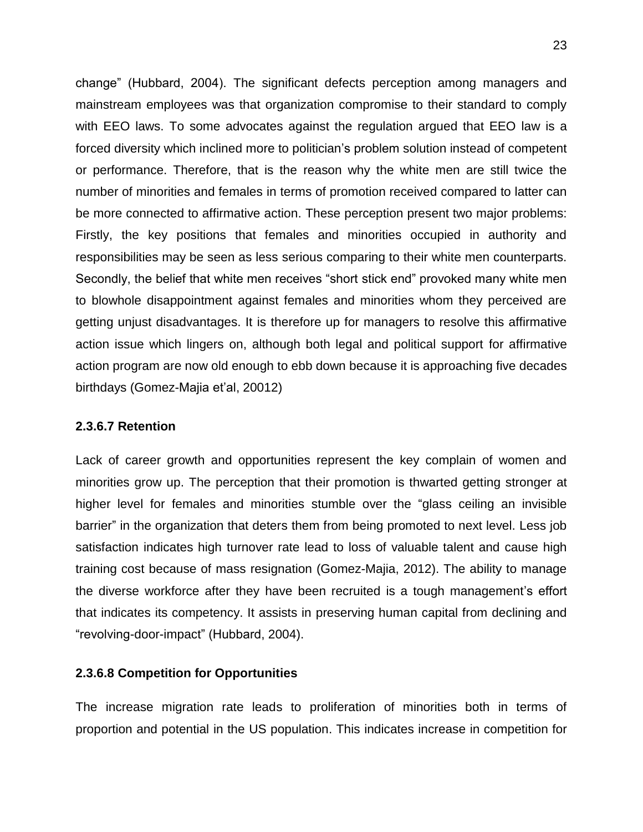change" (Hubbard, 2004). The significant defects perception among managers and mainstream employees was that organization compromise to their standard to comply with EEO laws. To some advocates against the regulation argued that EEO law is a forced diversity which inclined more to politician"s problem solution instead of competent or performance. Therefore, that is the reason why the white men are still twice the number of minorities and females in terms of promotion received compared to latter can be more connected to affirmative action. These perception present two major problems: Firstly, the key positions that females and minorities occupied in authority and responsibilities may be seen as less serious comparing to their white men counterparts. Secondly, the belief that white men receives "short stick end" provoked many white men to blowhole disappointment against females and minorities whom they perceived are getting unjust disadvantages. It is therefore up for managers to resolve this affirmative action issue which lingers on, although both legal and political support for affirmative action program are now old enough to ebb down because it is approaching five decades birthdays (Gomez-Majia et'al, 20012)

#### **2.3.6.7 Retention**

Lack of career growth and opportunities represent the key complain of women and minorities grow up. The perception that their promotion is thwarted getting stronger at higher level for females and minorities stumble over the "glass ceiling an invisible barrier" in the organization that deters them from being promoted to next level. Less job satisfaction indicates high turnover rate lead to loss of valuable talent and cause high training cost because of mass resignation (Gomez-Majia, 2012). The ability to manage the diverse workforce after they have been recruited is a tough management"s effort that indicates its competency. It assists in preserving human capital from declining and "revolving-door-impact" (Hubbard, 2004).

#### **2.3.6.8 Competition for Opportunities**

The increase migration rate leads to proliferation of minorities both in terms of proportion and potential in the US population. This indicates increase in competition for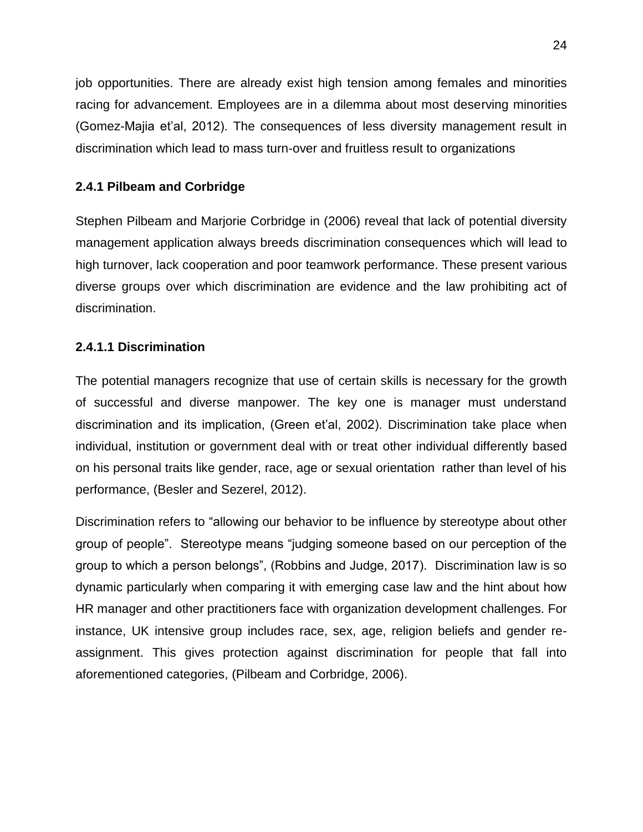job opportunities. There are already exist high tension among females and minorities racing for advancement. Employees are in a dilemma about most deserving minorities (Gomez-Majia et'al, 2012). The consequences of less diversity management result in discrimination which lead to mass turn-over and fruitless result to organizations

## **2.4.1 Pilbeam and Corbridge**

Stephen Pilbeam and Marjorie Corbridge in (2006) reveal that lack of potential diversity management application always breeds discrimination consequences which will lead to high turnover, lack cooperation and poor teamwork performance. These present various diverse groups over which discrimination are evidence and the law prohibiting act of discrimination.

## **2.4.1.1 Discrimination**

The potential managers recognize that use of certain skills is necessary for the growth of successful and diverse manpower. The key one is manager must understand discrimination and its implication, (Green et'al, 2002). Discrimination take place when individual, institution or government deal with or treat other individual differently based on his personal traits like gender, race, age or sexual orientation rather than level of his performance, (Besler and Sezerel, 2012).

Discrimination refers to "allowing our behavior to be influence by stereotype about other group of people". Stereotype means "judging someone based on our perception of the group to which a person belongs", (Robbins and Judge, 2017). Discrimination law is so dynamic particularly when comparing it with emerging case law and the hint about how HR manager and other practitioners face with organization development challenges. For instance, UK intensive group includes race, sex, age, religion beliefs and gender reassignment. This gives protection against discrimination for people that fall into aforementioned categories, (Pilbeam and Corbridge, 2006).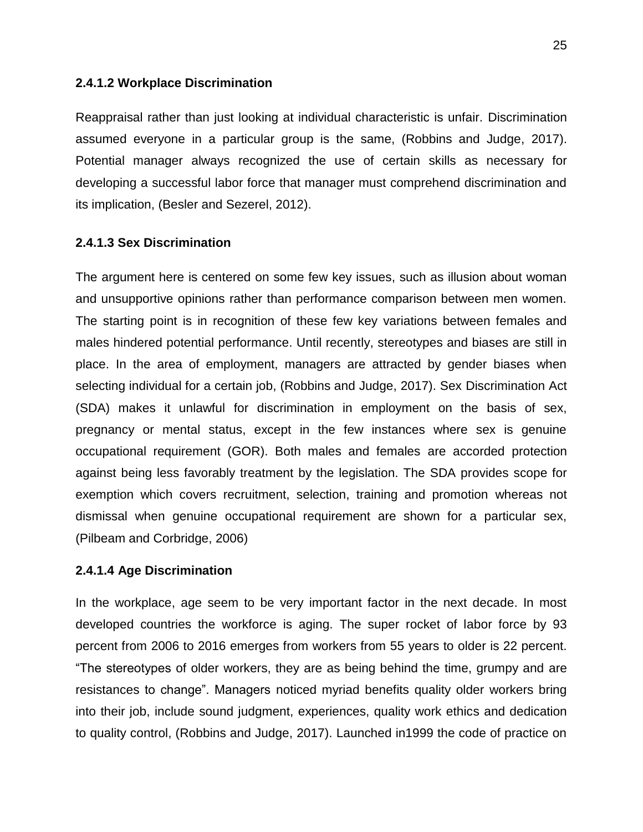#### **2.4.1.2 Workplace Discrimination**

Reappraisal rather than just looking at individual characteristic is unfair. Discrimination assumed everyone in a particular group is the same, (Robbins and Judge, 2017). Potential manager always recognized the use of certain skills as necessary for developing a successful labor force that manager must comprehend discrimination and its implication, (Besler and Sezerel, 2012).

#### **2.4.1.3 Sex Discrimination**

The argument here is centered on some few key issues, such as illusion about woman and unsupportive opinions rather than performance comparison between men women. The starting point is in recognition of these few key variations between females and males hindered potential performance. Until recently, stereotypes and biases are still in place. In the area of employment, managers are attracted by gender biases when selecting individual for a certain job, (Robbins and Judge, 2017). Sex Discrimination Act (SDA) makes it unlawful for discrimination in employment on the basis of sex, pregnancy or mental status, except in the few instances where sex is genuine occupational requirement (GOR). Both males and females are accorded protection against being less favorably treatment by the legislation. The SDA provides scope for exemption which covers recruitment, selection, training and promotion whereas not dismissal when genuine occupational requirement are shown for a particular sex, (Pilbeam and Corbridge, 2006)

#### **2.4.1.4 Age Discrimination**

In the workplace, age seem to be very important factor in the next decade. In most developed countries the workforce is aging. The super rocket of labor force by 93 percent from 2006 to 2016 emerges from workers from 55 years to older is 22 percent. "The stereotypes of older workers, they are as being behind the time, grumpy and are resistances to change". Managers noticed myriad benefits quality older workers bring into their job, include sound judgment, experiences, quality work ethics and dedication to quality control, (Robbins and Judge, 2017). Launched in1999 the code of practice on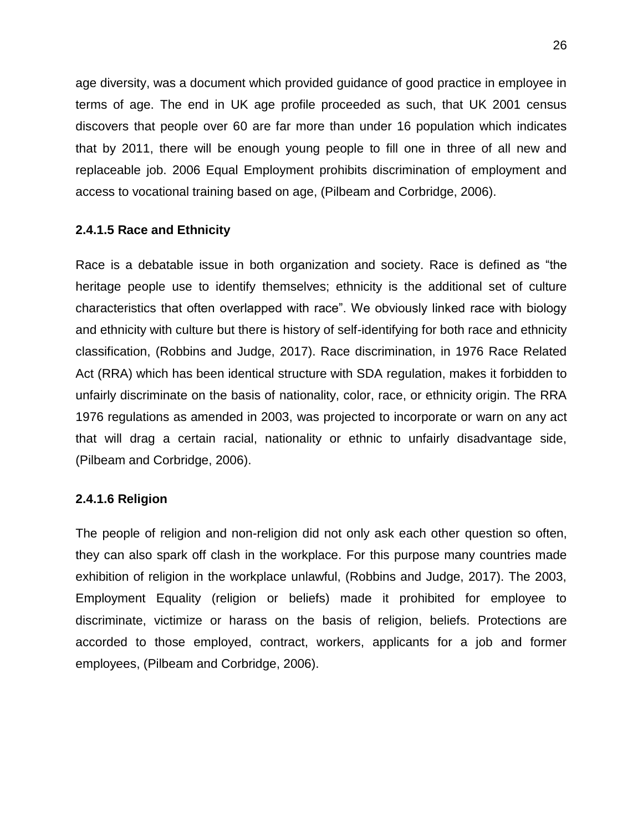age diversity, was a document which provided guidance of good practice in employee in terms of age. The end in UK age profile proceeded as such, that UK 2001 census discovers that people over 60 are far more than under 16 population which indicates that by 2011, there will be enough young people to fill one in three of all new and replaceable job. 2006 Equal Employment prohibits discrimination of employment and access to vocational training based on age, (Pilbeam and Corbridge, 2006).

## **2.4.1.5 Race and Ethnicity**

Race is a debatable issue in both organization and society. Race is defined as "the heritage people use to identify themselves; ethnicity is the additional set of culture characteristics that often overlapped with race". We obviously linked race with biology and ethnicity with culture but there is history of self-identifying for both race and ethnicity classification, (Robbins and Judge, 2017). Race discrimination, in 1976 Race Related Act (RRA) which has been identical structure with SDA regulation, makes it forbidden to unfairly discriminate on the basis of nationality, color, race, or ethnicity origin. The RRA 1976 regulations as amended in 2003, was projected to incorporate or warn on any act that will drag a certain racial, nationality or ethnic to unfairly disadvantage side, (Pilbeam and Corbridge, 2006).

#### **2.4.1.6 Religion**

The people of religion and non-religion did not only ask each other question so often, they can also spark off clash in the workplace. For this purpose many countries made exhibition of religion in the workplace unlawful, (Robbins and Judge, 2017). The 2003, Employment Equality (religion or beliefs) made it prohibited for employee to discriminate, victimize or harass on the basis of religion, beliefs. Protections are accorded to those employed, contract, workers, applicants for a job and former employees, (Pilbeam and Corbridge, 2006).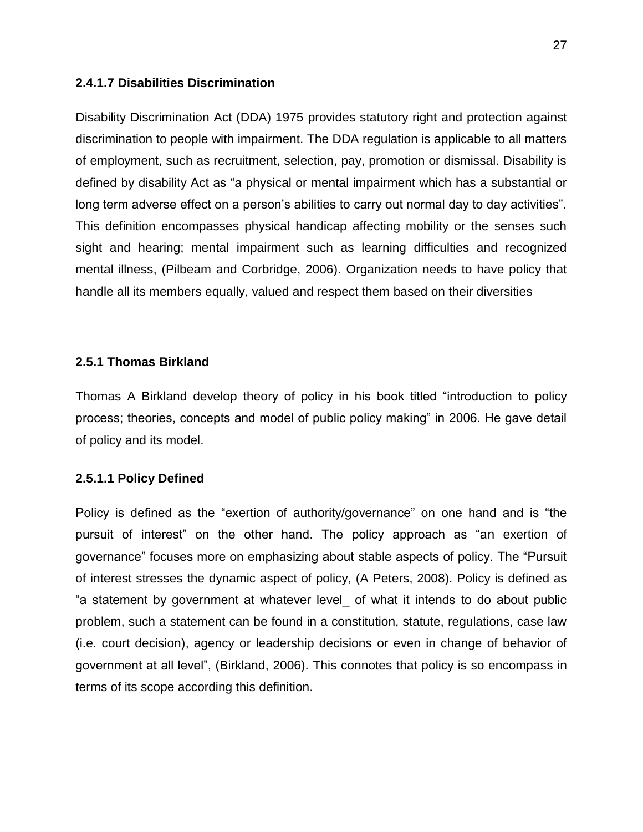#### **2.4.1.7 Disabilities Discrimination**

Disability Discrimination Act (DDA) 1975 provides statutory right and protection against discrimination to people with impairment. The DDA regulation is applicable to all matters of employment, such as recruitment, selection, pay, promotion or dismissal. Disability is defined by disability Act as "a physical or mental impairment which has a substantial or long term adverse effect on a person's abilities to carry out normal day to day activities". This definition encompasses physical handicap affecting mobility or the senses such sight and hearing; mental impairment such as learning difficulties and recognized mental illness, (Pilbeam and Corbridge, 2006). Organization needs to have policy that handle all its members equally, valued and respect them based on their diversities

#### **2.5.1 Thomas Birkland**

Thomas A Birkland develop theory of policy in his book titled "introduction to policy process; theories, concepts and model of public policy making" in 2006. He gave detail of policy and its model.

## **2.5.1.1 Policy Defined**

Policy is defined as the "exertion of authority/governance" on one hand and is "the pursuit of interest" on the other hand. The policy approach as "an exertion of governance" focuses more on emphasizing about stable aspects of policy. The "Pursuit of interest stresses the dynamic aspect of policy, (A Peters, 2008). Policy is defined as "a statement by government at whatever level\_ of what it intends to do about public problem, such a statement can be found in a constitution, statute, regulations, case law (i.e. court decision), agency or leadership decisions or even in change of behavior of government at all level", (Birkland, 2006). This connotes that policy is so encompass in terms of its scope according this definition.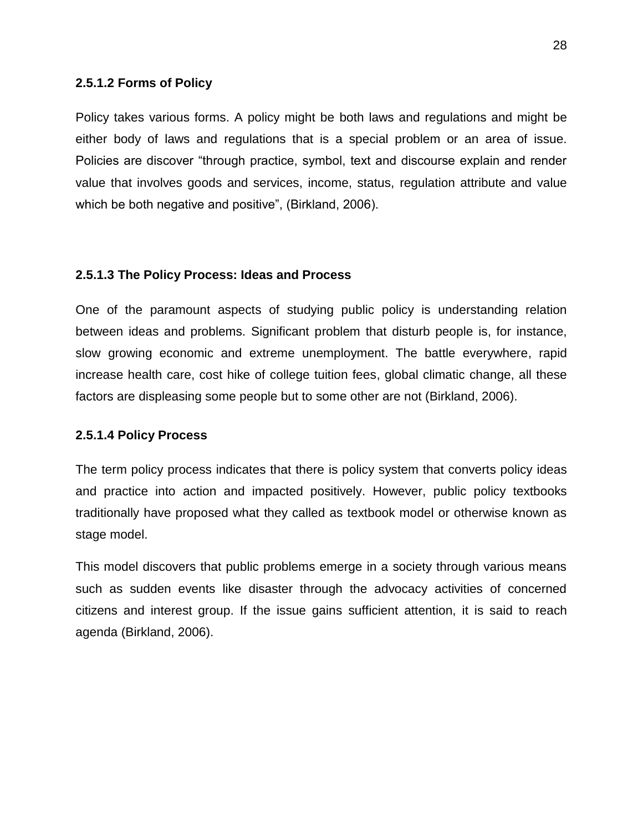#### **2.5.1.2 Forms of Policy**

Policy takes various forms. A policy might be both laws and regulations and might be either body of laws and regulations that is a special problem or an area of issue. Policies are discover "through practice, symbol, text and discourse explain and render value that involves goods and services, income, status, regulation attribute and value which be both negative and positive", (Birkland, 2006).

#### **2.5.1.3 The Policy Process: Ideas and Process**

One of the paramount aspects of studying public policy is understanding relation between ideas and problems. Significant problem that disturb people is, for instance, slow growing economic and extreme unemployment. The battle everywhere, rapid increase health care, cost hike of college tuition fees, global climatic change, all these factors are displeasing some people but to some other are not (Birkland, 2006).

#### **2.5.1.4 Policy Process**

The term policy process indicates that there is policy system that converts policy ideas and practice into action and impacted positively. However, public policy textbooks traditionally have proposed what they called as textbook model or otherwise known as stage model.

This model discovers that public problems emerge in a society through various means such as sudden events like disaster through the advocacy activities of concerned citizens and interest group. If the issue gains sufficient attention, it is said to reach agenda (Birkland, 2006).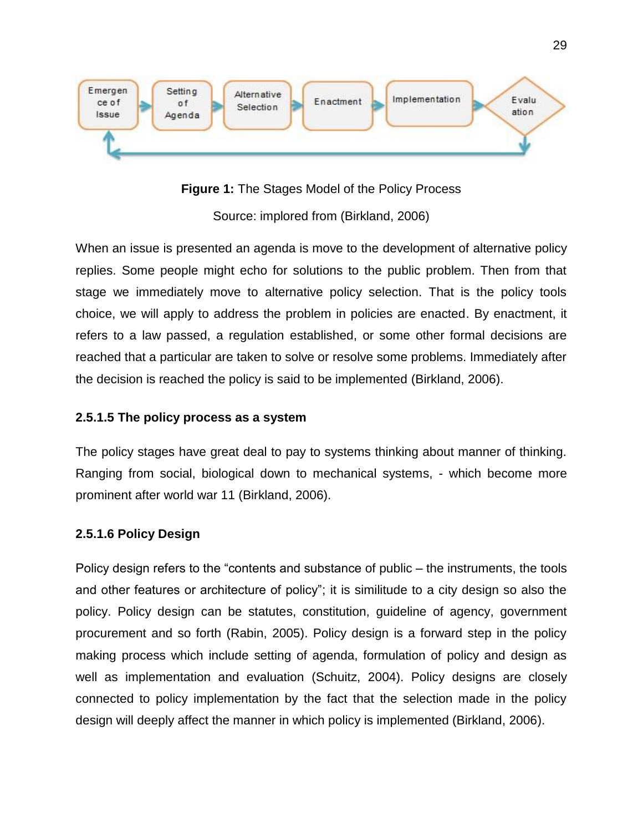

**Figure 1:** The Stages Model of the Policy Process

Source: implored from (Birkland, 2006)

When an issue is presented an agenda is move to the development of alternative policy replies. Some people might echo for solutions to the public problem. Then from that stage we immediately move to alternative policy selection. That is the policy tools choice, we will apply to address the problem in policies are enacted. By enactment, it refers to a law passed, a regulation established, or some other formal decisions are reached that a particular are taken to solve or resolve some problems. Immediately after the decision is reached the policy is said to be implemented (Birkland, 2006).

## **2.5.1.5 The policy process as a system**

The policy stages have great deal to pay to systems thinking about manner of thinking. Ranging from social, biological down to mechanical systems, - which become more prominent after world war 11 (Birkland, 2006).

## **2.5.1.6 Policy Design**

Policy design refers to the "contents and substance of public – the instruments, the tools and other features or architecture of policy"; it is similitude to a city design so also the policy. Policy design can be statutes, constitution, guideline of agency, government procurement and so forth (Rabin, 2005). Policy design is a forward step in the policy making process which include setting of agenda, formulation of policy and design as well as implementation and evaluation (Schuitz, 2004). Policy designs are closely connected to policy implementation by the fact that the selection made in the policy design will deeply affect the manner in which policy is implemented (Birkland, 2006).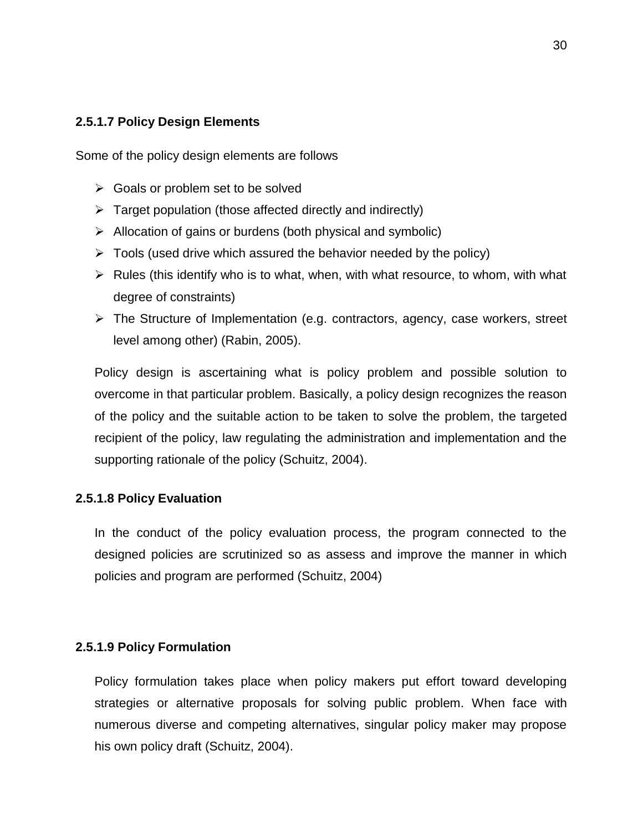## **2.5.1.7 Policy Design Elements**

Some of the policy design elements are follows

- $\triangleright$  Goals or problem set to be solved
- $\triangleright$  Target population (those affected directly and indirectly)
- $\triangleright$  Allocation of gains or burdens (both physical and symbolic)
- $\triangleright$  Tools (used drive which assured the behavior needed by the policy)
- $\triangleright$  Rules (this identify who is to what, when, with what resource, to whom, with what degree of constraints)
- $\triangleright$  The Structure of Implementation (e.g. contractors, agency, case workers, street level among other) (Rabin, 2005).

Policy design is ascertaining what is policy problem and possible solution to overcome in that particular problem. Basically, a policy design recognizes the reason of the policy and the suitable action to be taken to solve the problem, the targeted recipient of the policy, law regulating the administration and implementation and the supporting rationale of the policy (Schuitz, 2004).

#### **2.5.1.8 Policy Evaluation**

In the conduct of the policy evaluation process, the program connected to the designed policies are scrutinized so as assess and improve the manner in which policies and program are performed (Schuitz, 2004)

#### **2.5.1.9 Policy Formulation**

Policy formulation takes place when policy makers put effort toward developing strategies or alternative proposals for solving public problem. When face with numerous diverse and competing alternatives, singular policy maker may propose his own policy draft (Schuitz, 2004).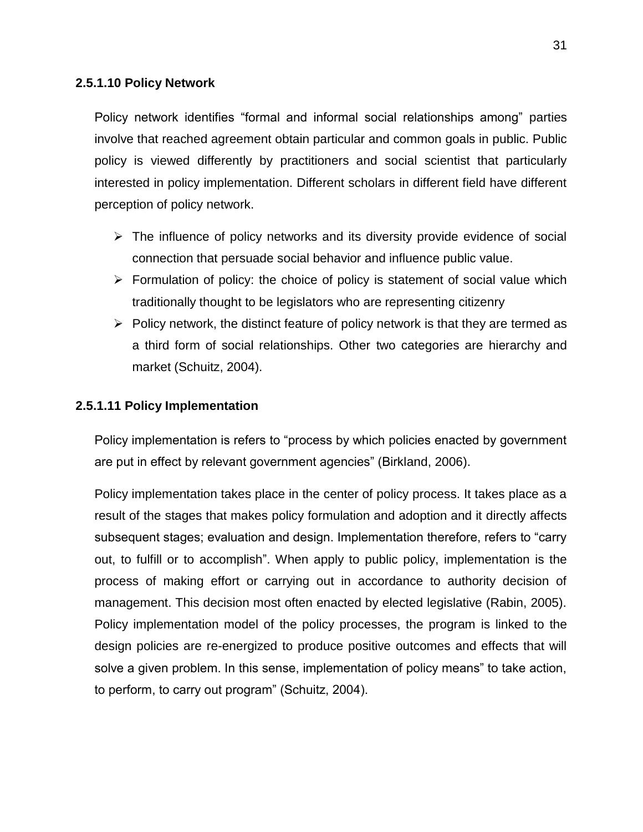## **2.5.1.10 Policy Network**

Policy network identifies "formal and informal social relationships among" parties involve that reached agreement obtain particular and common goals in public. Public policy is viewed differently by practitioners and social scientist that particularly interested in policy implementation. Different scholars in different field have different perception of policy network.

- $\triangleright$  The influence of policy networks and its diversity provide evidence of social connection that persuade social behavior and influence public value.
- $\triangleright$  Formulation of policy: the choice of policy is statement of social value which traditionally thought to be legislators who are representing citizenry
- $\triangleright$  Policy network, the distinct feature of policy network is that they are termed as a third form of social relationships. Other two categories are hierarchy and market (Schuitz, 2004).

#### **2.5.1.11 Policy Implementation**

Policy implementation is refers to "process by which policies enacted by government are put in effect by relevant government agencies" (Birkland, 2006).

Policy implementation takes place in the center of policy process. It takes place as a result of the stages that makes policy formulation and adoption and it directly affects subsequent stages; evaluation and design. Implementation therefore, refers to "carry out, to fulfill or to accomplish". When apply to public policy, implementation is the process of making effort or carrying out in accordance to authority decision of management. This decision most often enacted by elected legislative (Rabin, 2005). Policy implementation model of the policy processes, the program is linked to the design policies are re-energized to produce positive outcomes and effects that will solve a given problem. In this sense, implementation of policy means" to take action, to perform, to carry out program" (Schuitz, 2004).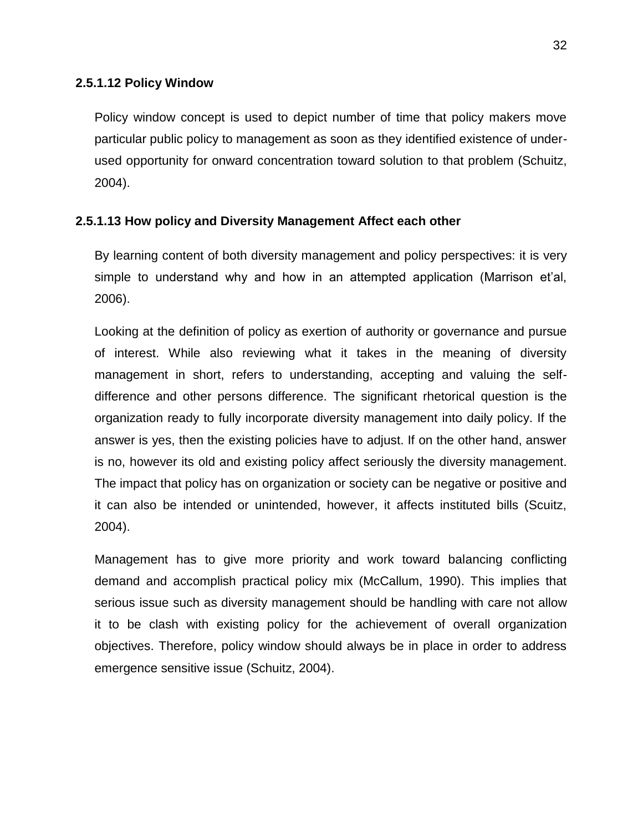#### **2.5.1.12 Policy Window**

Policy window concept is used to depict number of time that policy makers move particular public policy to management as soon as they identified existence of underused opportunity for onward concentration toward solution to that problem (Schuitz, 2004).

#### **2.5.1.13 How policy and Diversity Management Affect each other**

By learning content of both diversity management and policy perspectives: it is very simple to understand why and how in an attempted application (Marrison et'al, 2006).

Looking at the definition of policy as exertion of authority or governance and pursue of interest. While also reviewing what it takes in the meaning of diversity management in short, refers to understanding, accepting and valuing the selfdifference and other persons difference. The significant rhetorical question is the organization ready to fully incorporate diversity management into daily policy. If the answer is yes, then the existing policies have to adjust. If on the other hand, answer is no, however its old and existing policy affect seriously the diversity management. The impact that policy has on organization or society can be negative or positive and it can also be intended or unintended, however, it affects instituted bills (Scuitz, 2004).

Management has to give more priority and work toward balancing conflicting demand and accomplish practical policy mix (McCallum, 1990). This implies that serious issue such as diversity management should be handling with care not allow it to be clash with existing policy for the achievement of overall organization objectives. Therefore, policy window should always be in place in order to address emergence sensitive issue (Schuitz, 2004).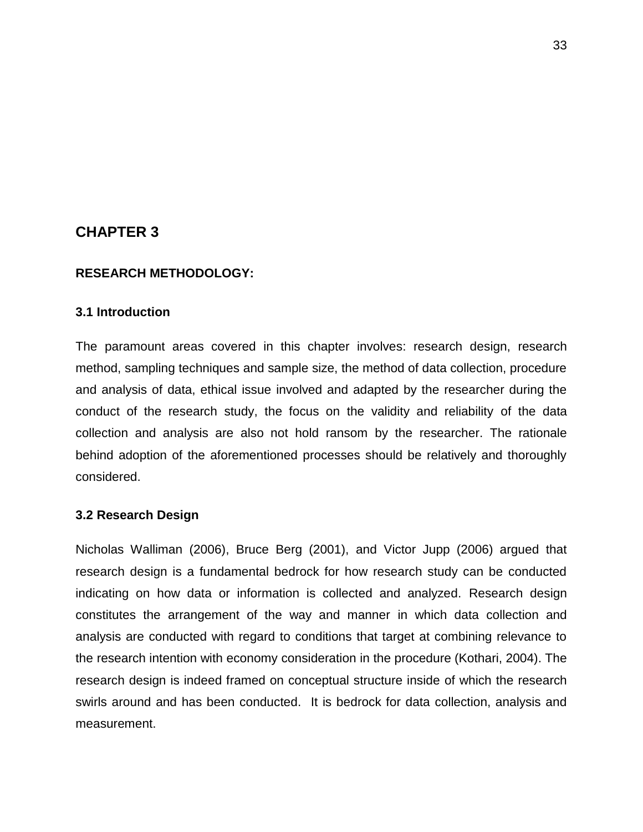## **CHAPTER 3**

#### **RESEARCH METHODOLOGY:**

#### **3.1 Introduction**

The paramount areas covered in this chapter involves: research design, research method, sampling techniques and sample size, the method of data collection, procedure and analysis of data, ethical issue involved and adapted by the researcher during the conduct of the research study, the focus on the validity and reliability of the data collection and analysis are also not hold ransom by the researcher. The rationale behind adoption of the aforementioned processes should be relatively and thoroughly considered.

#### **3.2 Research Design**

Nicholas Walliman (2006), Bruce Berg (2001), and Victor Jupp (2006) argued that research design is a fundamental bedrock for how research study can be conducted indicating on how data or information is collected and analyzed. Research design constitutes the arrangement of the way and manner in which data collection and analysis are conducted with regard to conditions that target at combining relevance to the research intention with economy consideration in the procedure (Kothari, 2004). The research design is indeed framed on conceptual structure inside of which the research swirls around and has been conducted. It is bedrock for data collection, analysis and measurement.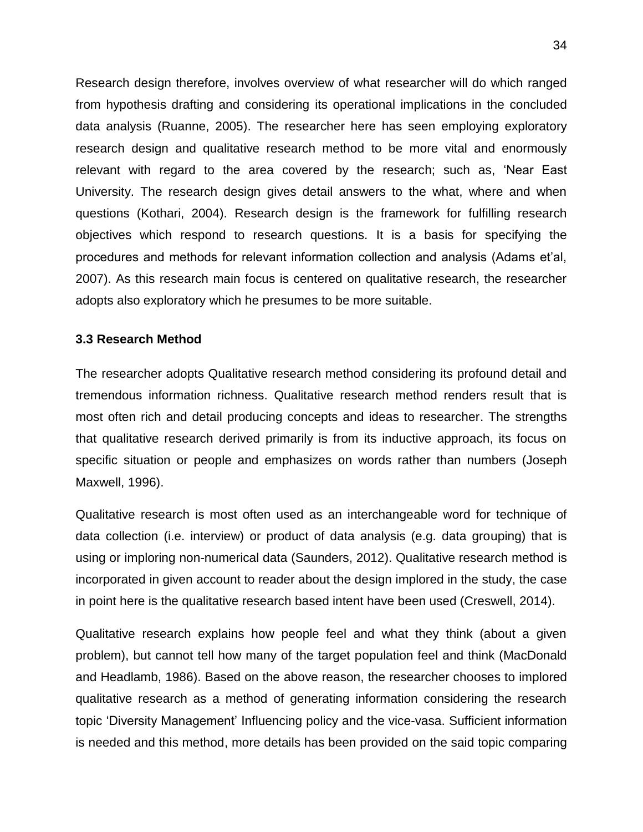Research design therefore, involves overview of what researcher will do which ranged from hypothesis drafting and considering its operational implications in the concluded data analysis (Ruanne, 2005). The researcher here has seen employing exploratory research design and qualitative research method to be more vital and enormously relevant with regard to the area covered by the research; such as, "Near East University. The research design gives detail answers to the what, where and when questions (Kothari, 2004). Research design is the framework for fulfilling research objectives which respond to research questions. It is a basis for specifying the procedures and methods for relevant information collection and analysis (Adams et"al, 2007). As this research main focus is centered on qualitative research, the researcher adopts also exploratory which he presumes to be more suitable.

#### **3.3 Research Method**

The researcher adopts Qualitative research method considering its profound detail and tremendous information richness. Qualitative research method renders result that is most often rich and detail producing concepts and ideas to researcher. The strengths that qualitative research derived primarily is from its inductive approach, its focus on specific situation or people and emphasizes on words rather than numbers (Joseph Maxwell, 1996).

Qualitative research is most often used as an interchangeable word for technique of data collection (i.e. interview) or product of data analysis (e.g. data grouping) that is using or imploring non-numerical data (Saunders, 2012). Qualitative research method is incorporated in given account to reader about the design implored in the study, the case in point here is the qualitative research based intent have been used (Creswell, 2014).

Qualitative research explains how people feel and what they think (about a given problem), but cannot tell how many of the target population feel and think (MacDonald and Headlamb, 1986). Based on the above reason, the researcher chooses to implored qualitative research as a method of generating information considering the research topic "Diversity Management" Influencing policy and the vice-vasa. Sufficient information is needed and this method, more details has been provided on the said topic comparing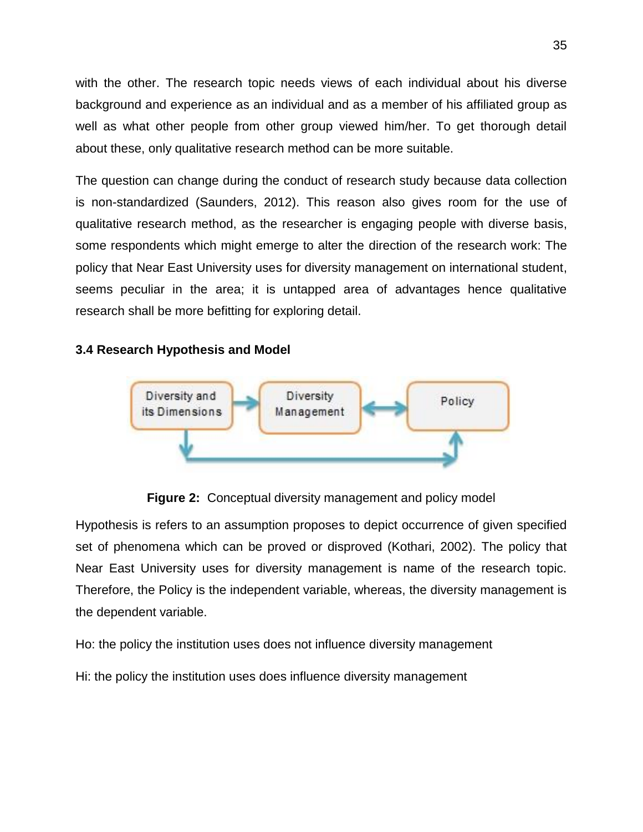with the other. The research topic needs views of each individual about his diverse background and experience as an individual and as a member of his affiliated group as well as what other people from other group viewed him/her. To get thorough detail about these, only qualitative research method can be more suitable.

The question can change during the conduct of research study because data collection is non-standardized (Saunders, 2012). This reason also gives room for the use of qualitative research method, as the researcher is engaging people with diverse basis, some respondents which might emerge to alter the direction of the research work: The policy that Near East University uses for diversity management on international student, seems peculiar in the area; it is untapped area of advantages hence qualitative research shall be more befitting for exploring detail.

## **3.4 Research Hypothesis and Model**



**Figure 2:** Conceptual diversity management and policy model

Hypothesis is refers to an assumption proposes to depict occurrence of given specified set of phenomena which can be proved or disproved (Kothari, 2002). The policy that Near East University uses for diversity management is name of the research topic. Therefore, the Policy is the independent variable, whereas, the diversity management is the dependent variable.

Ho: the policy the institution uses does not influence diversity management

Hi: the policy the institution uses does influence diversity management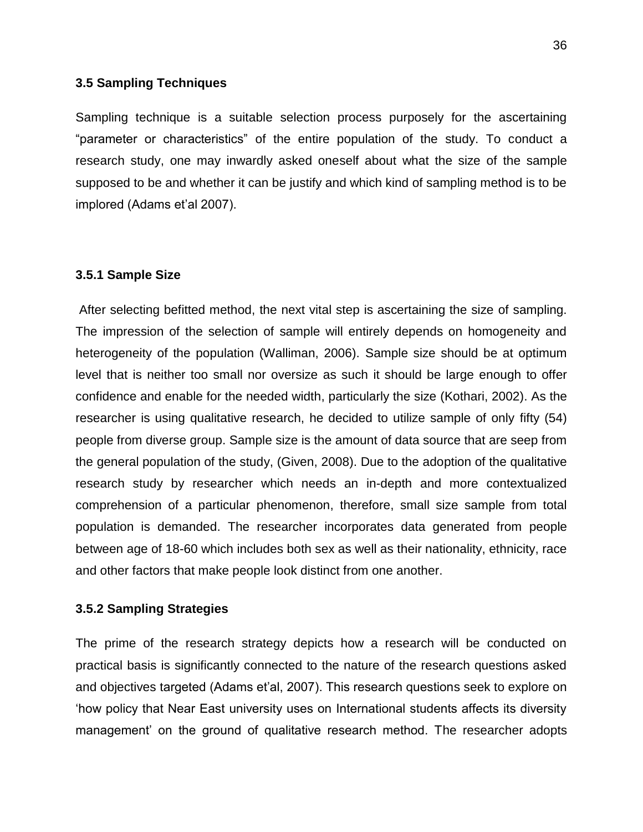#### **3.5 Sampling Techniques**

Sampling technique is a suitable selection process purposely for the ascertaining "parameter or characteristics" of the entire population of the study. To conduct a research study, one may inwardly asked oneself about what the size of the sample supposed to be and whether it can be justify and which kind of sampling method is to be implored (Adams et'al 2007).

#### **3.5.1 Sample Size**

After selecting befitted method, the next vital step is ascertaining the size of sampling. The impression of the selection of sample will entirely depends on homogeneity and heterogeneity of the population (Walliman, 2006). Sample size should be at optimum level that is neither too small nor oversize as such it should be large enough to offer confidence and enable for the needed width, particularly the size (Kothari, 2002). As the researcher is using qualitative research, he decided to utilize sample of only fifty (54) people from diverse group. Sample size is the amount of data source that are seep from the general population of the study, (Given, 2008). Due to the adoption of the qualitative research study by researcher which needs an in-depth and more contextualized comprehension of a particular phenomenon, therefore, small size sample from total population is demanded. The researcher incorporates data generated from people between age of 18-60 which includes both sex as well as their nationality, ethnicity, race and other factors that make people look distinct from one another.

#### **3.5.2 Sampling Strategies**

The prime of the research strategy depicts how a research will be conducted on practical basis is significantly connected to the nature of the research questions asked and objectives targeted (Adams et"al, 2007). This research questions seek to explore on "how policy that Near East university uses on International students affects its diversity management" on the ground of qualitative research method. The researcher adopts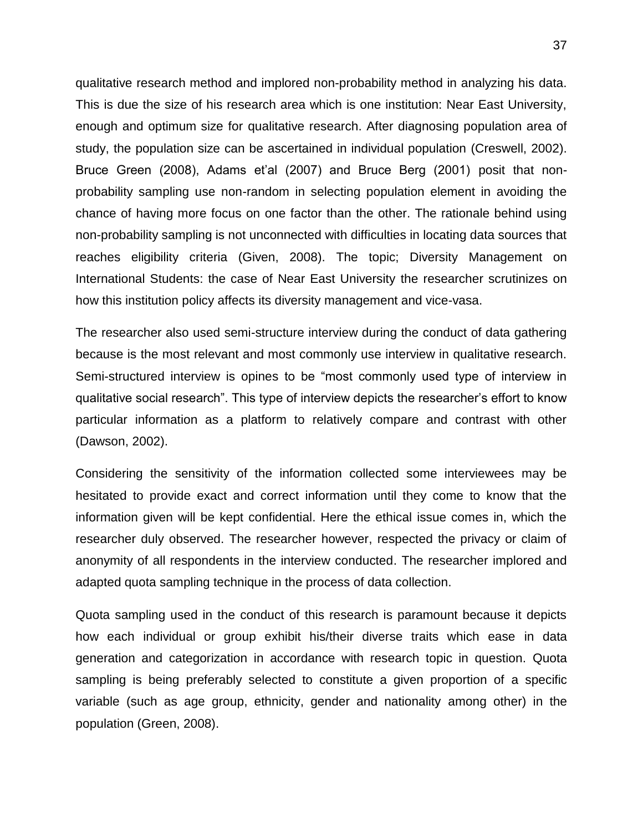qualitative research method and implored non-probability method in analyzing his data. This is due the size of his research area which is one institution: Near East University, enough and optimum size for qualitative research. After diagnosing population area of study, the population size can be ascertained in individual population (Creswell, 2002). Bruce Green (2008), Adams et'al (2007) and Bruce Berg (2001) posit that nonprobability sampling use non-random in selecting population element in avoiding the chance of having more focus on one factor than the other. The rationale behind using non-probability sampling is not unconnected with difficulties in locating data sources that reaches eligibility criteria (Given, 2008). The topic; Diversity Management on International Students: the case of Near East University the researcher scrutinizes on how this institution policy affects its diversity management and vice-vasa.

The researcher also used semi-structure interview during the conduct of data gathering because is the most relevant and most commonly use interview in qualitative research. Semi-structured interview is opines to be "most commonly used type of interview in qualitative social research". This type of interview depicts the researcher"s effort to know particular information as a platform to relatively compare and contrast with other (Dawson, 2002).

Considering the sensitivity of the information collected some interviewees may be hesitated to provide exact and correct information until they come to know that the information given will be kept confidential. Here the ethical issue comes in, which the researcher duly observed. The researcher however, respected the privacy or claim of anonymity of all respondents in the interview conducted. The researcher implored and adapted quota sampling technique in the process of data collection.

Quota sampling used in the conduct of this research is paramount because it depicts how each individual or group exhibit his/their diverse traits which ease in data generation and categorization in accordance with research topic in question. Quota sampling is being preferably selected to constitute a given proportion of a specific variable (such as age group, ethnicity, gender and nationality among other) in the population (Green, 2008).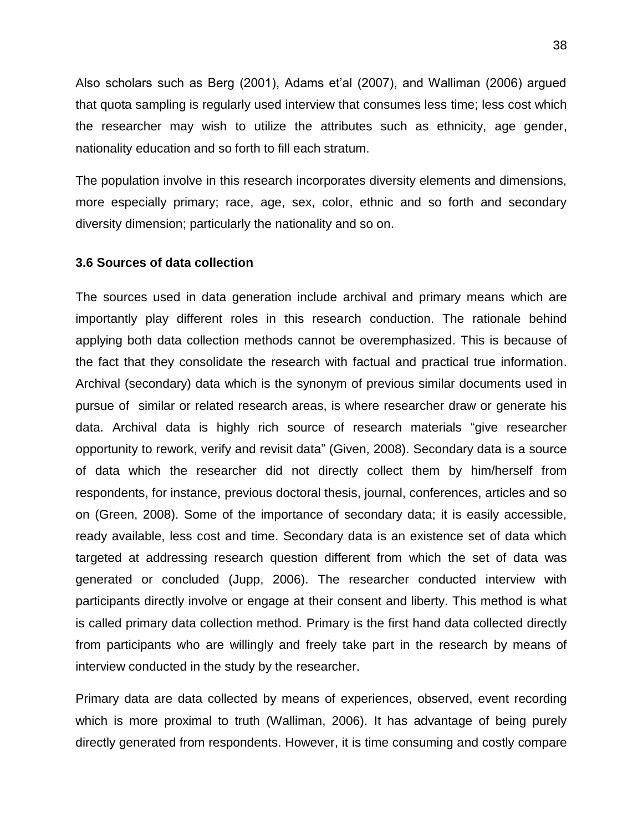Also scholars such as Berg (2001), Adams et'al (2007), and Walliman (2006) argued that quota sampling is regularly used interview that consumes less time; less cost which the researcher may wish to utilize the attributes such as ethnicity, age gender, nationality education and so forth to fill each stratum.

The population involve in this research incorporates diversity elements and dimensions, more especially primary; race, age, sex, color, ethnic and so forth and secondary diversity dimension; particularly the nationality and so on.

#### **3.6 Sources of data collection**

The sources used in data generation include archival and primary means which are importantly play different roles in this research conduction. The rationale behind applying both data collection methods cannot be overemphasized. This is because of the fact that they consolidate the research with factual and practical true information. Archival (secondary) data which is the synonym of previous similar documents used in pursue of similar or related research areas, is where researcher draw or generate his data. Archival data is highly rich source of research materials "give researcher opportunity to rework, verify and revisit data" (Given, 2008). Secondary data is a source of data which the researcher did not directly collect them by him/herself from respondents, for instance, previous doctoral thesis, journal, conferences, articles and so on (Green, 2008). Some of the importance of secondary data; it is easily accessible, ready available, less cost and time. Secondary data is an existence set of data which targeted at addressing research question different from which the set of data was generated or concluded (Jupp, 2006). The researcher conducted interview with participants directly involve or engage at their consent and liberty. This method is what is called primary data collection method. Primary is the first hand data collected directly from participants who are willingly and freely take part in the research by means of interview conducted in the study by the researcher.

Primary data are data collected by means of experiences, observed, event recording which is more proximal to truth (Walliman, 2006). It has advantage of being purely directly generated from respondents. However, it is time consuming and costly compare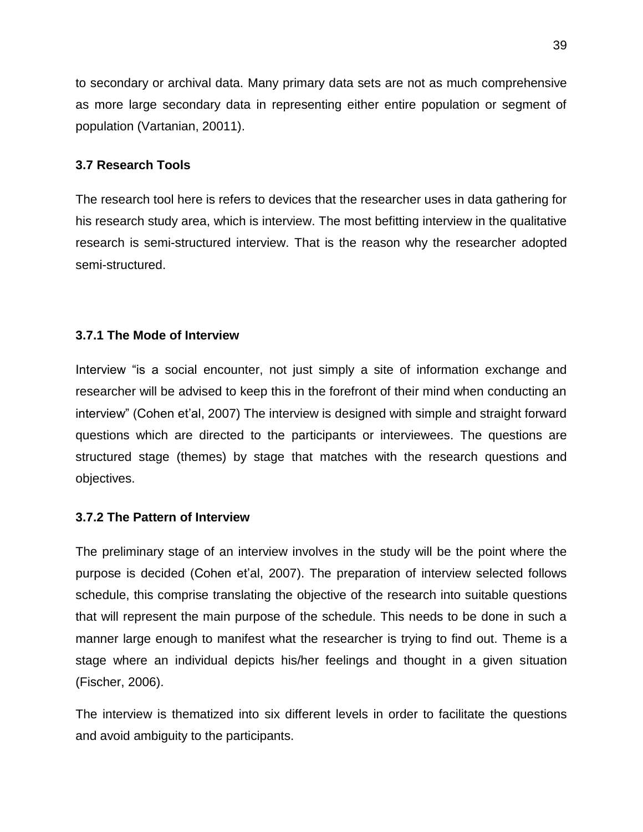to secondary or archival data. Many primary data sets are not as much comprehensive as more large secondary data in representing either entire population or segment of population (Vartanian, 20011).

## **3.7 Research Tools**

The research tool here is refers to devices that the researcher uses in data gathering for his research study area, which is interview. The most befitting interview in the qualitative research is semi-structured interview. That is the reason why the researcher adopted semi-structured.

## **3.7.1 The Mode of Interview**

Interview "is a social encounter, not just simply a site of information exchange and researcher will be advised to keep this in the forefront of their mind when conducting an interview" (Cohen et'al, 2007) The interview is designed with simple and straight forward questions which are directed to the participants or interviewees. The questions are structured stage (themes) by stage that matches with the research questions and objectives.

## **3.7.2 The Pattern of Interview**

The preliminary stage of an interview involves in the study will be the point where the purpose is decided (Cohen et"al, 2007). The preparation of interview selected follows schedule, this comprise translating the objective of the research into suitable questions that will represent the main purpose of the schedule. This needs to be done in such a manner large enough to manifest what the researcher is trying to find out. Theme is a stage where an individual depicts his/her feelings and thought in a given situation (Fischer, 2006).

The interview is thematized into six different levels in order to facilitate the questions and avoid ambiguity to the participants.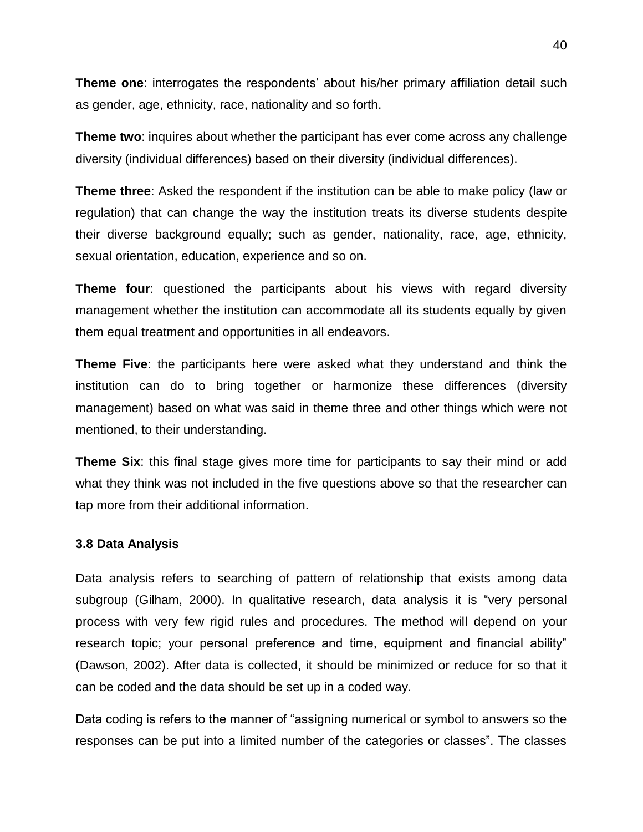**Theme one**: interrogates the respondents' about his/her primary affiliation detail such as gender, age, ethnicity, race, nationality and so forth.

**Theme two**: inquires about whether the participant has ever come across any challenge diversity (individual differences) based on their diversity (individual differences).

**Theme three**: Asked the respondent if the institution can be able to make policy (law or regulation) that can change the way the institution treats its diverse students despite their diverse background equally; such as gender, nationality, race, age, ethnicity, sexual orientation, education, experience and so on.

**Theme four**: questioned the participants about his views with regard diversity management whether the institution can accommodate all its students equally by given them equal treatment and opportunities in all endeavors.

**Theme Five**: the participants here were asked what they understand and think the institution can do to bring together or harmonize these differences (diversity management) based on what was said in theme three and other things which were not mentioned, to their understanding.

**Theme Six**: this final stage gives more time for participants to say their mind or add what they think was not included in the five questions above so that the researcher can tap more from their additional information.

#### **3.8 Data Analysis**

Data analysis refers to searching of pattern of relationship that exists among data subgroup (Gilham, 2000). In qualitative research, data analysis it is "very personal process with very few rigid rules and procedures. The method will depend on your research topic; your personal preference and time, equipment and financial ability" (Dawson, 2002). After data is collected, it should be minimized or reduce for so that it can be coded and the data should be set up in a coded way.

Data coding is refers to the manner of "assigning numerical or symbol to answers so the responses can be put into a limited number of the categories or classes". The classes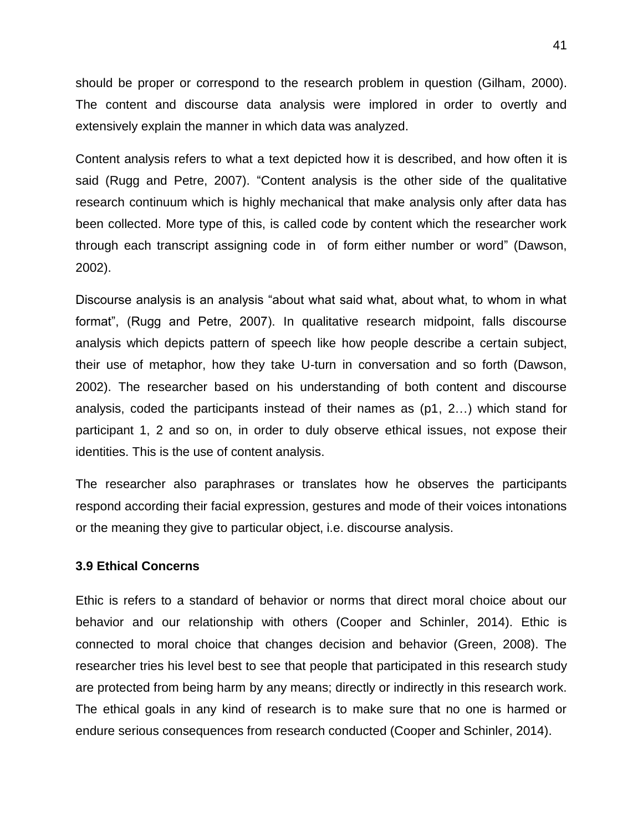should be proper or correspond to the research problem in question (Gilham, 2000). The content and discourse data analysis were implored in order to overtly and extensively explain the manner in which data was analyzed.

Content analysis refers to what a text depicted how it is described, and how often it is said (Rugg and Petre, 2007). "Content analysis is the other side of the qualitative research continuum which is highly mechanical that make analysis only after data has been collected. More type of this, is called code by content which the researcher work through each transcript assigning code in of form either number or word" (Dawson, 2002).

Discourse analysis is an analysis "about what said what, about what, to whom in what format", (Rugg and Petre, 2007). In qualitative research midpoint, falls discourse analysis which depicts pattern of speech like how people describe a certain subject, their use of metaphor, how they take U-turn in conversation and so forth (Dawson, 2002). The researcher based on his understanding of both content and discourse analysis, coded the participants instead of their names as (p1, 2…) which stand for participant 1, 2 and so on, in order to duly observe ethical issues, not expose their identities. This is the use of content analysis.

The researcher also paraphrases or translates how he observes the participants respond according their facial expression, gestures and mode of their voices intonations or the meaning they give to particular object, i.e. discourse analysis.

#### **3.9 Ethical Concerns**

Ethic is refers to a standard of behavior or norms that direct moral choice about our behavior and our relationship with others (Cooper and Schinler, 2014). Ethic is connected to moral choice that changes decision and behavior (Green, 2008). The researcher tries his level best to see that people that participated in this research study are protected from being harm by any means; directly or indirectly in this research work. The ethical goals in any kind of research is to make sure that no one is harmed or endure serious consequences from research conducted (Cooper and Schinler, 2014).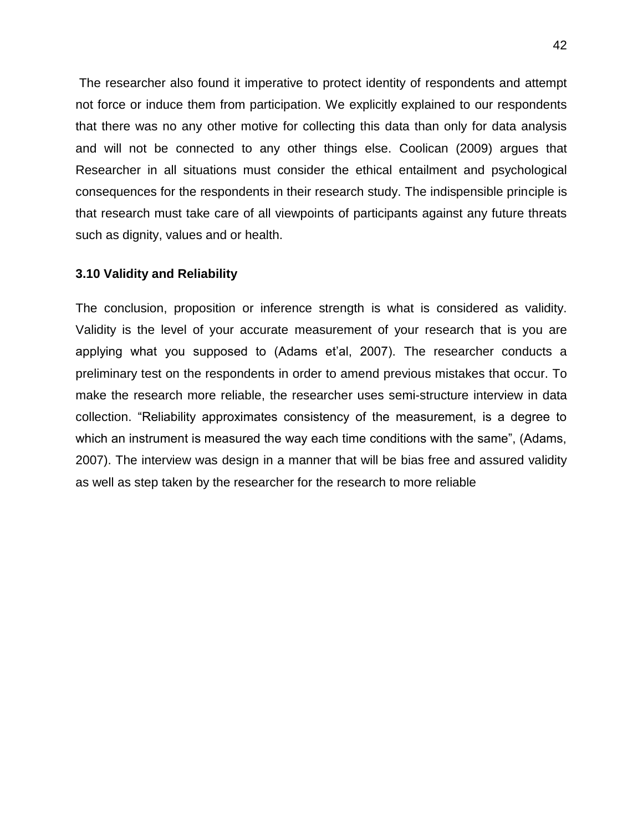The researcher also found it imperative to protect identity of respondents and attempt not force or induce them from participation. We explicitly explained to our respondents that there was no any other motive for collecting this data than only for data analysis and will not be connected to any other things else. Coolican (2009) argues that Researcher in all situations must consider the ethical entailment and psychological consequences for the respondents in their research study. The indispensible principle is that research must take care of all viewpoints of participants against any future threats such as dignity, values and or health.

#### **3.10 Validity and Reliability**

The conclusion, proposition or inference strength is what is considered as validity. Validity is the level of your accurate measurement of your research that is you are applying what you supposed to (Adams et'al, 2007). The researcher conducts a preliminary test on the respondents in order to amend previous mistakes that occur. To make the research more reliable, the researcher uses semi-structure interview in data collection. "Reliability approximates consistency of the measurement, is a degree to which an instrument is measured the way each time conditions with the same", (Adams, 2007). The interview was design in a manner that will be bias free and assured validity as well as step taken by the researcher for the research to more reliable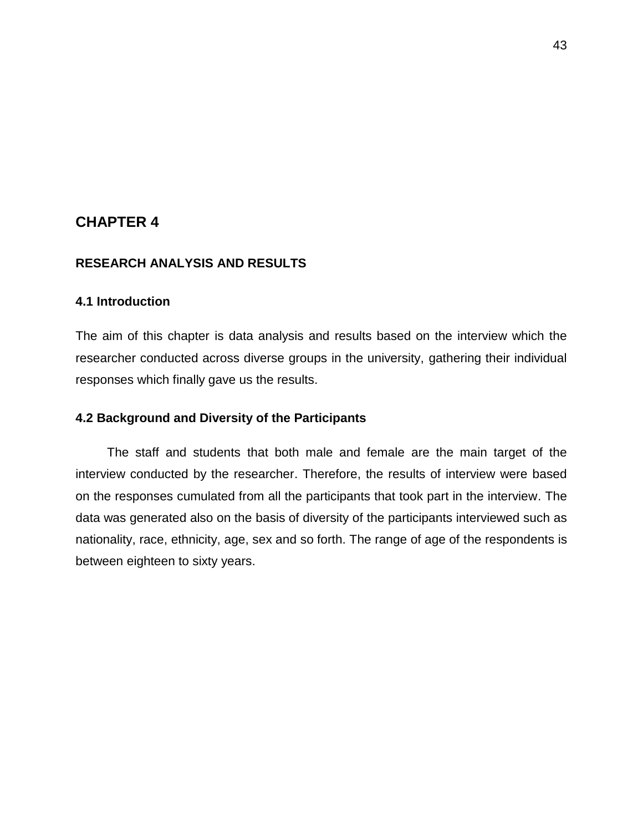## **CHAPTER 4**

#### **RESEARCH ANALYSIS AND RESULTS**

## **4.1 Introduction**

The aim of this chapter is data analysis and results based on the interview which the researcher conducted across diverse groups in the university, gathering their individual responses which finally gave us the results.

#### **4.2 Background and Diversity of the Participants**

 The staff and students that both male and female are the main target of the interview conducted by the researcher. Therefore, the results of interview were based on the responses cumulated from all the participants that took part in the interview. The data was generated also on the basis of diversity of the participants interviewed such as nationality, race, ethnicity, age, sex and so forth. The range of age of the respondents is between eighteen to sixty years.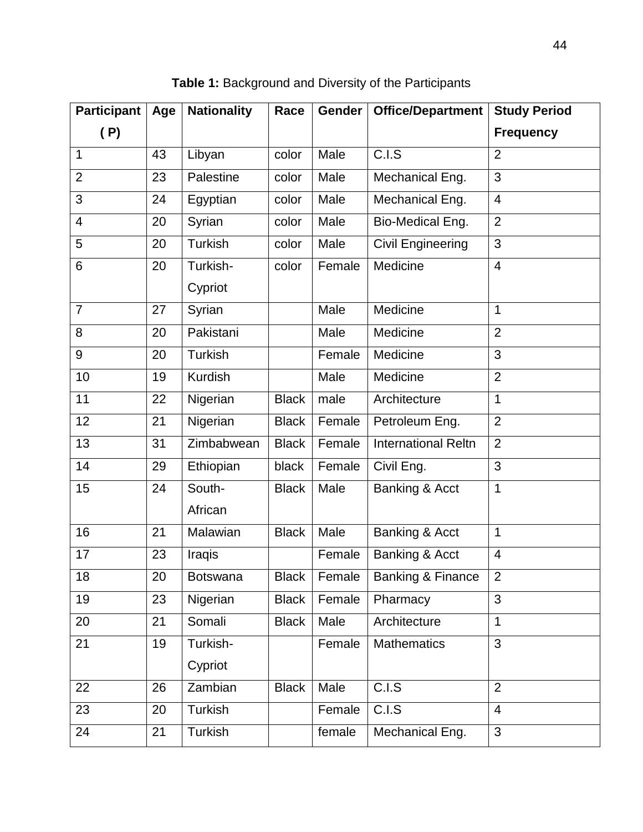| <b>Participant</b> | Age | <b>Nationality</b>  | Race         | Gender | Office/Department            | <b>Study Period</b> |
|--------------------|-----|---------------------|--------------|--------|------------------------------|---------------------|
| (P)                |     |                     |              |        |                              | <b>Frequency</b>    |
| 1                  | 43  | Libyan              | color        | Male   | C.I.S                        | $\overline{2}$      |
| $\overline{2}$     | 23  | Palestine           | color        | Male   | Mechanical Eng.              | 3                   |
| 3                  | 24  | Egyptian            | color        | Male   | Mechanical Eng.              | $\overline{4}$      |
| $\overline{4}$     | 20  | Syrian              | color        | Male   | Bio-Medical Eng.             | $\overline{2}$      |
| 5                  | 20  | Turkish             | color        | Male   | <b>Civil Engineering</b>     | 3                   |
| 6                  | 20  | Turkish-<br>Cypriot | color        | Female | Medicine                     | $\overline{4}$      |
| $\overline{7}$     | 27  | Syrian              |              | Male   | Medicine                     | 1                   |
| 8                  | 20  | Pakistani           |              | Male   | Medicine                     | $\overline{2}$      |
| 9                  | 20  | <b>Turkish</b>      |              | Female | Medicine                     | 3                   |
| 10                 | 19  | Kurdish             |              | Male   | Medicine                     | $\overline{2}$      |
| 11                 | 22  | Nigerian            | <b>Black</b> | male   | Architecture                 | 1                   |
| 12                 | 21  | Nigerian            | <b>Black</b> | Female | Petroleum Eng.               | $\overline{2}$      |
| 13                 | 31  | Zimbabwean          | <b>Black</b> | Female | <b>International Reltn</b>   | $\overline{2}$      |
| 14                 | 29  | Ethiopian           | black        | Female | Civil Eng.                   | 3                   |
| 15                 | 24  | South-<br>African   | <b>Black</b> | Male   | Banking & Acct               | 1                   |
| 16                 | 21  | Malawian            | <b>Black</b> | Male   | Banking & Acct               | 1                   |
| 17                 | 23  | Iraqis              |              | Female | Banking & Acct               | $\overline{4}$      |
| 18                 | 20  | <b>Botswana</b>     | <b>Black</b> | Female | <b>Banking &amp; Finance</b> | $\overline{2}$      |
| 19                 | 23  | Nigerian            | <b>Black</b> | Female | Pharmacy                     | 3                   |
| 20                 | 21  | Somali              | <b>Black</b> | Male   | Architecture                 | $\mathbf{1}$        |
| 21                 | 19  | Turkish-<br>Cypriot |              | Female | <b>Mathematics</b>           | 3                   |
| 22                 | 26  | Zambian             | <b>Black</b> | Male   | C.I.S                        | $\overline{2}$      |
| 23                 | 20  | Turkish             |              | Female | C.I.S                        | $\overline{4}$      |
| 24                 | 21  | Turkish             |              | female | Mechanical Eng.              | 3                   |

**Table 1:** Background and Diversity of the Participants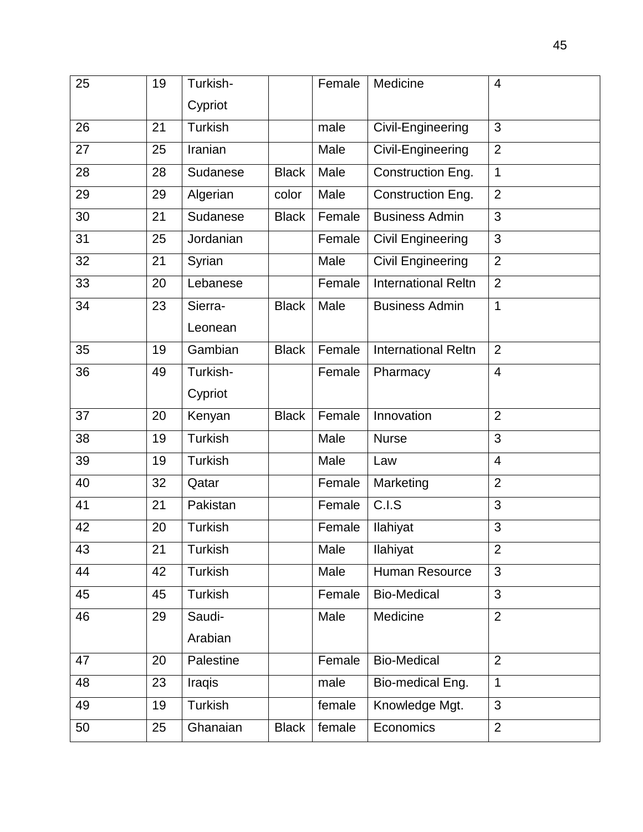| 25 | 19 | Turkish-       |              | Female | Medicine                   | 4              |
|----|----|----------------|--------------|--------|----------------------------|----------------|
|    |    | Cypriot        |              |        |                            |                |
| 26 | 21 | <b>Turkish</b> |              | male   | Civil-Engineering          | 3              |
| 27 | 25 | Iranian        |              | Male   | Civil-Engineering          | $\overline{2}$ |
| 28 | 28 | Sudanese       | <b>Black</b> | Male   | Construction Eng.          | $\mathbf{1}$   |
| 29 | 29 | Algerian       | color        | Male   | Construction Eng.          | $\overline{2}$ |
| 30 | 21 | Sudanese       | <b>Black</b> | Female | <b>Business Admin</b>      | 3              |
| 31 | 25 | Jordanian      |              | Female | <b>Civil Engineering</b>   | 3              |
| 32 | 21 | Syrian         |              | Male   | <b>Civil Engineering</b>   | $\overline{2}$ |
| 33 | 20 | Lebanese       |              | Female | <b>International Reltn</b> | $\overline{2}$ |
| 34 | 23 | Sierra-        | <b>Black</b> | Male   | <b>Business Admin</b>      | 1              |
|    |    | Leonean        |              |        |                            |                |
| 35 | 19 | Gambian        | <b>Black</b> | Female | <b>International Reltn</b> | $\overline{2}$ |
| 36 | 49 | Turkish-       |              | Female | Pharmacy                   | $\overline{4}$ |
|    |    | Cypriot        |              |        |                            |                |
| 37 | 20 | Kenyan         | <b>Black</b> | Female | Innovation                 | $\overline{2}$ |
| 38 | 19 | <b>Turkish</b> |              | Male   | <b>Nurse</b>               | 3              |
| 39 | 19 | <b>Turkish</b> |              | Male   | Law                        | 4              |
| 40 | 32 | Qatar          |              | Female | Marketing                  | $\overline{2}$ |
| 41 | 21 | Pakistan       |              | Female | C.I.S                      | 3              |
| 42 | 20 | <b>Turkish</b> |              | Female | Ilahiyat                   | 3              |
| 43 | 21 | Turkish        |              | Male   | Ilahiyat                   | 2              |
| 44 | 42 | <b>Turkish</b> |              | Male   | Human Resource             | 3              |
| 45 | 45 | Turkish        |              | Female | <b>Bio-Medical</b>         | 3              |
| 46 | 29 | Saudi-         |              | Male   | Medicine                   | $\overline{2}$ |
|    |    | Arabian        |              |        |                            |                |
| 47 | 20 | Palestine      |              | Female | <b>Bio-Medical</b>         | $\overline{2}$ |
| 48 | 23 | Iraqis         |              | male   | Bio-medical Eng.           | $\mathbf{1}$   |
| 49 | 19 | Turkish        |              | female | Knowledge Mgt.             | 3              |
| 50 | 25 | Ghanaian       | <b>Black</b> | female | Economics                  | $\overline{2}$ |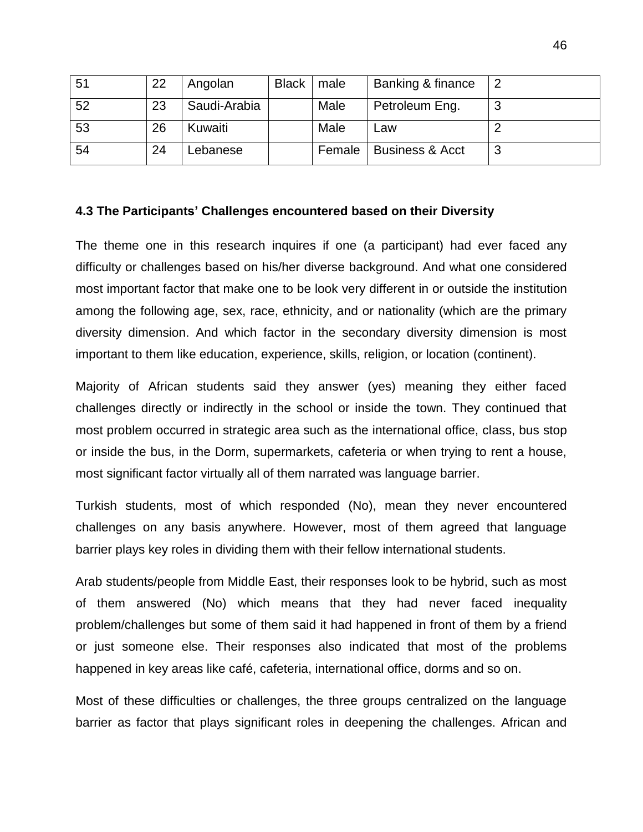| 51 | 22 | Angolan      | <b>Black</b> | male   | Banking & finance          |   |
|----|----|--------------|--------------|--------|----------------------------|---|
| 52 | 23 | Saudi-Arabia |              | Male   | Petroleum Eng.             | 3 |
| 53 | 26 | Kuwaiti      |              | Male   | Law                        |   |
| 54 | 24 | Lebanese     |              | Female | <b>Business &amp; Acct</b> | 3 |

#### **4.3 The Participants' Challenges encountered based on their Diversity**

The theme one in this research inquires if one (a participant) had ever faced any difficulty or challenges based on his/her diverse background. And what one considered most important factor that make one to be look very different in or outside the institution among the following age, sex, race, ethnicity, and or nationality (which are the primary diversity dimension. And which factor in the secondary diversity dimension is most important to them like education, experience, skills, religion, or location (continent).

Majority of African students said they answer (yes) meaning they either faced challenges directly or indirectly in the school or inside the town. They continued that most problem occurred in strategic area such as the international office, class, bus stop or inside the bus, in the Dorm, supermarkets, cafeteria or when trying to rent a house, most significant factor virtually all of them narrated was language barrier.

Turkish students, most of which responded (No), mean they never encountered challenges on any basis anywhere. However, most of them agreed that language barrier plays key roles in dividing them with their fellow international students.

Arab students/people from Middle East, their responses look to be hybrid, such as most of them answered (No) which means that they had never faced inequality problem/challenges but some of them said it had happened in front of them by a friend or just someone else. Their responses also indicated that most of the problems happened in key areas like café, cafeteria, international office, dorms and so on.

Most of these difficulties or challenges, the three groups centralized on the language barrier as factor that plays significant roles in deepening the challenges. African and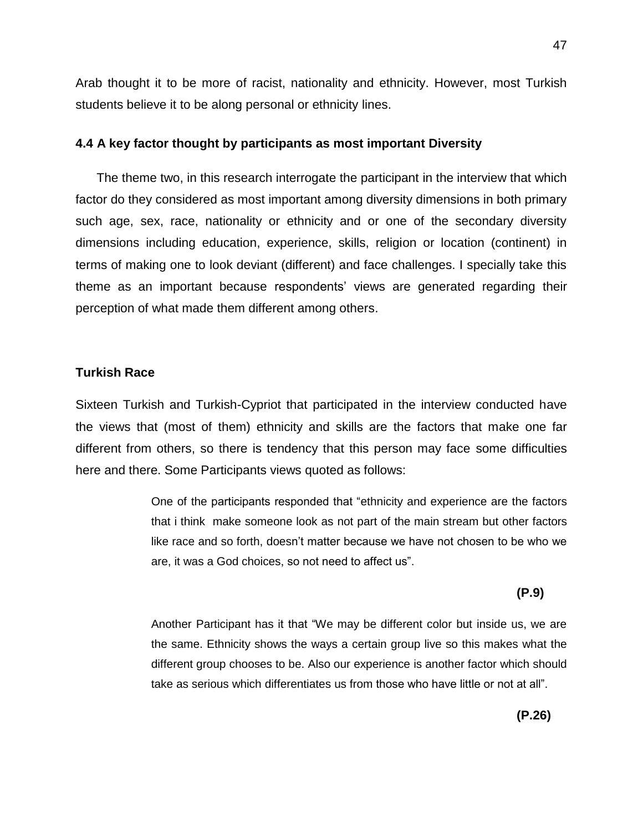Arab thought it to be more of racist, nationality and ethnicity. However, most Turkish students believe it to be along personal or ethnicity lines.

#### **4.4 A key factor thought by participants as most important Diversity**

 The theme two, in this research interrogate the participant in the interview that which factor do they considered as most important among diversity dimensions in both primary such age, sex, race, nationality or ethnicity and or one of the secondary diversity dimensions including education, experience, skills, religion or location (continent) in terms of making one to look deviant (different) and face challenges. I specially take this theme as an important because respondents" views are generated regarding their perception of what made them different among others.

#### **Turkish Race**

Sixteen Turkish and Turkish-Cypriot that participated in the interview conducted have the views that (most of them) ethnicity and skills are the factors that make one far different from others, so there is tendency that this person may face some difficulties here and there. Some Participants views quoted as follows:

> One of the participants responded that "ethnicity and experience are the factors that i think make someone look as not part of the main stream but other factors like race and so forth, doesn"t matter because we have not chosen to be who we are, it was a God choices, so not need to affect us".

 **(P.9)**

Another Participant has it that "We may be different color but inside us, we are the same. Ethnicity shows the ways a certain group live so this makes what the different group chooses to be. Also our experience is another factor which should take as serious which differentiates us from those who have little or not at all".

**(P.26)**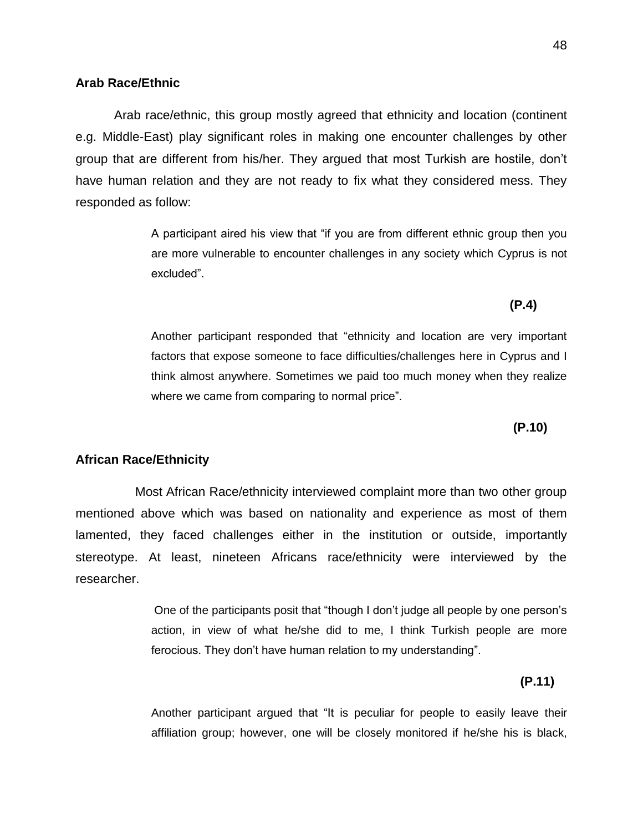#### **Arab Race/Ethnic**

 Arab race/ethnic, this group mostly agreed that ethnicity and location (continent e.g. Middle-East) play significant roles in making one encounter challenges by other group that are different from his/her. They argued that most Turkish are hostile, don"t have human relation and they are not ready to fix what they considered mess. They responded as follow:

**(P.4)** 

A participant aired his view that "if you are from different ethnic group then you are more vulnerable to encounter challenges in any society which Cyprus is not excluded".

Another participant responded that "ethnicity and location are very important factors that expose someone to face difficulties/challenges here in Cyprus and I think almost anywhere. Sometimes we paid too much money when they realize where we came from comparing to normal price".

 **(P.10)**

#### **African Race/Ethnicity**

 Most African Race/ethnicity interviewed complaint more than two other group mentioned above which was based on nationality and experience as most of them lamented, they faced challenges either in the institution or outside, importantly stereotype. At least, nineteen Africans race/ethnicity were interviewed by the researcher.

> One of the participants posit that "though I don"t judge all people by one person"s action, in view of what he/she did to me, I think Turkish people are more ferocious. They don"t have human relation to my understanding".

**(P.11)**

Another participant argued that "It is peculiar for people to easily leave their affiliation group; however, one will be closely monitored if he/she his is black,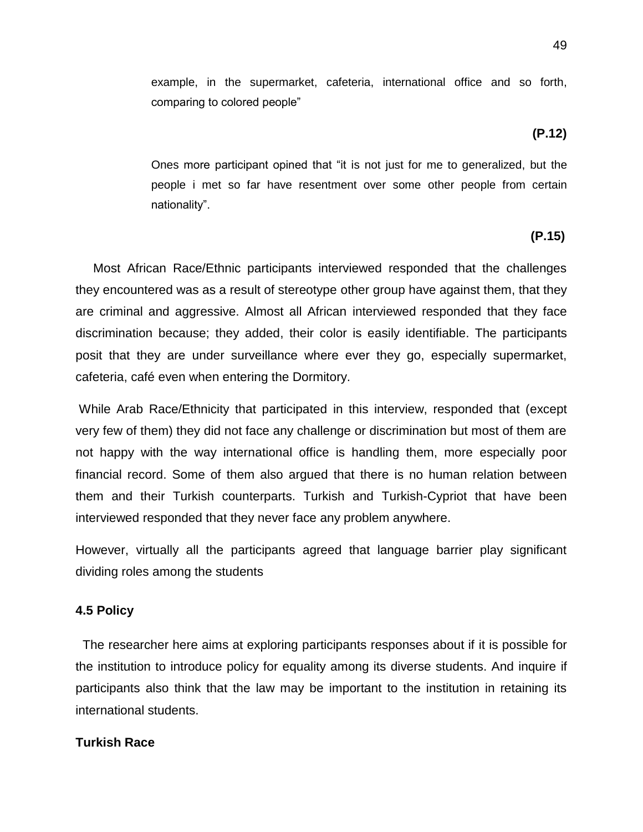example, in the supermarket, cafeteria, international office and so forth, comparing to colored people"

**(P.12)**

Ones more participant opined that "it is not just for me to generalized, but the people i met so far have resentment over some other people from certain nationality".

## **(P.15)**

 Most African Race/Ethnic participants interviewed responded that the challenges they encountered was as a result of stereotype other group have against them, that they are criminal and aggressive. Almost all African interviewed responded that they face discrimination because; they added, their color is easily identifiable. The participants posit that they are under surveillance where ever they go, especially supermarket, cafeteria, café even when entering the Dormitory.

While Arab Race/Ethnicity that participated in this interview, responded that (except very few of them) they did not face any challenge or discrimination but most of them are not happy with the way international office is handling them, more especially poor financial record. Some of them also argued that there is no human relation between them and their Turkish counterparts. Turkish and Turkish-Cypriot that have been interviewed responded that they never face any problem anywhere.

However, virtually all the participants agreed that language barrier play significant dividing roles among the students

## **4.5 Policy**

 The researcher here aims at exploring participants responses about if it is possible for the institution to introduce policy for equality among its diverse students. And inquire if participants also think that the law may be important to the institution in retaining its international students.

## **Turkish Race**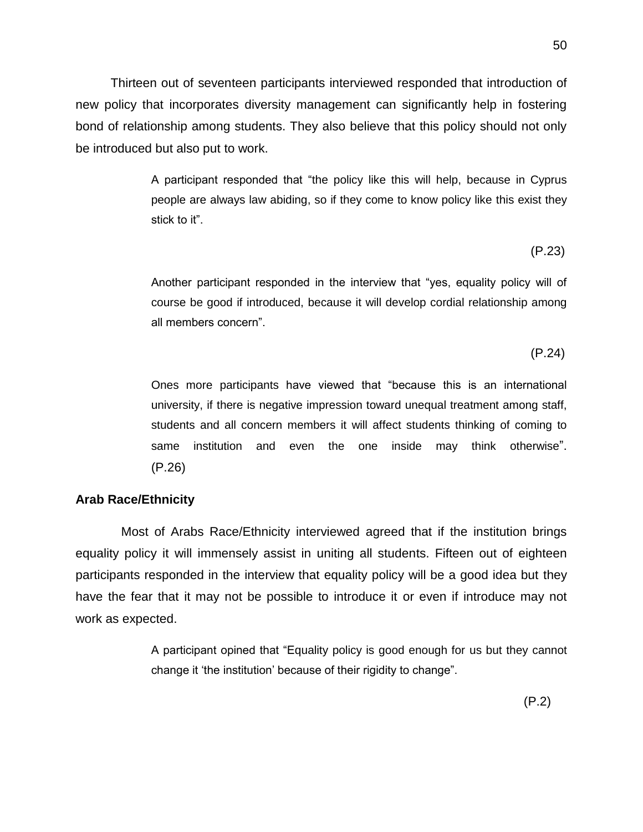Thirteen out of seventeen participants interviewed responded that introduction of new policy that incorporates diversity management can significantly help in fostering bond of relationship among students. They also believe that this policy should not only be introduced but also put to work.

> A participant responded that "the policy like this will help, because in Cyprus people are always law abiding, so if they come to know policy like this exist they stick to it".

 $(P.23)$ 

Another participant responded in the interview that "yes, equality policy will of course be good if introduced, because it will develop cordial relationship among all members concern".

(P.24)

Ones more participants have viewed that "because this is an international university, if there is negative impression toward unequal treatment among staff, students and all concern members it will affect students thinking of coming to same institution and even the one inside may think otherwise". (P.26)

## **Arab Race/Ethnicity**

 Most of Arabs Race/Ethnicity interviewed agreed that if the institution brings equality policy it will immensely assist in uniting all students. Fifteen out of eighteen participants responded in the interview that equality policy will be a good idea but they have the fear that it may not be possible to introduce it or even if introduce may not work as expected.

> A participant opined that "Equality policy is good enough for us but they cannot change it "the institution" because of their rigidity to change".

(P.2)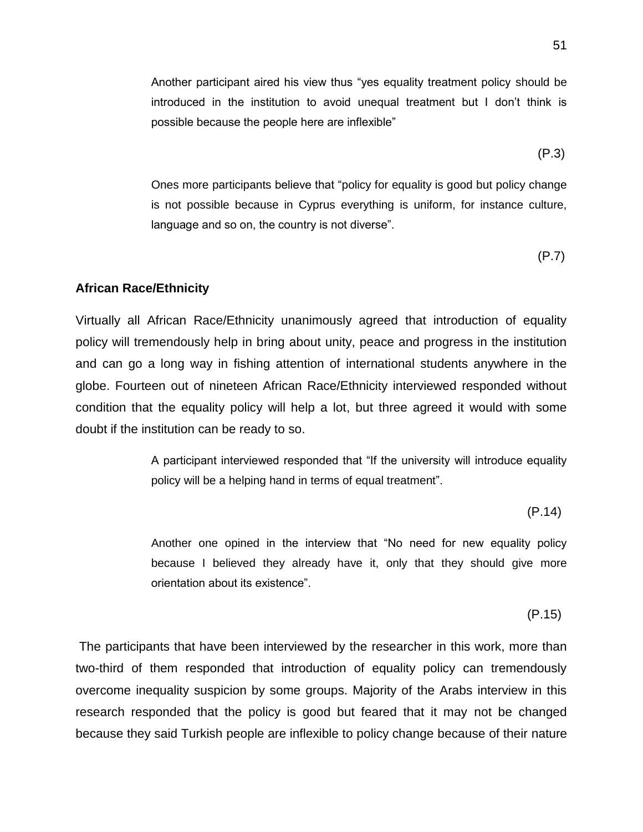Another participant aired his view thus "yes equality treatment policy should be introduced in the institution to avoid unequal treatment but I don"t think is possible because the people here are inflexible"

 $(P.3)$ 

Ones more participants believe that "policy for equality is good but policy change is not possible because in Cyprus everything is uniform, for instance culture, language and so on, the country is not diverse".

 $(P.7)$ 

#### **African Race/Ethnicity**

Virtually all African Race/Ethnicity unanimously agreed that introduction of equality policy will tremendously help in bring about unity, peace and progress in the institution and can go a long way in fishing attention of international students anywhere in the globe. Fourteen out of nineteen African Race/Ethnicity interviewed responded without condition that the equality policy will help a lot, but three agreed it would with some doubt if the institution can be ready to so.

> A participant interviewed responded that "If the university will introduce equality policy will be a helping hand in terms of equal treatment".

(P.14)

Another one opined in the interview that "No need for new equality policy because I believed they already have it, only that they should give more orientation about its existence".

(P.15)

The participants that have been interviewed by the researcher in this work, more than two-third of them responded that introduction of equality policy can tremendously overcome inequality suspicion by some groups. Majority of the Arabs interview in this research responded that the policy is good but feared that it may not be changed because they said Turkish people are inflexible to policy change because of their nature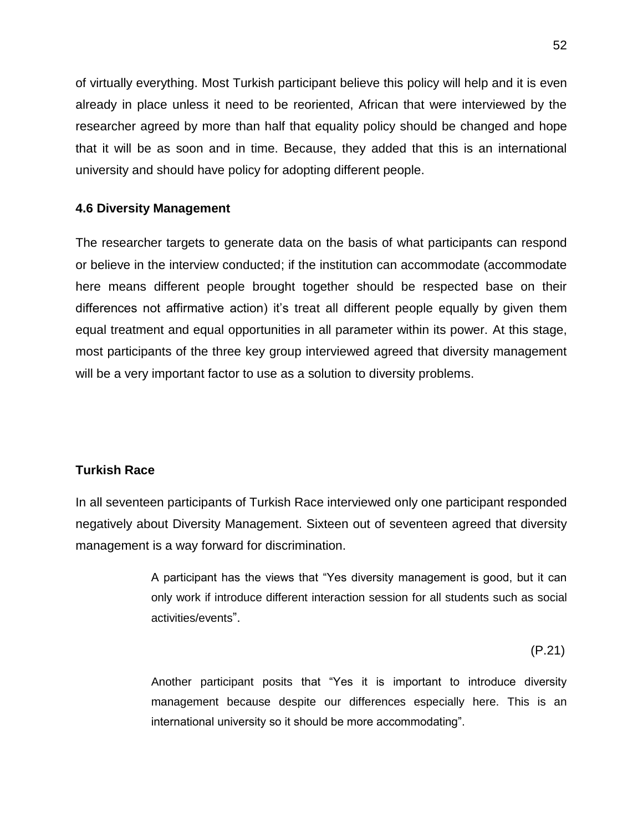of virtually everything. Most Turkish participant believe this policy will help and it is even already in place unless it need to be reoriented, African that were interviewed by the researcher agreed by more than half that equality policy should be changed and hope that it will be as soon and in time. Because, they added that this is an international university and should have policy for adopting different people.

## **4.6 Diversity Management**

The researcher targets to generate data on the basis of what participants can respond or believe in the interview conducted; if the institution can accommodate (accommodate here means different people brought together should be respected base on their differences not affirmative action) it's treat all different people equally by given them equal treatment and equal opportunities in all parameter within its power. At this stage, most participants of the three key group interviewed agreed that diversity management will be a very important factor to use as a solution to diversity problems.

## **Turkish Race**

In all seventeen participants of Turkish Race interviewed only one participant responded negatively about Diversity Management. Sixteen out of seventeen agreed that diversity management is a way forward for discrimination.

> A participant has the views that "Yes diversity management is good, but it can only work if introduce different interaction session for all students such as social activities/events".

 $(P.21)$ 

Another participant posits that "Yes it is important to introduce diversity management because despite our differences especially here. This is an international university so it should be more accommodating".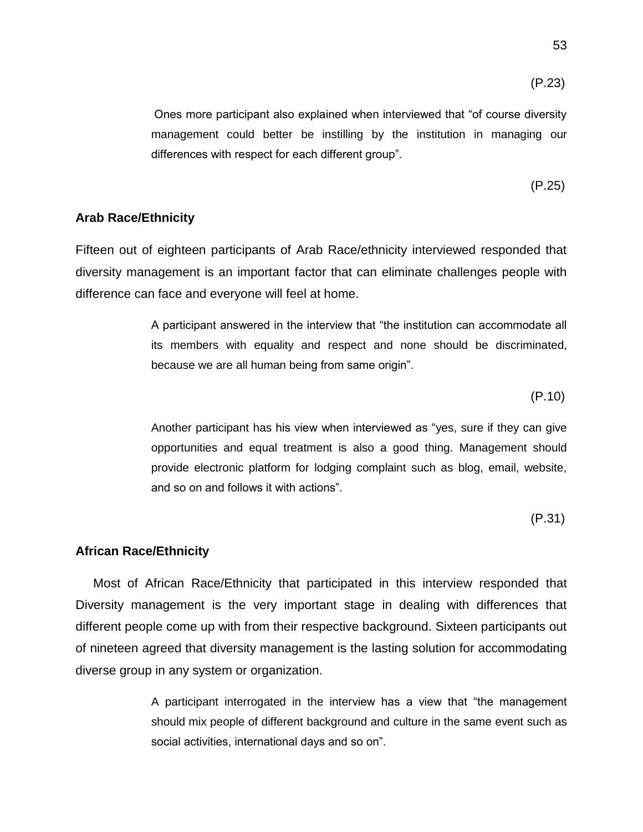$(P.23)$ 

Ones more participant also explained when interviewed that "of course diversity management could better be instilling by the institution in managing our differences with respect for each different group".

$$
(P.25)
$$

#### **Arab Race/Ethnicity**

Fifteen out of eighteen participants of Arab Race/ethnicity interviewed responded that diversity management is an important factor that can eliminate challenges people with difference can face and everyone will feel at home.

> A participant answered in the interview that "the institution can accommodate all its members with equality and respect and none should be discriminated, because we are all human being from same origin".

 $(P.10)$ 

Another participant has his view when interviewed as "yes, sure if they can give opportunities and equal treatment is also a good thing. Management should provide electronic platform for lodging complaint such as blog, email, website, and so on and follows it with actions".

 $(P.31)$ 

#### **African Race/Ethnicity**

 Most of African Race/Ethnicity that participated in this interview responded that Diversity management is the very important stage in dealing with differences that different people come up with from their respective background. Sixteen participants out of nineteen agreed that diversity management is the lasting solution for accommodating diverse group in any system or organization.

> A participant interrogated in the interview has a view that "the management should mix people of different background and culture in the same event such as social activities, international days and so on".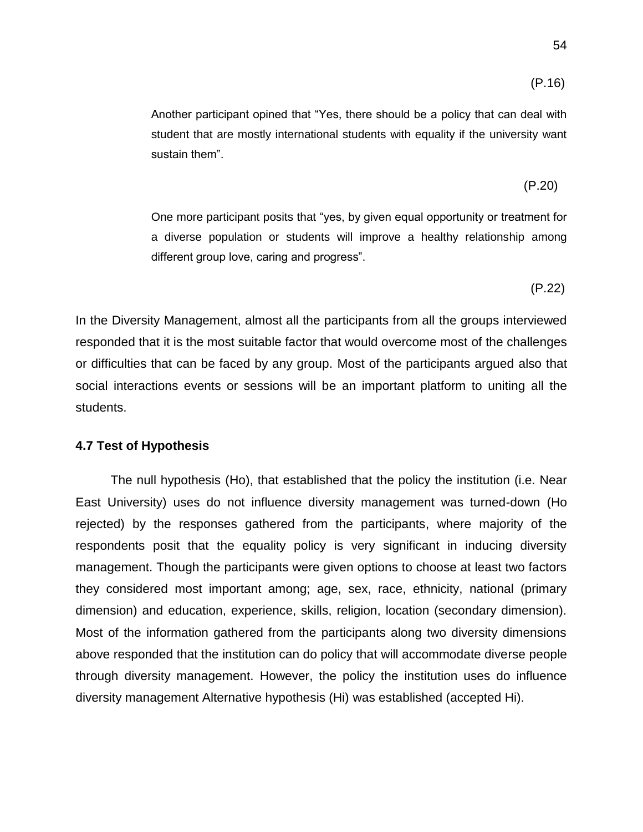$$
(P.16)
$$

Another participant opined that "Yes, there should be a policy that can deal with student that are mostly international students with equality if the university want sustain them".

$$
(P.20)
$$

One more participant posits that "yes, by given equal opportunity or treatment for a diverse population or students will improve a healthy relationship among different group love, caring and progress".

(P.22)

In the Diversity Management, almost all the participants from all the groups interviewed responded that it is the most suitable factor that would overcome most of the challenges or difficulties that can be faced by any group. Most of the participants argued also that social interactions events or sessions will be an important platform to uniting all the students.

#### **4.7 Test of Hypothesis**

 The null hypothesis (Ho), that established that the policy the institution (i.e. Near East University) uses do not influence diversity management was turned-down (Ho rejected) by the responses gathered from the participants, where majority of the respondents posit that the equality policy is very significant in inducing diversity management. Though the participants were given options to choose at least two factors they considered most important among; age, sex, race, ethnicity, national (primary dimension) and education, experience, skills, religion, location (secondary dimension). Most of the information gathered from the participants along two diversity dimensions above responded that the institution can do policy that will accommodate diverse people through diversity management. However, the policy the institution uses do influence diversity management Alternative hypothesis (Hi) was established (accepted Hi).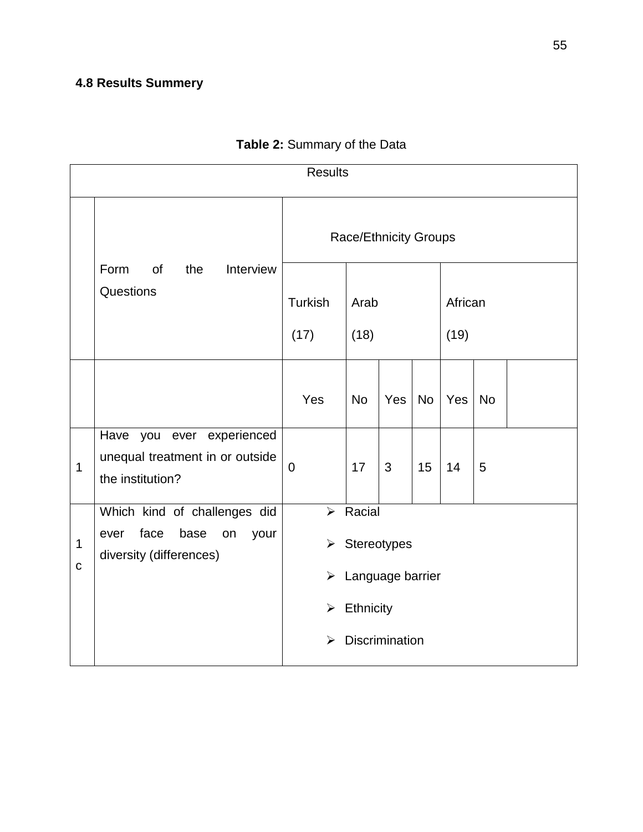## **4.8 Results Summery**

| <b>Results</b>             |                                                                                               |                                                                         |                                                                         |     |           |                 |           |  |
|----------------------------|-----------------------------------------------------------------------------------------------|-------------------------------------------------------------------------|-------------------------------------------------------------------------|-----|-----------|-----------------|-----------|--|
|                            |                                                                                               | <b>Race/Ethnicity Groups</b>                                            |                                                                         |     |           |                 |           |  |
|                            | Form<br>of<br>the<br>Interview<br>Questions                                                   | <b>Turkish</b><br>(17)                                                  | Arab<br>(18)                                                            |     |           | African<br>(19) |           |  |
|                            |                                                                                               | Yes                                                                     | <b>No</b>                                                               | Yes | <b>No</b> | Yes             | <b>No</b> |  |
| $\mathbf 1$                | Have you ever experienced<br>unequal treatment in or outside<br>the institution?              | $\mathbf 0$                                                             | 17                                                                      | 3   | 15        | 14              | 5         |  |
| $\mathbf 1$<br>$\mathbf C$ | Which kind of challenges did<br>face<br>base<br>ever<br>on<br>your<br>diversity (differences) | $\blacktriangleright$<br>$\blacktriangleright$<br>$\blacktriangleright$ | $\triangleright$ Racial<br>Stereotypes<br>Language barrier<br>Ethnicity |     |           |                 |           |  |
|                            |                                                                                               | ➤                                                                       | <b>Discrimination</b>                                                   |     |           |                 |           |  |

# **Table 2:** Summary of the Data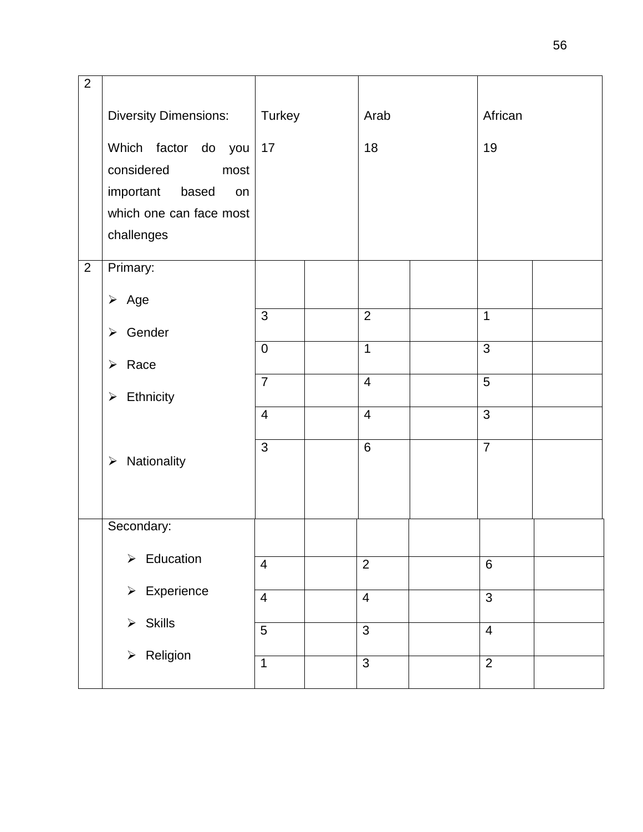| $\overline{2}$ |                                 |                |                |                |  |
|----------------|---------------------------------|----------------|----------------|----------------|--|
|                |                                 |                |                |                |  |
|                | <b>Diversity Dimensions:</b>    | Turkey         | Arab           | African        |  |
|                | Which factor do you             | 17             | 18             | 19             |  |
|                | considered<br>most              |                |                |                |  |
|                | important<br>based<br>on        |                |                |                |  |
|                | which one can face most         |                |                |                |  |
|                | challenges                      |                |                |                |  |
| $\overline{2}$ | Primary:                        |                |                |                |  |
|                | $\triangleright$ Age            |                |                |                |  |
|                | Gender<br>$\blacktriangleright$ | 3              | $\overline{2}$ | $\overline{1}$ |  |
|                |                                 | $\mathbf 0$    | $\mathbf 1$    | 3              |  |
|                | $\triangleright$ Race           | $\overline{7}$ | $\overline{4}$ | $\overline{5}$ |  |
|                | $\triangleright$ Ethnicity      |                |                |                |  |
|                |                                 | $\overline{4}$ | $\overline{4}$ | $\overline{3}$ |  |
|                |                                 | 3              | 6              | $\overline{7}$ |  |
|                | $\triangleright$ Nationality    |                |                |                |  |
|                |                                 |                |                |                |  |
|                | Secondary:                      |                |                |                |  |
|                | $\triangleright$ Education      |                |                |                |  |
|                |                                 | $\overline{4}$ | $\overline{2}$ | $6\phantom{1}$ |  |
|                | $\triangleright$ Experience     | $\overline{4}$ | $\overline{4}$ | 3              |  |
|                | $\triangleright$ Skills         | 5              | $\overline{3}$ | $\overline{4}$ |  |
|                |                                 |                |                |                |  |
|                | $\triangleright$ Religion       | $\mathbf{1}$   | 3              | $\overline{2}$ |  |
|                |                                 |                |                |                |  |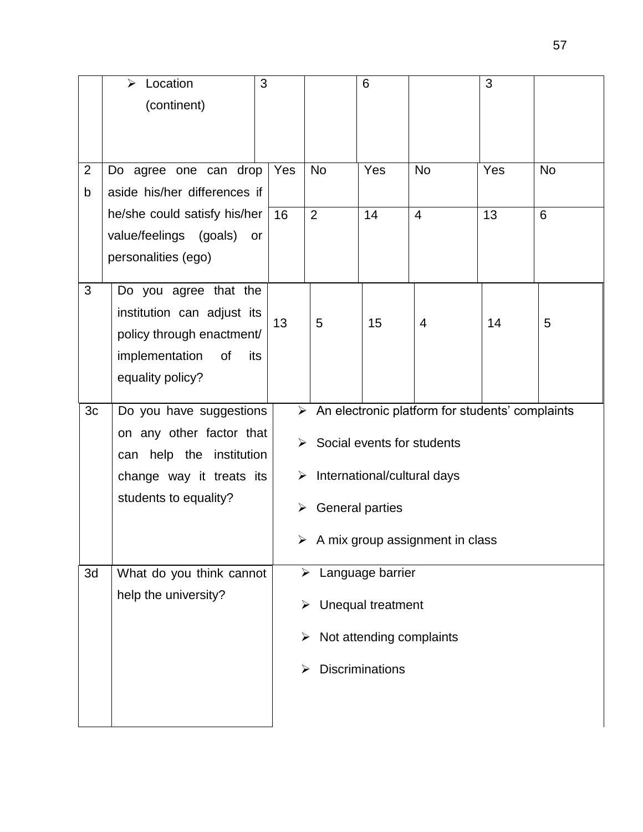|                | Location<br>➤                | 3   |                                             | 6                      |                                                                  | 3   |           |  |  |
|----------------|------------------------------|-----|---------------------------------------------|------------------------|------------------------------------------------------------------|-----|-----------|--|--|
|                | (continent)                  |     |                                             |                        |                                                                  |     |           |  |  |
|                |                              |     |                                             |                        |                                                                  |     |           |  |  |
|                |                              |     |                                             |                        |                                                                  |     |           |  |  |
| $\overline{2}$ | Do agree one can drop        | Yes | <b>No</b>                                   | Yes                    | <b>No</b>                                                        | Yes | <b>No</b> |  |  |
| b              | aside his/her differences if |     |                                             |                        |                                                                  |     |           |  |  |
|                | he/she could satisfy his/her | 16  | $\overline{2}$                              | 14                     | $\overline{4}$                                                   | 13  | 6         |  |  |
|                | value/feelings (goals) or    |     |                                             |                        |                                                                  |     |           |  |  |
|                | personalities (ego)          |     |                                             |                        |                                                                  |     |           |  |  |
| 3              | Do you agree that the        |     |                                             |                        |                                                                  |     |           |  |  |
|                | institution can adjust its   |     |                                             |                        |                                                                  |     |           |  |  |
|                | policy through enactment/    | 13  | 5                                           | 15                     | 4                                                                | 14  | 5         |  |  |
|                | implementation<br>of<br>its  |     |                                             |                        |                                                                  |     |           |  |  |
|                | equality policy?             |     |                                             |                        |                                                                  |     |           |  |  |
|                |                              |     |                                             |                        |                                                                  |     |           |  |  |
| 3c             | Do you have suggestions      |     |                                             |                        | $\triangleright$ An electronic platform for students' complaints |     |           |  |  |
|                | on any other factor that     |     |                                             |                        |                                                                  |     |           |  |  |
|                | can help the institution     |     | $\triangleright$ Social events for students |                        |                                                                  |     |           |  |  |
|                | change way it treats its     |     | International/cultural days<br>➤            |                        |                                                                  |     |           |  |  |
|                | students to equality?        |     | $\triangleright$ General parties            |                        |                                                                  |     |           |  |  |
|                |                              |     |                                             |                        | $\triangleright$ A mix group assignment in class                 |     |           |  |  |
| 3d             | What do you think cannot     |     | ➤                                           | Language barrier       |                                                                  |     |           |  |  |
|                | help the university?         |     | ➤                                           | Unequal treatment      |                                                                  |     |           |  |  |
|                |                              |     | ➤                                           |                        | Not attending complaints                                         |     |           |  |  |
|                |                              |     |                                             | <b>Discriminations</b> |                                                                  |     |           |  |  |
|                |                              |     |                                             |                        |                                                                  |     |           |  |  |
|                |                              |     |                                             |                        |                                                                  |     |           |  |  |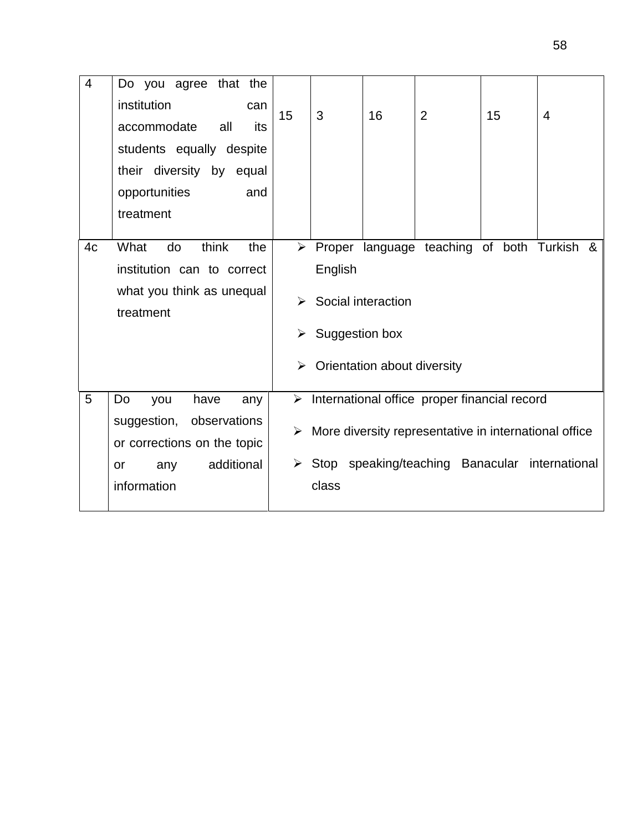| $\overline{4}$ | Do you agree that the<br>institution<br>can<br>all<br>accommodate<br>its<br>students equally despite<br>their diversity by equal | 15                              | 3                         | 16                                                | 2                                                                                                                                                                        | 15 | 4 |
|----------------|----------------------------------------------------------------------------------------------------------------------------------|---------------------------------|---------------------------|---------------------------------------------------|--------------------------------------------------------------------------------------------------------------------------------------------------------------------------|----|---|
|                | opportunities<br>and<br>treatment                                                                                                |                                 |                           |                                                   |                                                                                                                                                                          |    |   |
| 4c             | think<br>What<br>do<br>the<br>institution can to correct<br>what you think as unequal<br>treatment                               | $\blacktriangleright$<br>➤<br>➤ | English<br>Suggestion box | Social interaction<br>Orientation about diversity | > Proper language teaching of both Turkish &                                                                                                                             |    |   |
| 5              | Do<br>have<br>you<br>any<br>observations<br>suggestion,<br>or corrections on the topic<br>additional<br>any<br>or<br>information | ≻<br>➤                          | class                     |                                                   | $\triangleright$ International office proper financial record<br>More diversity representative in international office<br>Stop speaking/teaching Banacular international |    |   |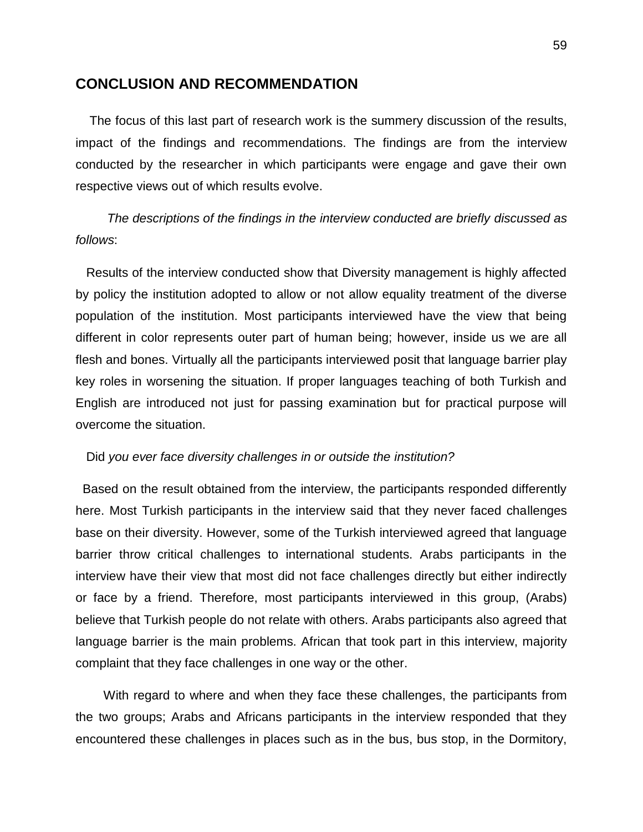## **CONCLUSION AND RECOMMENDATION**

 The focus of this last part of research work is the summery discussion of the results, impact of the findings and recommendations. The findings are from the interview conducted by the researcher in which participants were engage and gave their own respective views out of which results evolve.

# *The descriptions of the findings in the interview conducted are briefly discussed as follows*:

 Results of the interview conducted show that Diversity management is highly affected by policy the institution adopted to allow or not allow equality treatment of the diverse population of the institution. Most participants interviewed have the view that being different in color represents outer part of human being; however, inside us we are all flesh and bones. Virtually all the participants interviewed posit that language barrier play key roles in worsening the situation. If proper languages teaching of both Turkish and English are introduced not just for passing examination but for practical purpose will overcome the situation.

### Did *you ever face diversity challenges in or outside the institution?*

 Based on the result obtained from the interview, the participants responded differently here. Most Turkish participants in the interview said that they never faced challenges base on their diversity. However, some of the Turkish interviewed agreed that language barrier throw critical challenges to international students. Arabs participants in the interview have their view that most did not face challenges directly but either indirectly or face by a friend. Therefore, most participants interviewed in this group, (Arabs) believe that Turkish people do not relate with others. Arabs participants also agreed that language barrier is the main problems. African that took part in this interview, majority complaint that they face challenges in one way or the other.

 With regard to where and when they face these challenges, the participants from the two groups; Arabs and Africans participants in the interview responded that they encountered these challenges in places such as in the bus, bus stop, in the Dormitory,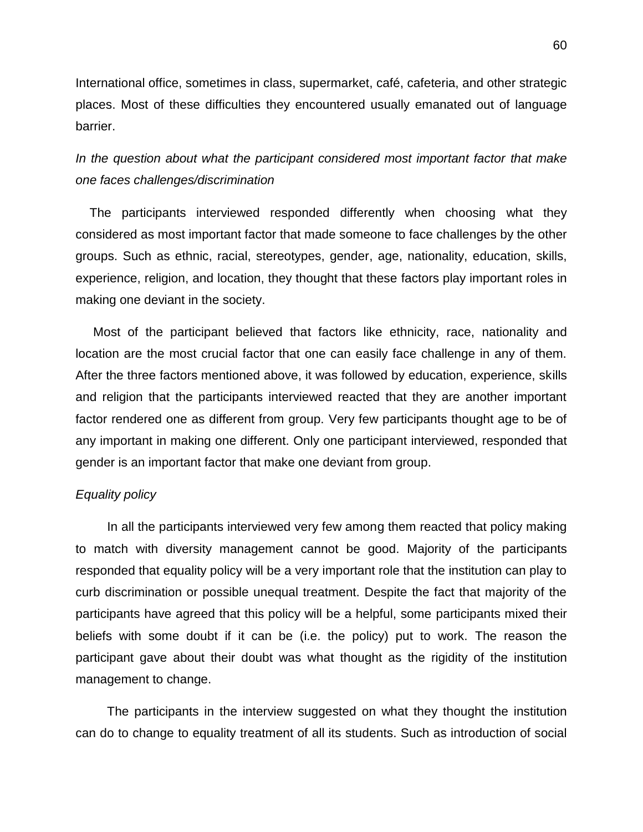International office, sometimes in class, supermarket, café, cafeteria, and other strategic places. Most of these difficulties they encountered usually emanated out of language barrier.

# *In the question about what the participant considered most important factor that make one faces challenges/discrimination*

 The participants interviewed responded differently when choosing what they considered as most important factor that made someone to face challenges by the other groups. Such as ethnic, racial, stereotypes, gender, age, nationality, education, skills, experience, religion, and location, they thought that these factors play important roles in making one deviant in the society.

 Most of the participant believed that factors like ethnicity, race, nationality and location are the most crucial factor that one can easily face challenge in any of them. After the three factors mentioned above, it was followed by education, experience, skills and religion that the participants interviewed reacted that they are another important factor rendered one as different from group. Very few participants thought age to be of any important in making one different. Only one participant interviewed, responded that gender is an important factor that make one deviant from group.

### *Equality policy*

 In all the participants interviewed very few among them reacted that policy making to match with diversity management cannot be good. Majority of the participants responded that equality policy will be a very important role that the institution can play to curb discrimination or possible unequal treatment. Despite the fact that majority of the participants have agreed that this policy will be a helpful, some participants mixed their beliefs with some doubt if it can be (i.e. the policy) put to work. The reason the participant gave about their doubt was what thought as the rigidity of the institution management to change.

 The participants in the interview suggested on what they thought the institution can do to change to equality treatment of all its students. Such as introduction of social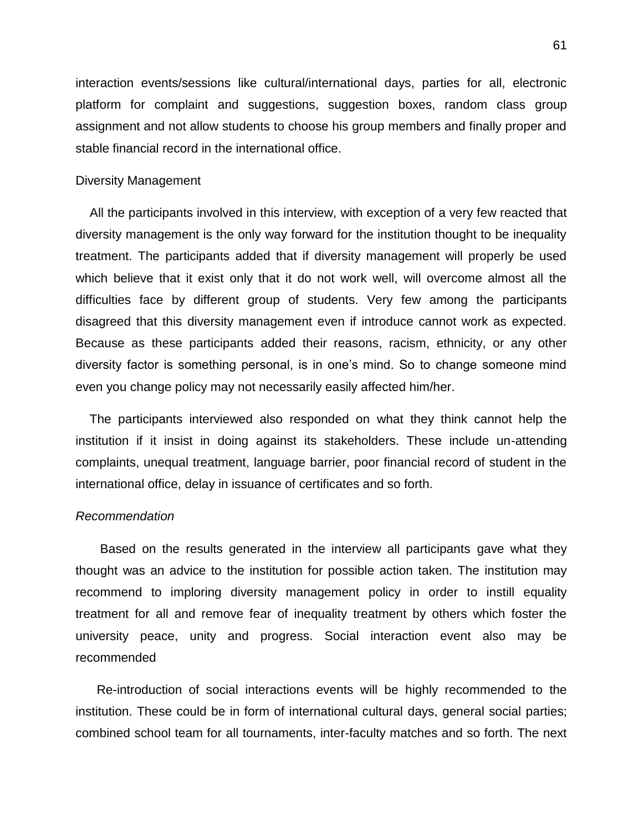interaction events/sessions like cultural/international days, parties for all, electronic platform for complaint and suggestions, suggestion boxes, random class group assignment and not allow students to choose his group members and finally proper and stable financial record in the international office.

### Diversity Management

 All the participants involved in this interview, with exception of a very few reacted that diversity management is the only way forward for the institution thought to be inequality treatment. The participants added that if diversity management will properly be used which believe that it exist only that it do not work well, will overcome almost all the difficulties face by different group of students. Very few among the participants disagreed that this diversity management even if introduce cannot work as expected. Because as these participants added their reasons, racism, ethnicity, or any other diversity factor is something personal, is in one"s mind. So to change someone mind even you change policy may not necessarily easily affected him/her.

 The participants interviewed also responded on what they think cannot help the institution if it insist in doing against its stakeholders. These include un-attending complaints, unequal treatment, language barrier, poor financial record of student in the international office, delay in issuance of certificates and so forth.

### *Recommendation*

 Based on the results generated in the interview all participants gave what they thought was an advice to the institution for possible action taken. The institution may recommend to imploring diversity management policy in order to instill equality treatment for all and remove fear of inequality treatment by others which foster the university peace, unity and progress. Social interaction event also may be recommended

 Re-introduction of social interactions events will be highly recommended to the institution. These could be in form of international cultural days, general social parties; combined school team for all tournaments, inter-faculty matches and so forth. The next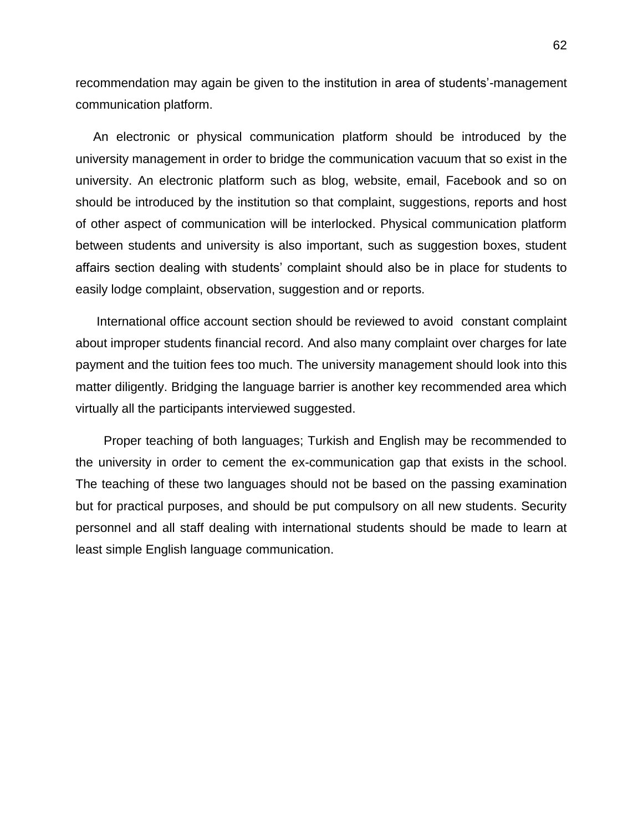recommendation may again be given to the institution in area of students'-management communication platform.

 An electronic or physical communication platform should be introduced by the university management in order to bridge the communication vacuum that so exist in the university. An electronic platform such as blog, website, email, Facebook and so on should be introduced by the institution so that complaint, suggestions, reports and host of other aspect of communication will be interlocked. Physical communication platform between students and university is also important, such as suggestion boxes, student affairs section dealing with students' complaint should also be in place for students to easily lodge complaint, observation, suggestion and or reports.

 International office account section should be reviewed to avoid constant complaint about improper students financial record. And also many complaint over charges for late payment and the tuition fees too much. The university management should look into this matter diligently. Bridging the language barrier is another key recommended area which virtually all the participants interviewed suggested.

 Proper teaching of both languages; Turkish and English may be recommended to the university in order to cement the ex-communication gap that exists in the school. The teaching of these two languages should not be based on the passing examination but for practical purposes, and should be put compulsory on all new students. Security personnel and all staff dealing with international students should be made to learn at least simple English language communication.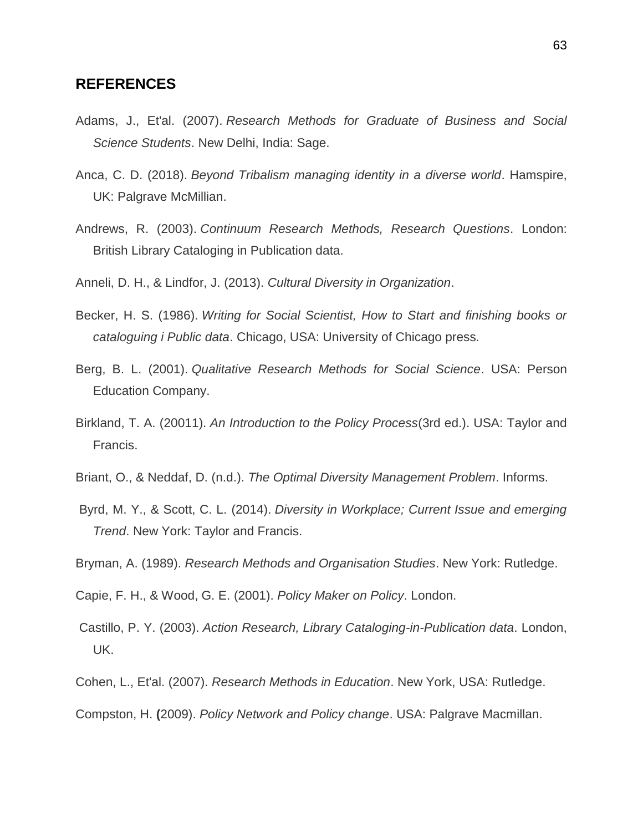## **REFERENCES**

- Adams, J., Et'al. (2007). *Research Methods for Graduate of Business and Social Science Students*. New Delhi, India: Sage.
- Anca, C. D. (2018). *Beyond Tribalism managing identity in a diverse world*. Hamspire, UK: Palgrave McMillian.
- Andrews, R. (2003). *Continuum Research Methods, Research Questions*. London: British Library Cataloging in Publication data.
- Anneli, D. H., & Lindfor, J. (2013). *Cultural Diversity in Organization*.
- Becker, H. S. (1986). *Writing for Social Scientist, How to Start and finishing books or cataloguing i Public data*. Chicago, USA: University of Chicago press.
- Berg, B. L. (2001). *Qualitative Research Methods for Social Science*. USA: Person Education Company.
- Birkland, T. A. (20011). *An Introduction to the Policy Process*(3rd ed.). USA: Taylor and Francis.
- Briant, O., & Neddaf, D. (n.d.). *The Optimal Diversity Management Problem*. Informs.
- Byrd, M. Y., & Scott, C. L. (2014). *Diversity in Workplace; Current Issue and emerging Trend*. New York: Taylor and Francis.
- Bryman, A. (1989). *Research Methods and Organisation Studies*. New York: Rutledge.
- Capie, F. H., & Wood, G. E. (2001). *Policy Maker on Policy*. London.
- Castillo, P. Y. (2003). *Action Research, Library Cataloging-in-Publication data*. London, UK.
- Cohen, L., Et'al. (2007). *Research Methods in Education*. New York, USA: Rutledge.
- Compston, H. **(**2009). *Policy Network and Policy change*. USA: Palgrave Macmillan.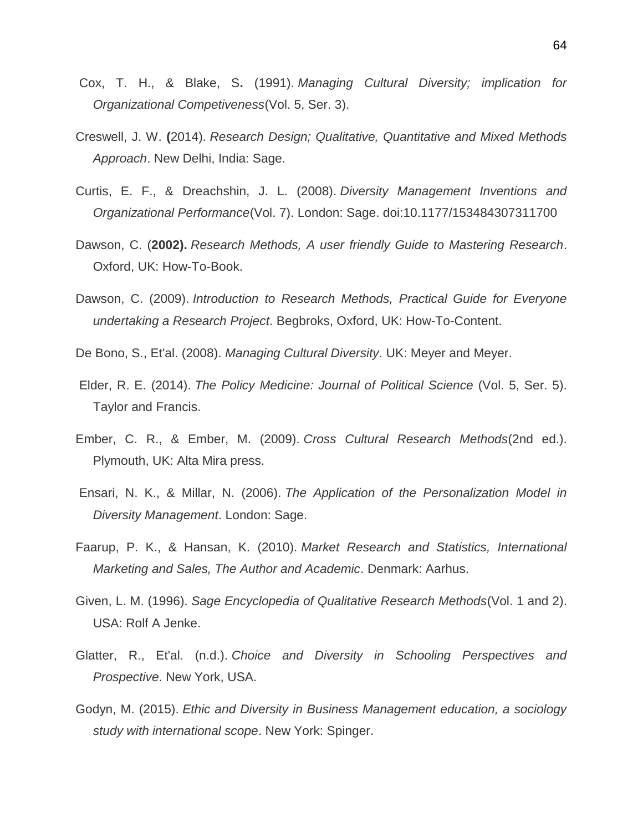- Cox, T. H., & Blake, S**.** (1991). *Managing Cultural Diversity; implication for Organizational Competiveness*(Vol. 5, Ser. 3).
- Creswell, J. W. **(**2014). *Research Design; Qualitative, Quantitative and Mixed Methods Approach*. New Delhi, India: Sage.
- Curtis, E. F., & Dreachshin, J. L. (2008). *Diversity Management Inventions and Organizational Performance*(Vol. 7). London: Sage. doi:10.1177/153484307311700
- Dawson, C. (**2002).** *Research Methods, A user friendly Guide to Mastering Research*. Oxford, UK: How-To-Book.
- Dawson, C. (2009). *Introduction to Research Methods, Practical Guide for Everyone undertaking a Research Project*. Begbroks, Oxford, UK: How-To-Content.
- De Bono, S., Et'al. (2008). *Managing Cultural Diversity*. UK: Meyer and Meyer.
- Elder, R. E. (2014). *The Policy Medicine: Journal of Political Science* (Vol. 5, Ser. 5). Taylor and Francis.
- Ember, C. R., & Ember, M. (2009). *Cross Cultural Research Methods*(2nd ed.). Plymouth, UK: Alta Mira press.
- Ensari, N. K., & Millar, N. (2006). *The Application of the Personalization Model in Diversity Management*. London: Sage.
- Faarup, P. K., & Hansan, K. (2010). *Market Research and Statistics, International Marketing and Sales, The Author and Academic*. Denmark: Aarhus.
- Given, L. M. (1996). *Sage Encyclopedia of Qualitative Research Methods*(Vol. 1 and 2). USA: Rolf A Jenke.
- Glatter, R., Et'al. (n.d.). *Choice and Diversity in Schooling Perspectives and Prospective*. New York, USA.
- Godyn, M. (2015). *Ethic and Diversity in Business Management education, a sociology study with international scope*. New York: Spinger.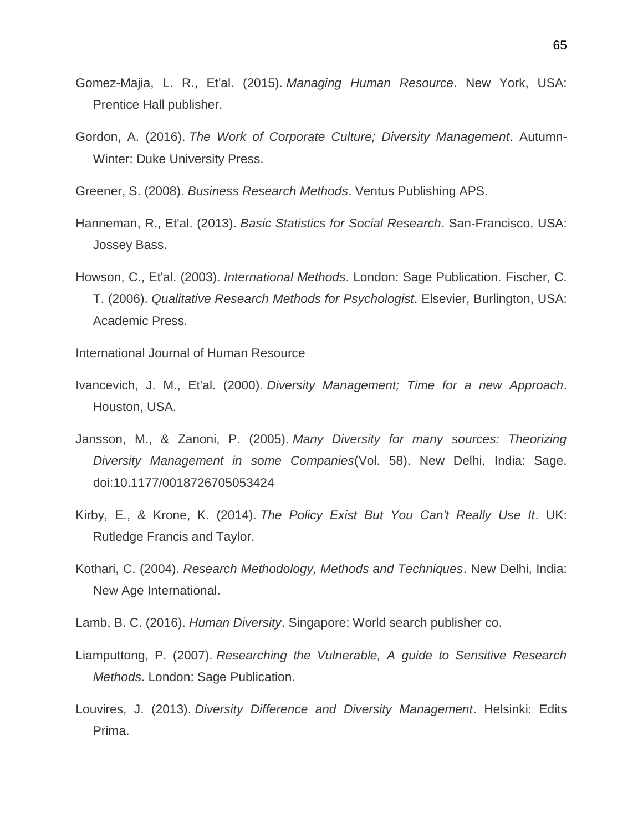- Gomez-Majia, L. R., Et'al. (2015). *Managing Human Resource*. New York, USA: Prentice Hall publisher.
- Gordon, A. (2016). *The Work of Corporate Culture; Diversity Management*. Autumn-Winter: Duke University Press.
- Greener, S. (2008). *Business Research Methods*. Ventus Publishing APS.
- Hanneman, R., Et'al. (2013). *Basic Statistics for Social Research*. San-Francisco, USA: Jossey Bass.
- Howson, C., Et'al. (2003). *International Methods*. London: Sage Publication. Fischer, C. T. (2006). *Qualitative Research Methods for Psychologist*. Elsevier, Burlington, USA: Academic Press.

International Journal of Human Resource

- Ivancevich, J. M., Et'al. (2000). *Diversity Management; Time for a new Approach*. Houston, USA.
- Jansson, M., & Zanoni, P. (2005). *Many Diversity for many sources: Theorizing Diversity Management in some Companies*(Vol. 58). New Delhi, India: Sage. doi:10.1177/0018726705053424
- Kirby, E., & Krone, K. (2014). *The Policy Exist But You Can't Really Use It*. UK: Rutledge Francis and Taylor.
- Kothari, C. (2004). *Research Methodology, Methods and Techniques*. New Delhi, India: New Age International.
- Lamb, B. C. (2016). *Human Diversity*. Singapore: World search publisher co.
- Liamputtong, P. (2007). *Researching the Vulnerable, A guide to Sensitive Research Methods*. London: Sage Publication.
- Louvires, J. (2013). *Diversity Difference and Diversity Management*. Helsinki: Edits Prima.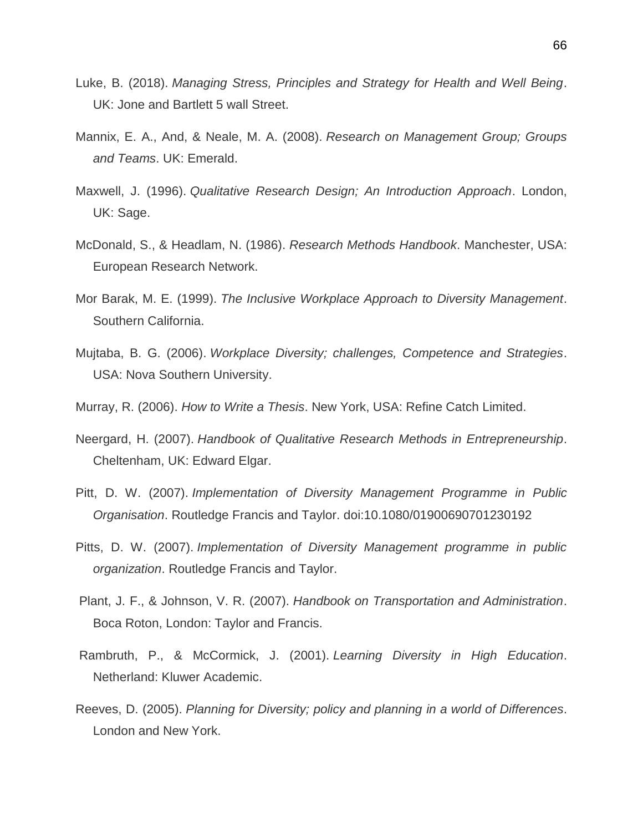- Luke, B. (2018). *Managing Stress, Principles and Strategy for Health and Well Being*. UK: Jone and Bartlett 5 wall Street.
- Mannix, E. A., And, & Neale, M. A. (2008). *Research on Management Group; Groups and Teams*. UK: Emerald.
- Maxwell, J. (1996). *Qualitative Research Design; An Introduction Approach*. London, UK: Sage.
- McDonald, S., & Headlam, N. (1986). *Research Methods Handbook*. Manchester, USA: European Research Network.
- Mor Barak, M. E. (1999). *The Inclusive Workplace Approach to Diversity Management*. Southern California.
- Mujtaba, B. G. (2006). *Workplace Diversity; challenges, Competence and Strategies*. USA: Nova Southern University.
- Murray, R. (2006). *How to Write a Thesis*. New York, USA: Refine Catch Limited.
- Neergard, H. (2007). *Handbook of Qualitative Research Methods in Entrepreneurship*. Cheltenham, UK: Edward Elgar.
- Pitt, D. W. (2007). *Implementation of Diversity Management Programme in Public Organisation*. Routledge Francis and Taylor. doi:10.1080/01900690701230192
- Pitts, D. W. (2007). *Implementation of Diversity Management programme in public organization*. Routledge Francis and Taylor.
- Plant, J. F., & Johnson, V. R. (2007). *Handbook on Transportation and Administration*. Boca Roton, London: Taylor and Francis.
- Rambruth, P., & McCormick, J. (2001). *Learning Diversity in High Education*. Netherland: Kluwer Academic.
- Reeves, D. (2005). *Planning for Diversity; policy and planning in a world of Differences*. London and New York.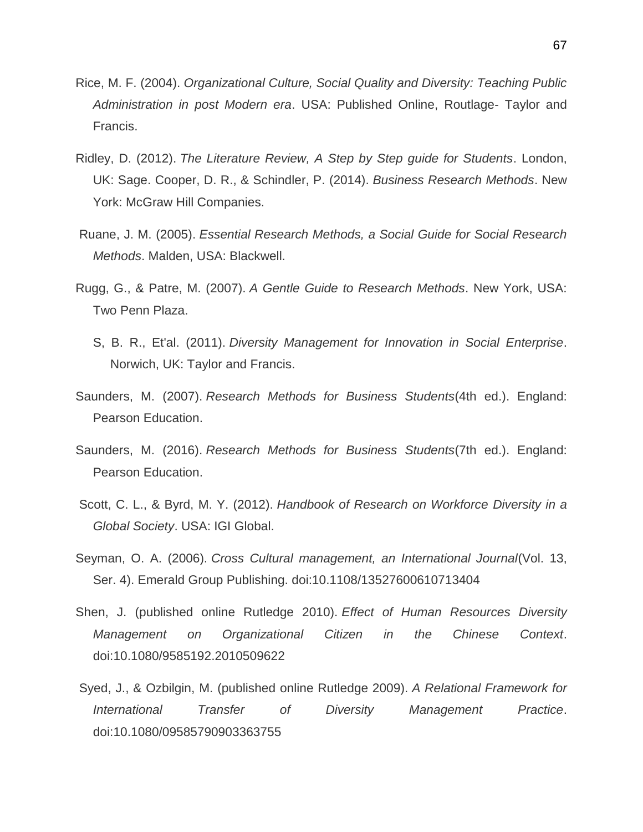- Rice, M. F. (2004). *Organizational Culture, Social Quality and Diversity: Teaching Public Administration in post Modern era*. USA: Published Online, Routlage- Taylor and Francis.
- Ridley, D. (2012). *The Literature Review, A Step by Step guide for Students*. London, UK: Sage. Cooper, D. R., & Schindler, P. (2014). *Business Research Methods*. New York: McGraw Hill Companies.
- Ruane, J. M. (2005). *Essential Research Methods, a Social Guide for Social Research Methods*. Malden, USA: Blackwell.
- Rugg, G., & Patre, M. (2007). *A Gentle Guide to Research Methods*. New York, USA: Two Penn Plaza.
	- S, B. R., Et'al. (2011). *Diversity Management for Innovation in Social Enterprise*. Norwich, UK: Taylor and Francis.
- Saunders, M. (2007). *Research Methods for Business Students*(4th ed.). England: Pearson Education.
- Saunders, M. (2016). *Research Methods for Business Students*(7th ed.). England: Pearson Education.
- Scott, C. L., & Byrd, M. Y. (2012). *Handbook of Research on Workforce Diversity in a Global Society*. USA: IGI Global.
- Seyman, O. A. (2006). *Cross Cultural management, an International Journal*(Vol. 13, Ser. 4). Emerald Group Publishing. doi:10.1108/13527600610713404
- Shen, J. (published online Rutledge 2010). *Effect of Human Resources Diversity Management on Organizational Citizen in the Chinese Context*. doi:10.1080/9585192.2010509622
- Syed, J., & Ozbilgin, M. (published online Rutledge 2009). *A Relational Framework for International Transfer of Diversity Management Practice*. doi:10.1080/09585790903363755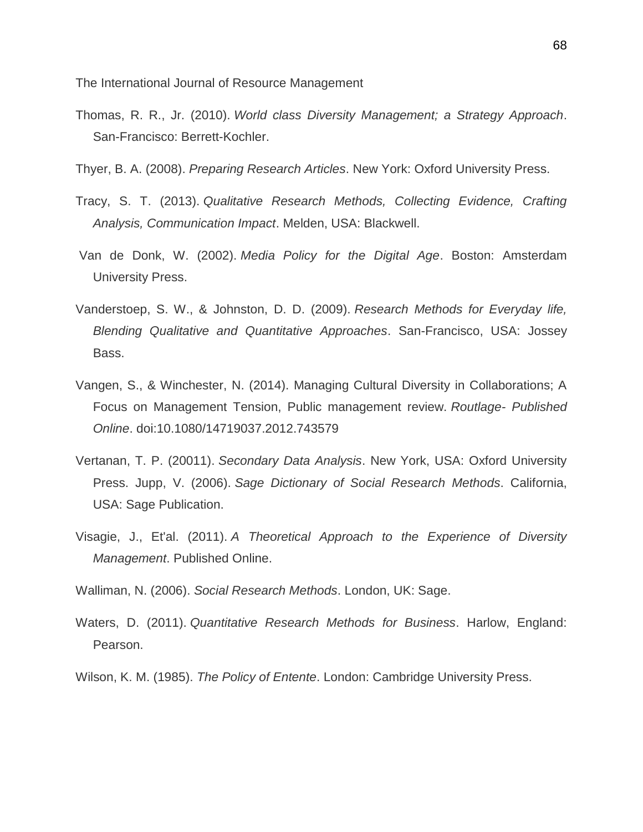The International Journal of Resource Management

- Thomas, R. R., Jr. (2010). *World class Diversity Management; a Strategy Approach*. San-Francisco: Berrett-Kochler.
- Thyer, B. A. (2008). *Preparing Research Articles*. New York: Oxford University Press.
- Tracy, S. T. (2013). *Qualitative Research Methods, Collecting Evidence, Crafting Analysis, Communication Impact*. Melden, USA: Blackwell.
- Van de Donk, W. (2002). *Media Policy for the Digital Age*. Boston: Amsterdam University Press.
- Vanderstoep, S. W., & Johnston, D. D. (2009). *Research Methods for Everyday life, Blending Qualitative and Quantitative Approaches*. San-Francisco, USA: Jossey Bass.
- Vangen, S., & Winchester, N. (2014). Managing Cultural Diversity in Collaborations; A Focus on Management Tension, Public management review. *Routlage- Published Online*. doi:10.1080/14719037.2012.743579
- Vertanan, T. P. (20011). *Secondary Data Analysis*. New York, USA: Oxford University Press. Jupp, V. (2006). *Sage Dictionary of Social Research Methods*. California, USA: Sage Publication.
- Visagie, J., Et'al. (2011). *A Theoretical Approach to the Experience of Diversity Management*. Published Online.
- Walliman, N. (2006). *Social Research Methods*. London, UK: Sage.
- Waters, D. (2011). *Quantitative Research Methods for Business*. Harlow, England: Pearson.
- Wilson, K. M. (1985). *The Policy of Entente*. London: Cambridge University Press.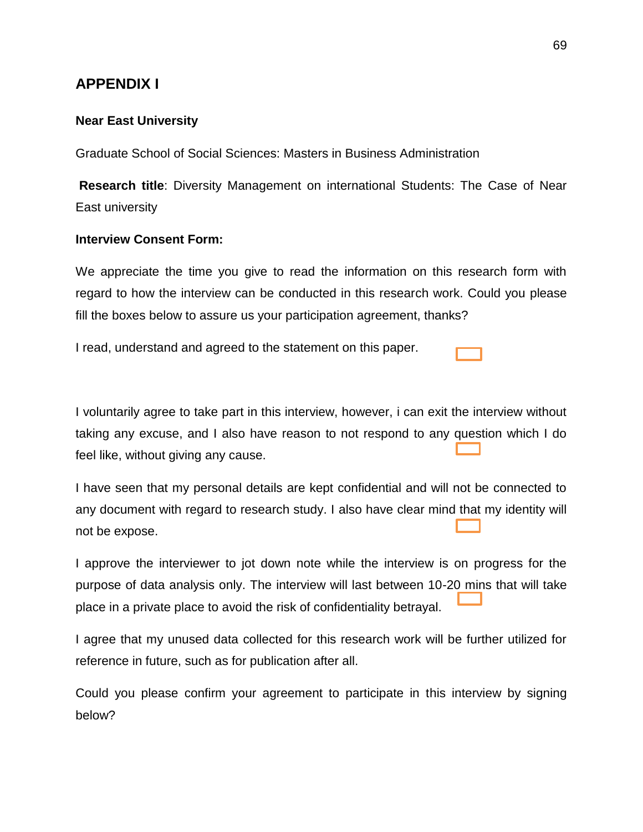# **APPENDIX I**

### **Near East University**

Graduate School of Social Sciences: Masters in Business Administration

**Research title**: Diversity Management on international Students: The Case of Near East university

### **Interview Consent Form:**

We appreciate the time you give to read the information on this research form with regard to how the interview can be conducted in this research work. Could you please fill the boxes below to assure us your participation agreement, thanks?

I read, understand and agreed to the statement on this paper.

I voluntarily agree to take part in this interview, however, i can exit the interview without taking any excuse, and I also have reason to not respond to any question which I do feel like, without giving any cause.

I have seen that my personal details are kept confidential and will not be connected to any document with regard to research study. I also have clear mind that my identity will not be expose.

I approve the interviewer to jot down note while the interview is on progress for the purpose of data analysis only. The interview will last between 10-20 mins that will take place in a private place to avoid the risk of confidentiality betrayal.

I agree that my unused data collected for this research work will be further utilized for reference in future, such as for publication after all.

Could you please confirm your agreement to participate in this interview by signing below?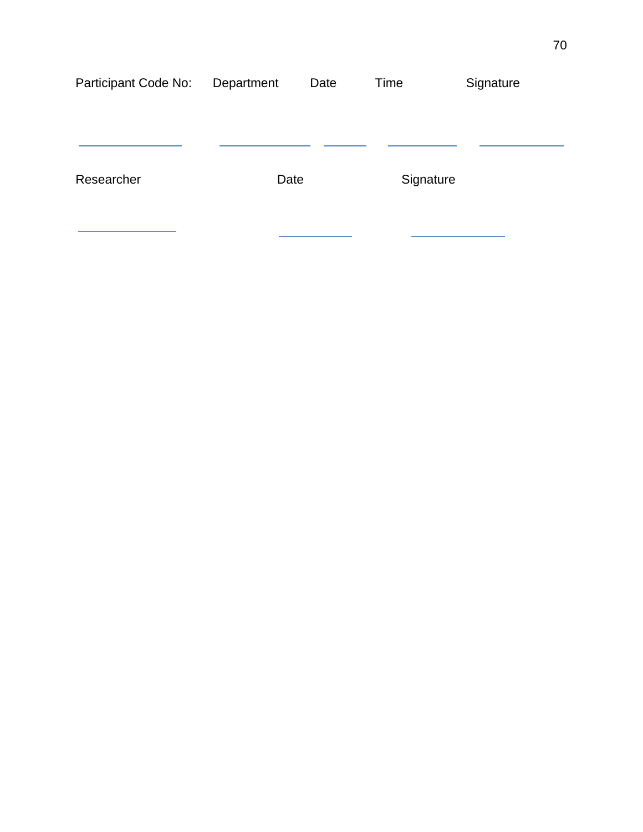| Participant Code No: | Department | Date | Time      | Signature |
|----------------------|------------|------|-----------|-----------|
|                      |            |      |           |           |
|                      |            |      |           |           |
| Researcher           | Date       |      | Signature |           |
|                      |            |      |           |           |
|                      |            |      |           |           |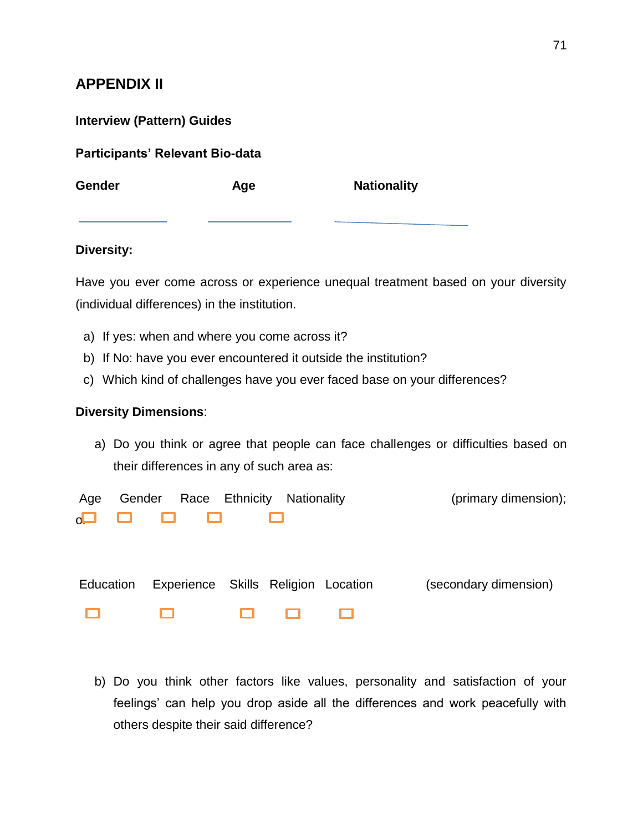# **APPENDIX II**

| <b>Interview (Pattern) Guides</b> |  |  |
|-----------------------------------|--|--|
|-----------------------------------|--|--|

**Participants' Relevant Bio-data**

**Gender Age Nationality**

# **Diversity:**

Have you ever come across or experience unequal treatment based on your diversity (individual differences) in the institution.

- a) If yes: when and where you come across it?
- b) If No: have you ever encountered it outside the institution?
- c) Which kind of challenges have you ever faced base on your differences?

## **Diversity Dimensions**:

a) Do you think or agree that people can face challenges or difficulties based on their differences in any of such area as:

| Age       | Gender                              | Race Ethnicity Nationality |  | (primary dimension);  |
|-----------|-------------------------------------|----------------------------|--|-----------------------|
|           | $\Box$ $\Box$ $\Box$<br>ш           |                            |  |                       |
|           |                                     |                            |  |                       |
|           |                                     |                            |  |                       |
| Education | Experience Skills Religion Location |                            |  | (secondary dimension) |

8 8 8  $\Box$  $\Box$ 

b) Do you think other factors like values, personality and satisfaction of your feelings' can help you drop aside all the differences and work peacefully with others despite their said difference?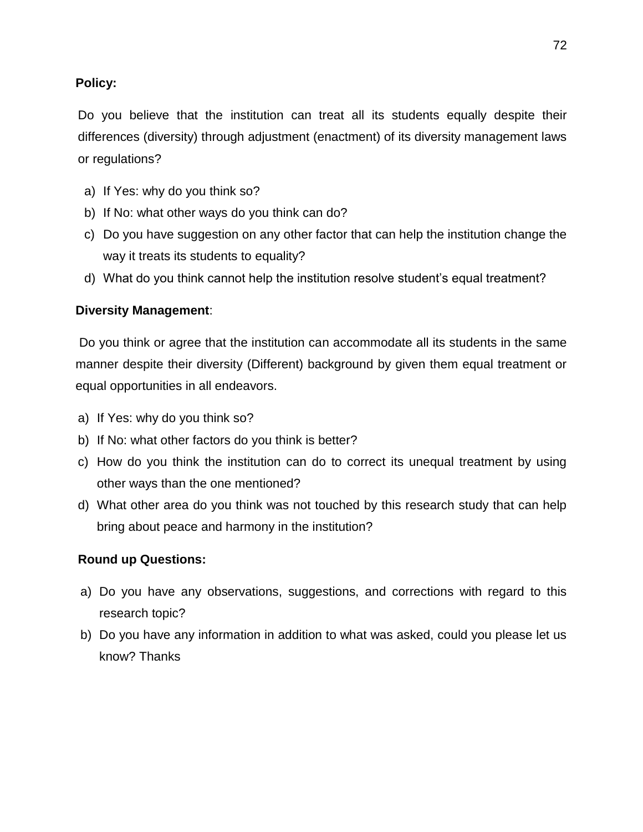# **Policy:**

Do you believe that the institution can treat all its students equally despite their differences (diversity) through adjustment (enactment) of its diversity management laws or regulations?

- a) If Yes: why do you think so?
- b) If No: what other ways do you think can do?
- c) Do you have suggestion on any other factor that can help the institution change the way it treats its students to equality?
- d) What do you think cannot help the institution resolve student"s equal treatment?

# **Diversity Management**:

Do you think or agree that the institution can accommodate all its students in the same manner despite their diversity (Different) background by given them equal treatment or equal opportunities in all endeavors.

- a) If Yes: why do you think so?
- b) If No: what other factors do you think is better?
- c) How do you think the institution can do to correct its unequal treatment by using other ways than the one mentioned?
- d) What other area do you think was not touched by this research study that can help bring about peace and harmony in the institution?

# **Round up Questions:**

- a) Do you have any observations, suggestions, and corrections with regard to this research topic?
- b) Do you have any information in addition to what was asked, could you please let us know? Thanks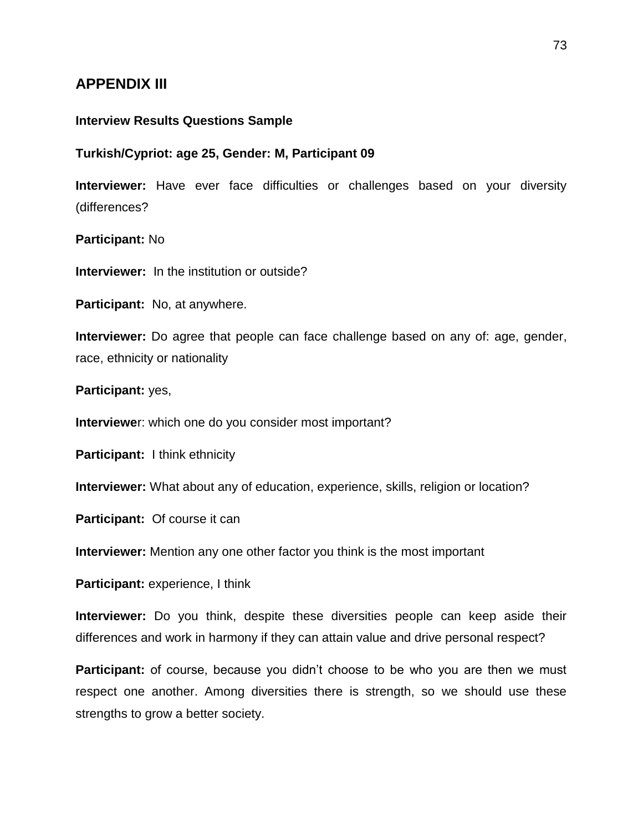# **APPENDIX III**

### **Interview Results Questions Sample**

#### **Turkish/Cypriot: age 25, Gender: M, Participant 09**

**Interviewer:** Have ever face difficulties or challenges based on your diversity (differences?

#### **Participant:** No

**Interviewer:** In the institution or outside?

**Participant:** No, at anywhere.

**Interviewer:** Do agree that people can face challenge based on any of: age, gender, race, ethnicity or nationality

### **Participant:** yes,

**Interviewe**r: which one do you consider most important?

**Participant:** I think ethnicity

**Interviewer:** What about any of education, experience, skills, religion or location?

**Participant:** Of course it can

**Interviewer:** Mention any one other factor you think is the most important

**Participant:** experience, I think

**Interviewer:** Do you think, despite these diversities people can keep aside their differences and work in harmony if they can attain value and drive personal respect?

**Participant:** of course, because you didn't choose to be who you are then we must respect one another. Among diversities there is strength, so we should use these strengths to grow a better society.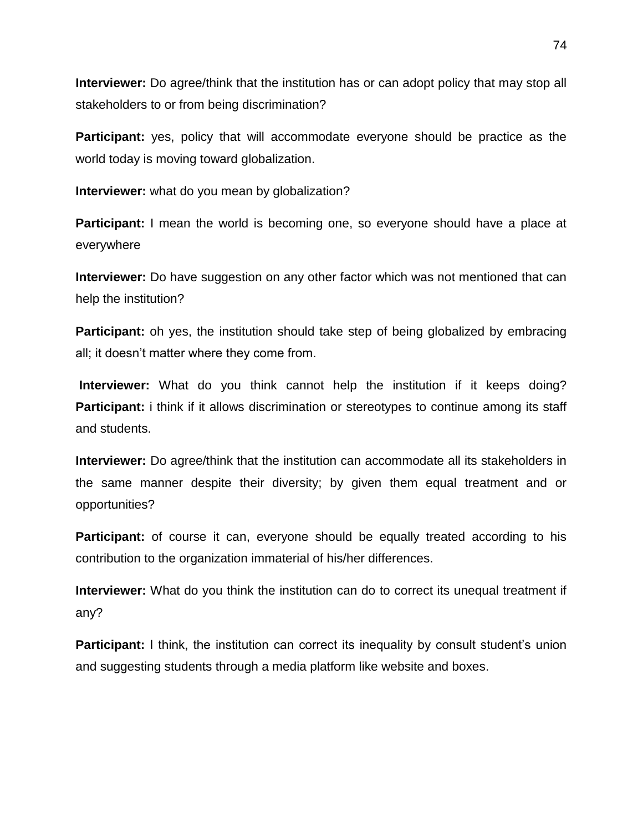**Interviewer:** Do agree/think that the institution has or can adopt policy that may stop all stakeholders to or from being discrimination?

**Participant:** yes, policy that will accommodate everyone should be practice as the world today is moving toward globalization.

**Interviewer:** what do you mean by globalization?

**Participant:** I mean the world is becoming one, so everyone should have a place at everywhere

**Interviewer:** Do have suggestion on any other factor which was not mentioned that can help the institution?

**Participant:** oh yes, the institution should take step of being globalized by embracing all; it doesn"t matter where they come from.

**Interviewer:** What do you think cannot help the institution if it keeps doing? **Participant:** i think if it allows discrimination or stereotypes to continue among its staff and students.

**Interviewer:** Do agree/think that the institution can accommodate all its stakeholders in the same manner despite their diversity; by given them equal treatment and or opportunities?

**Participant:** of course it can, everyone should be equally treated according to his contribution to the organization immaterial of his/her differences.

**Interviewer:** What do you think the institution can do to correct its unequal treatment if any?

**Participant:** I think, the institution can correct its inequality by consult student's union and suggesting students through a media platform like website and boxes.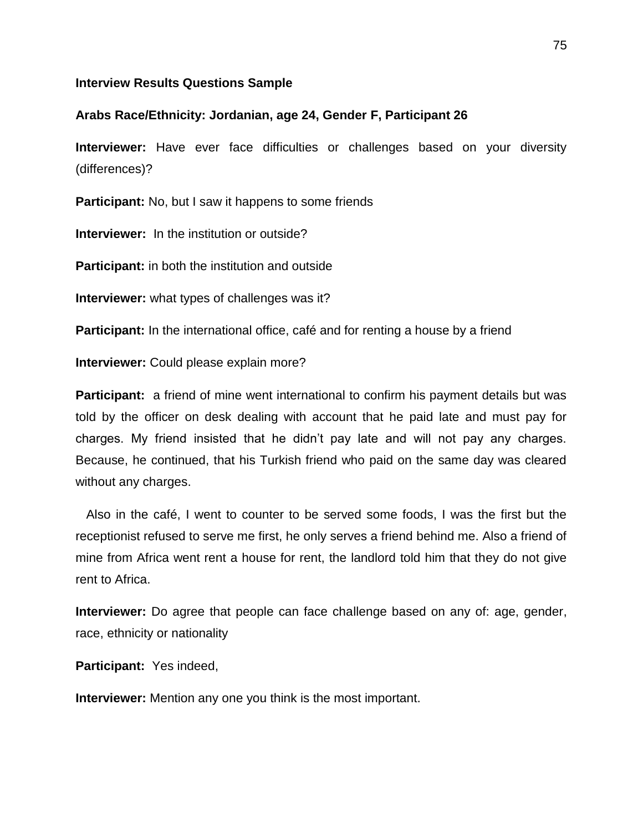#### **Interview Results Questions Sample**

### **Arabs Race/Ethnicity: Jordanian, age 24, Gender F, Participant 26**

**Interviewer:** Have ever face difficulties or challenges based on your diversity (differences)?

**Participant:** No, but I saw it happens to some friends

**Interviewer:** In the institution or outside?

**Participant:** in both the institution and outside

**Interviewer:** what types of challenges was it?

**Participant:** In the international office, café and for renting a house by a friend

**Interviewer:** Could please explain more?

**Participant:** a friend of mine went international to confirm his payment details but was told by the officer on desk dealing with account that he paid late and must pay for charges. My friend insisted that he didn"t pay late and will not pay any charges. Because, he continued, that his Turkish friend who paid on the same day was cleared without any charges.

 Also in the café, I went to counter to be served some foods, I was the first but the receptionist refused to serve me first, he only serves a friend behind me. Also a friend of mine from Africa went rent a house for rent, the landlord told him that they do not give rent to Africa.

**Interviewer:** Do agree that people can face challenge based on any of: age, gender, race, ethnicity or nationality

**Participant:** Yes indeed,

**Interviewer:** Mention any one you think is the most important.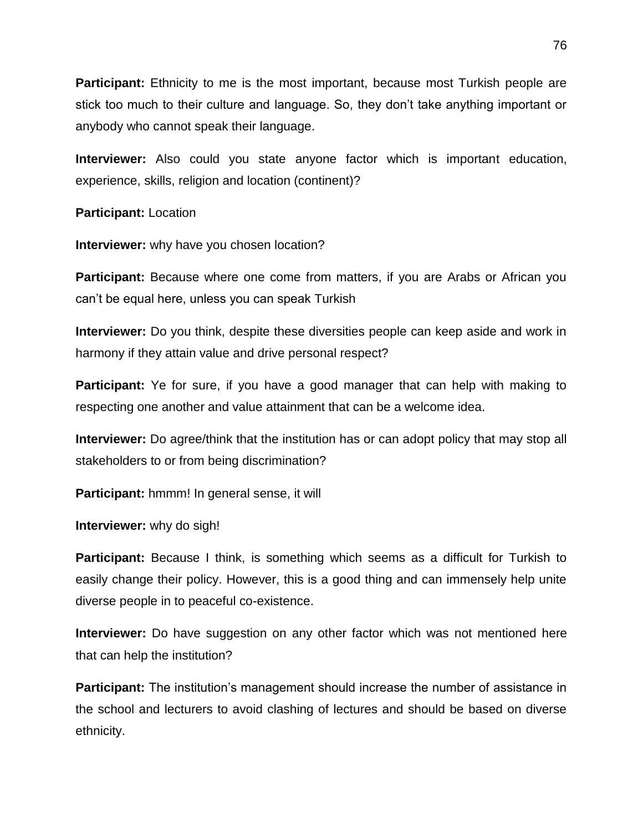**Participant:** Ethnicity to me is the most important, because most Turkish people are stick too much to their culture and language. So, they don"t take anything important or anybody who cannot speak their language.

**Interviewer:** Also could you state anyone factor which is important education, experience, skills, religion and location (continent)?

**Participant:** Location

**Interviewer:** why have you chosen location?

**Participant:** Because where one come from matters, if you are Arabs or African you can"t be equal here, unless you can speak Turkish

**Interviewer:** Do you think, despite these diversities people can keep aside and work in harmony if they attain value and drive personal respect?

**Participant:** Ye for sure, if you have a good manager that can help with making to respecting one another and value attainment that can be a welcome idea.

**Interviewer:** Do agree/think that the institution has or can adopt policy that may stop all stakeholders to or from being discrimination?

**Participant:** hmmm! In general sense, it will

**Interviewer:** why do sigh!

**Participant:** Because I think, is something which seems as a difficult for Turkish to easily change their policy. However, this is a good thing and can immensely help unite diverse people in to peaceful co-existence.

**Interviewer:** Do have suggestion on any other factor which was not mentioned here that can help the institution?

**Participant:** The institution's management should increase the number of assistance in the school and lecturers to avoid clashing of lectures and should be based on diverse ethnicity.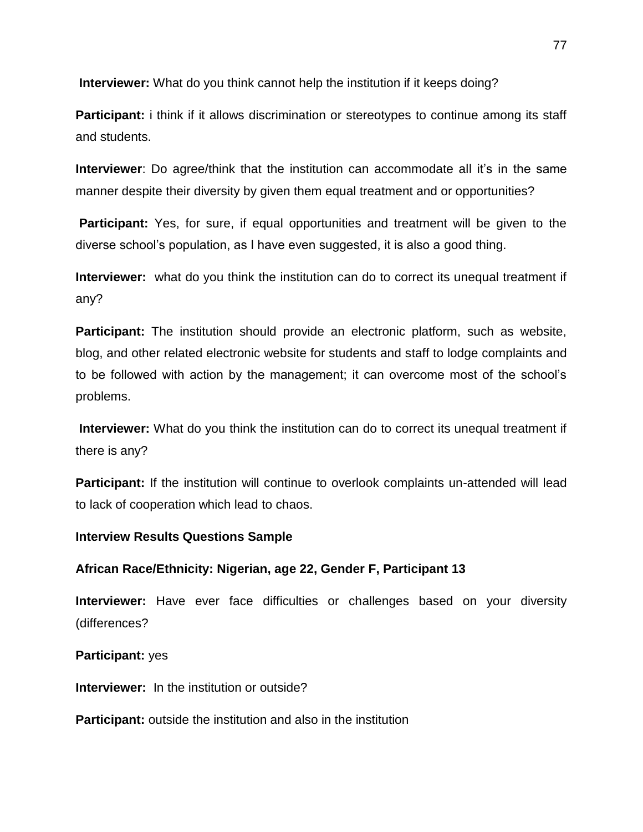**Interviewer:** What do you think cannot help the institution if it keeps doing?

**Participant:** i think if it allows discrimination or stereotypes to continue among its staff and students.

**Interviewer**: Do agree/think that the institution can accommodate all it's in the same manner despite their diversity by given them equal treatment and or opportunities?

**Participant:** Yes, for sure, if equal opportunities and treatment will be given to the diverse school"s population, as I have even suggested, it is also a good thing.

**Interviewer:** what do you think the institution can do to correct its unequal treatment if any?

**Participant:** The institution should provide an electronic platform, such as website, blog, and other related electronic website for students and staff to lodge complaints and to be followed with action by the management; it can overcome most of the school"s problems.

**Interviewer:** What do you think the institution can do to correct its unequal treatment if there is any?

**Participant:** If the institution will continue to overlook complaints un-attended will lead to lack of cooperation which lead to chaos.

## **Interview Results Questions Sample**

## **African Race/Ethnicity: Nigerian, age 22, Gender F, Participant 13**

**Interviewer:** Have ever face difficulties or challenges based on your diversity (differences?

### **Participant:** yes

**Interviewer:** In the institution or outside?

**Participant:** outside the institution and also in the institution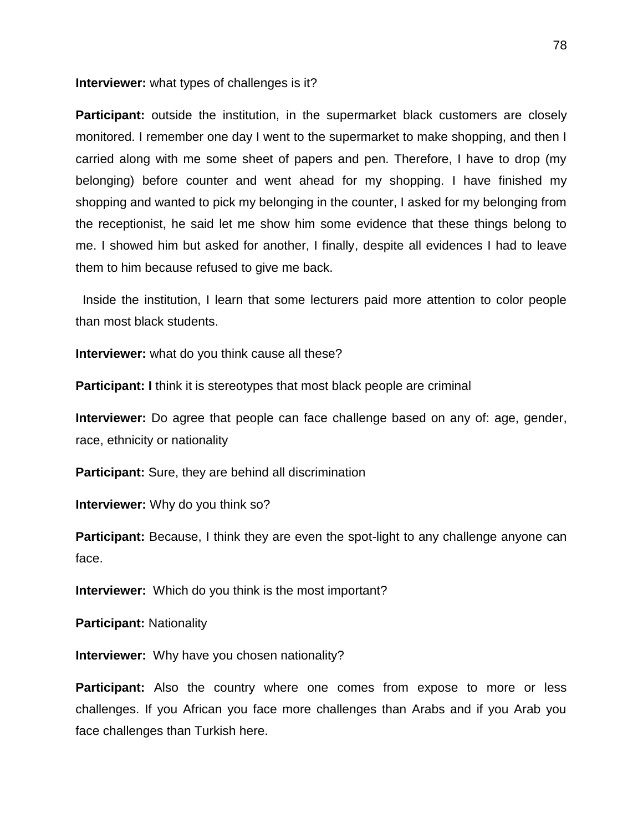#### **Interviewer:** what types of challenges is it?

**Participant:** outside the institution, in the supermarket black customers are closely monitored. I remember one day I went to the supermarket to make shopping, and then I carried along with me some sheet of papers and pen. Therefore, I have to drop (my belonging) before counter and went ahead for my shopping. I have finished my shopping and wanted to pick my belonging in the counter, I asked for my belonging from the receptionist, he said let me show him some evidence that these things belong to me. I showed him but asked for another, I finally, despite all evidences I had to leave them to him because refused to give me back.

 Inside the institution, I learn that some lecturers paid more attention to color people than most black students.

**Interviewer:** what do you think cause all these?

**Participant:** I think it is stereotypes that most black people are criminal

**Interviewer:** Do agree that people can face challenge based on any of: age, gender, race, ethnicity or nationality

**Participant:** Sure, they are behind all discrimination

**Interviewer:** Why do you think so?

**Participant:** Because, I think they are even the spot-light to any challenge anyone can face.

**Interviewer:** Which do you think is the most important?

**Participant:** Nationality

**Interviewer:** Why have you chosen nationality?

**Participant:** Also the country where one comes from expose to more or less challenges. If you African you face more challenges than Arabs and if you Arab you face challenges than Turkish here.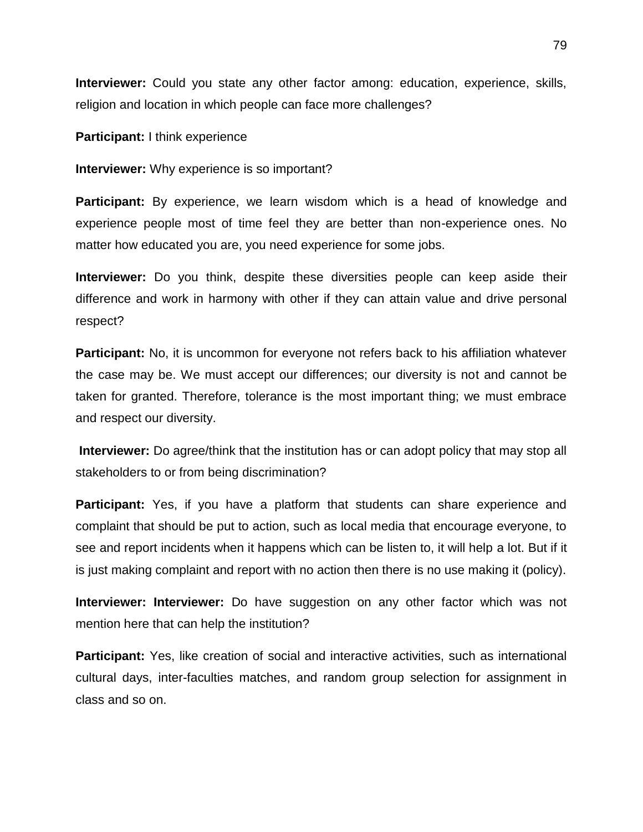**Interviewer:** Could you state any other factor among: education, experience, skills, religion and location in which people can face more challenges?

**Participant:** I think experience

**Interviewer:** Why experience is so important?

**Participant:** By experience, we learn wisdom which is a head of knowledge and experience people most of time feel they are better than non-experience ones. No matter how educated you are, you need experience for some jobs.

**Interviewer:** Do you think, despite these diversities people can keep aside their difference and work in harmony with other if they can attain value and drive personal respect?

**Participant:** No, it is uncommon for everyone not refers back to his affiliation whatever the case may be. We must accept our differences; our diversity is not and cannot be taken for granted. Therefore, tolerance is the most important thing; we must embrace and respect our diversity.

**Interviewer:** Do agree/think that the institution has or can adopt policy that may stop all stakeholders to or from being discrimination?

**Participant:** Yes, if you have a platform that students can share experience and complaint that should be put to action, such as local media that encourage everyone, to see and report incidents when it happens which can be listen to, it will help a lot. But if it is just making complaint and report with no action then there is no use making it (policy).

**Interviewer: Interviewer:** Do have suggestion on any other factor which was not mention here that can help the institution?

**Participant:** Yes, like creation of social and interactive activities, such as international cultural days, inter-faculties matches, and random group selection for assignment in class and so on.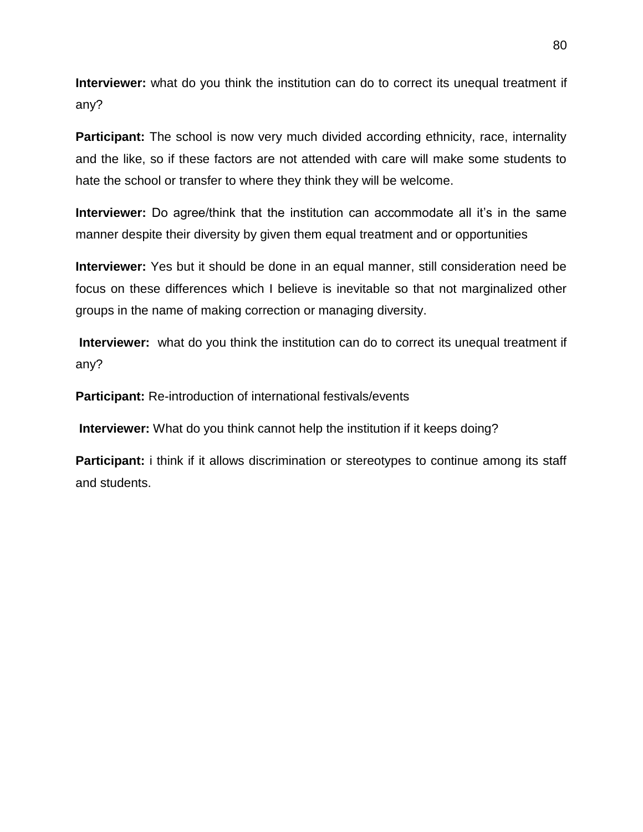**Interviewer:** what do you think the institution can do to correct its unequal treatment if any?

**Participant:** The school is now very much divided according ethnicity, race, internality and the like, so if these factors are not attended with care will make some students to hate the school or transfer to where they think they will be welcome.

**Interviewer:** Do agree/think that the institution can accommodate all it's in the same manner despite their diversity by given them equal treatment and or opportunities

**Interviewer:** Yes but it should be done in an equal manner, still consideration need be focus on these differences which I believe is inevitable so that not marginalized other groups in the name of making correction or managing diversity.

**Interviewer:** what do you think the institution can do to correct its unequal treatment if any?

**Participant:** Re-introduction of international festivals/events

**Interviewer:** What do you think cannot help the institution if it keeps doing?

**Participant:** i think if it allows discrimination or stereotypes to continue among its staff and students.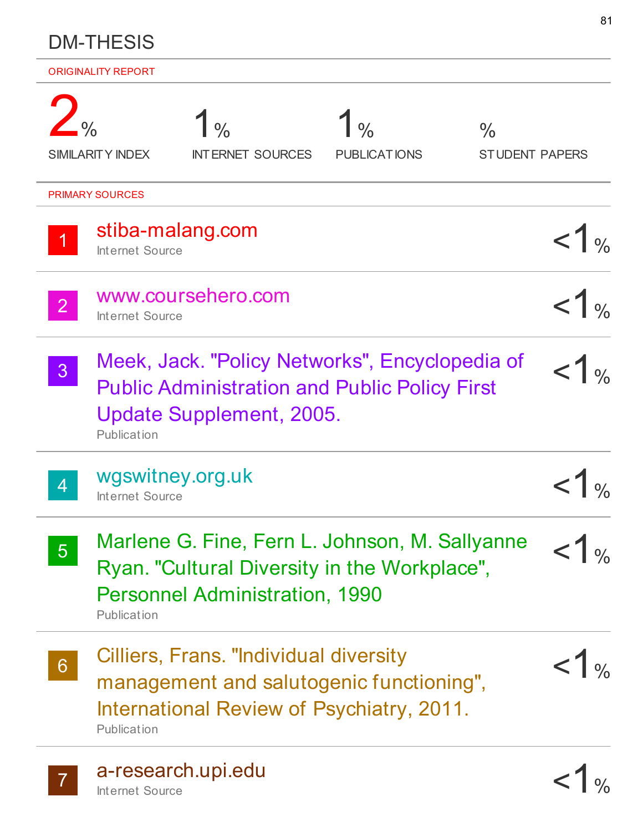|                | <b>DM-THESIS</b>                      |                                                                                                                                         |                                 |                                        |                  |  |
|----------------|---------------------------------------|-----------------------------------------------------------------------------------------------------------------------------------------|---------------------------------|----------------------------------------|------------------|--|
|                | <b>ORIGINALITY REPORT</b>             |                                                                                                                                         |                                 |                                        |                  |  |
| $-$ %          | <b>SIMILARITY INDEX</b>               | 1 <sub>96</sub><br><b>INTERNET SOURCES</b>                                                                                              | $\mid$ %<br><b>PUBLICATIONS</b> | $\frac{0}{0}$<br><b>STUDENT PAPERS</b> |                  |  |
|                | <b>PRIMARY SOURCES</b>                |                                                                                                                                         |                                 |                                        |                  |  |
|                | Internet Source                       | stiba-malang.com                                                                                                                        |                                 |                                        |                  |  |
| 2 <sup>1</sup> | www.coursehero.com<br>Internet Source |                                                                                                                                         |                                 |                                        |                  |  |
| 3 <sup>1</sup> | Publication                           | Meek, Jack. "Policy Networks", Encyclopedia of<br><b>Public Administration and Public Policy First</b><br>Update Supplement, 2005.      |                                 |                                        |                  |  |
| 4              | wgswitney.org.uk<br>Internet Source   |                                                                                                                                         |                                 |                                        |                  |  |
| 5 <sup>1</sup> | Publication                           | Marlene G. Fine, Fern L. Johnson, M. Sallyanne<br>Ryan. "Cultural Diversity in the Workplace",<br><b>Personnel Administration, 1990</b> |                                 |                                        | $1\%$            |  |
| 6 <sup>°</sup> | Publication                           | Cilliers, Frans. "Individual diversity<br>management and salutogenic functioning",<br>International Review of Psychiatry, 2011.         |                                 |                                        | < 1 <sub>0</sub> |  |
| $\mathbf{7}$   | Internet Source                       | a-research.upi.edu                                                                                                                      |                                 |                                        |                  |  |

81